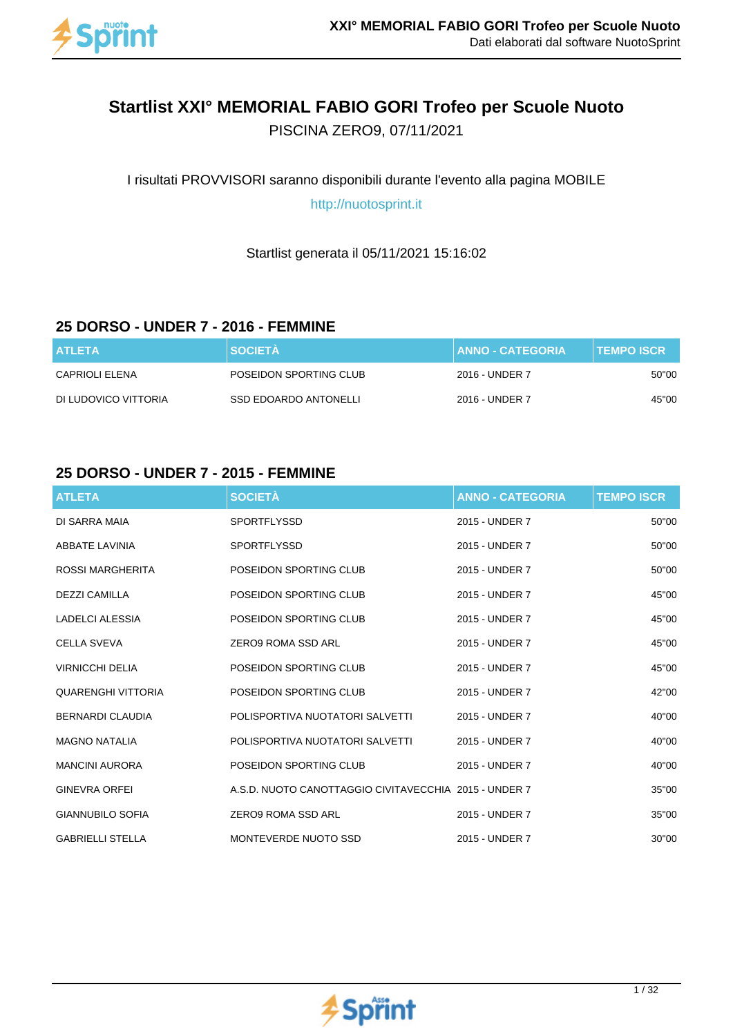

# **Startlist XXI° MEMORIAL FABIO GORI Trofeo per Scuole Nuoto**

PISCINA ZERO9, 07/11/2021

I risultati PROVVISORI saranno disponibili durante l'evento alla pagina MOBILE

http://nuotosprint.it

Startlist generata il 05/11/2021 15:16:02

#### **25 DORSO - UNDER 7 - 2016 - FEMMINE**

| <b>ATLETA</b>        | <b>SOCIETA</b>         | <b>ANNO - CATEGORIA</b> | <b>⊺TEMPO ISCR</b> . |
|----------------------|------------------------|-------------------------|----------------------|
| CAPRIOLI ELENA       | POSEIDON SPORTING CLUB | 2016 - UNDER 7          | 50"00                |
| DI LUDOVICO VITTORIA | SSD EDOARDO ANTONELLI  | 2016 - UNDER 7          | 45"00                |

#### **25 DORSO - UNDER 7 - 2015 - FEMMINE**

| <b>ATLETA</b>             | <b>SOCIETÀ</b>                                        | <b>ANNO - CATEGORIA</b> | <b>TEMPO ISCR</b> |
|---------------------------|-------------------------------------------------------|-------------------------|-------------------|
| DI SARRA MAIA             | <b>SPORTFLYSSD</b>                                    | 2015 - UNDER 7          | 50"00             |
| ABBATE LAVINIA            | <b>SPORTFLYSSD</b>                                    | 2015 - UNDER 7          | 50"00             |
| ROSSI MARGHERITA          | POSEIDON SPORTING CLUB                                | 2015 - UNDER 7          | 50"00             |
| <b>DEZZI CAMILLA</b>      | POSEIDON SPORTING CLUB                                | 2015 - UNDER 7          | 45"00             |
| LADELCI ALESSIA           | POSEIDON SPORTING CLUB                                | 2015 - UNDER 7          | 45"00             |
| <b>CELLA SVEVA</b>        | <b>ZERO9 ROMA SSD ARL</b>                             | 2015 - UNDER 7          | 45"00             |
| <b>VIRNICCHI DELIA</b>    | POSEIDON SPORTING CLUB                                | 2015 - UNDER 7          | 45"00             |
| <b>QUARENGHI VITTORIA</b> | POSEIDON SPORTING CLUB                                | 2015 - UNDER 7          | 42"00             |
| <b>BERNARDI CLAUDIA</b>   | POLISPORTIVA NUOTATORI SALVETTI                       | 2015 - UNDER 7          | 40"00             |
| <b>MAGNO NATALIA</b>      | POLISPORTIVA NUOTATORI SALVETTI                       | 2015 - UNDER 7          | 40"00             |
| <b>MANCINI AURORA</b>     | POSEIDON SPORTING CLUB                                | 2015 - UNDER 7          | 40"00             |
| <b>GINEVRA ORFEI</b>      | A.S.D. NUOTO CANOTTAGGIO CIVITAVECCHIA 2015 - UNDER 7 |                         | 35"00             |
| <b>GIANNUBILO SOFIA</b>   | ZERO9 ROMA SSD ARL                                    | 2015 - UNDER 7          | 35"00             |
| <b>GABRIELLI STELLA</b>   | MONTEVERDE NUOTO SSD                                  | 2015 - UNDER 7          | 30"00             |

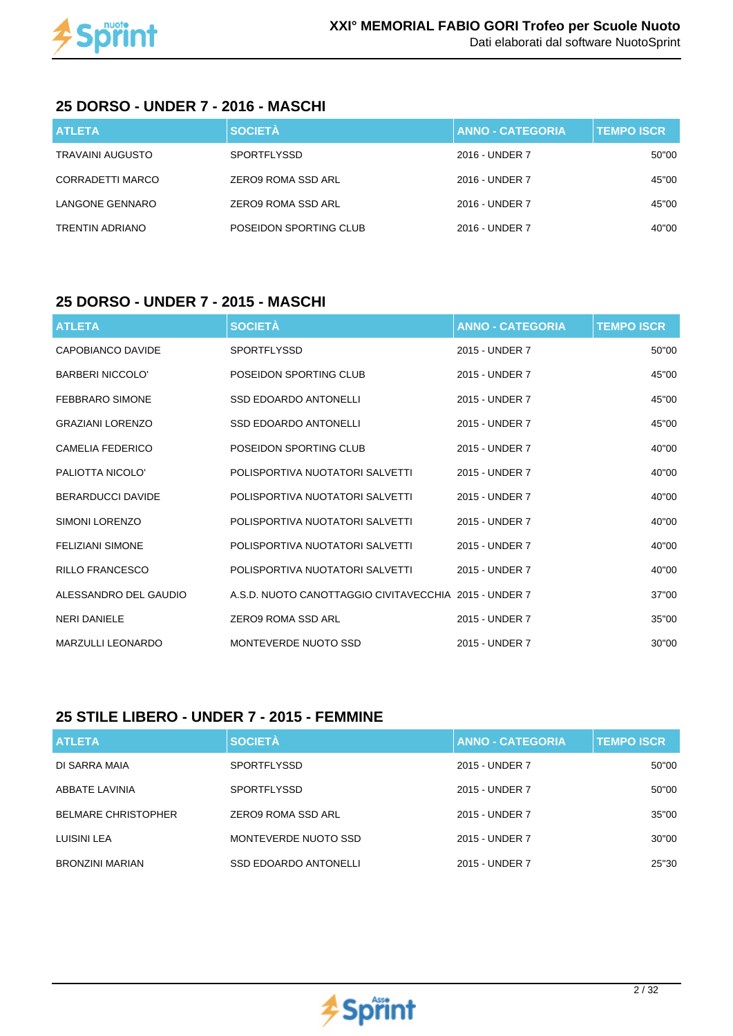

#### **25 DORSO - UNDER 7 - 2016 - MASCHI**

| <b>ATLETA</b>           | <b>SOCIETÀ</b>         | <b>ANNO - CATEGORIA</b> | <b>TEMPO ISCR</b> |
|-------------------------|------------------------|-------------------------|-------------------|
| <b>TRAVAINI AUGUSTO</b> | <b>SPORTFLYSSD</b>     | 2016 - UNDER 7          | 50"00             |
| CORRADETTI MARCO        | ZERO9 ROMA SSD ARL     | 2016 - UNDER 7          | 45"00             |
| LANGONE GENNARO         | ZERO9 ROMA SSD ARL     | 2016 - UNDER 7          | 45"00             |
| <b>TRENTIN ADRIANO</b>  | POSEIDON SPORTING CLUB | 2016 - UNDER 7          | 40"00             |

#### **25 DORSO - UNDER 7 - 2015 - MASCHI**

| <b>ATLETA</b>            | <b>SOCIETÀ</b>                                        | <b>ANNO - CATEGORIA</b> | <b>TEMPO ISCR</b> |
|--------------------------|-------------------------------------------------------|-------------------------|-------------------|
| CAPOBIANCO DAVIDE        | <b>SPORTFLYSSD</b>                                    | 2015 - UNDER 7          | 50"00             |
| <b>BARBERI NICCOLO'</b>  | POSEIDON SPORTING CLUB                                | 2015 - UNDER 7          | 45"00             |
| <b>FEBBRARO SIMONE</b>   | <b>SSD EDOARDO ANTONELLI</b>                          | 2015 - UNDER 7          | 45"00             |
| <b>GRAZIANI LORENZO</b>  | <b>SSD EDOARDO ANTONELLI</b>                          | 2015 - UNDER 7          | 45"00             |
| CAMELIA FEDERICO         | POSEIDON SPORTING CLUB                                | 2015 - UNDER 7          | 40"00             |
| PALIOTTA NICOLO'         | POLISPORTIVA NUOTATORI SALVETTI                       | 2015 - UNDER 7          | 40"00             |
| <b>BERARDUCCI DAVIDE</b> | POLISPORTIVA NUOTATORI SALVETTI                       | 2015 - UNDER 7          | 40"00             |
| SIMONI LORENZO           | POLISPORTIVA NUOTATORI SALVETTI                       | 2015 - UNDER 7          | 40"00             |
| <b>FELIZIANI SIMONE</b>  | POLISPORTIVA NUOTATORI SALVETTI                       | 2015 - UNDER 7          | 40"00             |
| <b>RILLO FRANCESCO</b>   | POLISPORTIVA NUOTATORI SALVETTI                       | 2015 - UNDER 7          | 40"00             |
| ALESSANDRO DEL GAUDIO    | A.S.D. NUOTO CANOTTAGGIO CIVITAVECCHIA 2015 - UNDER 7 |                         | 37"00             |
| <b>NERI DANIELE</b>      | ZERO9 ROMA SSD ARL                                    | 2015 - UNDER 7          | 35"00             |
| <b>MARZULLI LEONARDO</b> | MONTEVERDE NUOTO SSD                                  | 2015 - UNDER 7          | 30"00             |

## **25 STILE LIBERO - UNDER 7 - 2015 - FEMMINE**

| <b>ATLETA</b>              | <b>SOCIETÀ</b>               | <b>ANNO - CATEGORIA</b> | <b>TEMPO ISCR</b> |
|----------------------------|------------------------------|-------------------------|-------------------|
| DI SARRA MAIA              | <b>SPORTFLYSSD</b>           | 2015 - UNDER 7          | 50"00             |
| ABBATE LAVINIA             | <b>SPORTFLYSSD</b>           | 2015 - UNDER 7          | 50"00             |
| <b>BELMARE CHRISTOPHER</b> | ZERO9 ROMA SSD ARL           | 2015 - UNDER 7          | 35"00             |
| LUISINI LEA                | MONTEVERDE NUOTO SSD         | 2015 - UNDER 7          | 30"00             |
| BRONZINI MARIAN            | <b>SSD EDOARDO ANTONELLI</b> | 2015 - UNDER 7          | 25"30             |

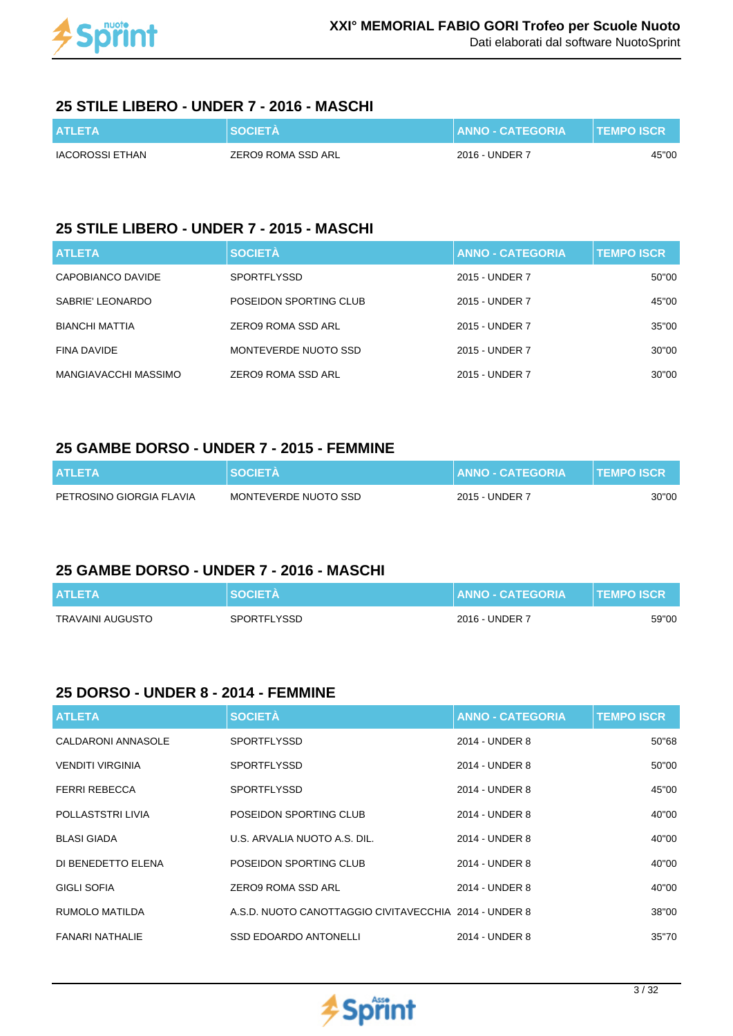

### **25 STILE LIBERO - UNDER 7 - 2016 - MASCHI**

| <b>ATLETA</b>   | <b>SOCIETA</b>     | <b>I ANNO - CATEGORIA</b> ' | <b>TEMPO ISCR</b> |
|-----------------|--------------------|-----------------------------|-------------------|
| IACOROSSI ETHAN | ZERO9 ROMA SSD ARL | 2016 - UNDER 7              | 45"00             |

### **25 STILE LIBERO - UNDER 7 - 2015 - MASCHI**

| <b>ATLETA</b>         | <b>SOCIETÀ</b>         | <b>ANNO - CATEGORIA</b> | <b>TEMPO ISCR</b> |
|-----------------------|------------------------|-------------------------|-------------------|
| CAPOBIANCO DAVIDE     | <b>SPORTFLYSSD</b>     | 2015 - UNDER 7          | 50"00             |
| SABRIE' LEONARDO      | POSEIDON SPORTING CLUB | 2015 - UNDER 7          | 45"00             |
| <b>BIANCHI MATTIA</b> | ZERO9 ROMA SSD ARL     | 2015 - UNDER 7          | 35"00             |
| FINA DAVIDE           | MONTEVERDE NUOTO SSD   | 2015 - UNDER 7          | 30"00             |
| MANGIAVACCHI MASSIMO  | ZERO9 ROMA SSD ARL     | 2015 - UNDER 7          | 30"00             |

#### **25 GAMBE DORSO - UNDER 7 - 2015 - FEMMINE**

| <b>ATLETA</b>            | <b>NSOCIETA</b>      | <b>∣ ANNO - CATEGORIA <sup>1</sup></b> | <b>TEMPO ISCR</b> |
|--------------------------|----------------------|----------------------------------------|-------------------|
| PETROSINO GIORGIA FLAVIA | MONTEVERDE NUOTO SSD | 2015 - UNDER 7                         | 30"00             |

#### **25 GAMBE DORSO - UNDER 7 - 2016 - MASCHI**

| <b>ATLETA</b>    | <b>SOCIETA</b> | <b>ANNO - CATEGORIA</b> | <b>II TEMPO ISCR '</b> |
|------------------|----------------|-------------------------|------------------------|
| TRAVAINI AUGUSTO | SPORTFLYSSD    | 2016 - UNDER 7          | 59"00                  |

## **25 DORSO - UNDER 8 - 2014 - FEMMINE**

| <b>ATLETA</b>             | <b>SOCIETÀ</b>                                        | <b>ANNO - CATEGORIA</b> | <b>TEMPO ISCR</b> |
|---------------------------|-------------------------------------------------------|-------------------------|-------------------|
| <b>CALDARONI ANNASOLE</b> | <b>SPORTFLYSSD</b>                                    | 2014 - UNDER 8          | 50"68             |
| <b>VENDITI VIRGINIA</b>   | <b>SPORTFLYSSD</b>                                    | 2014 - UNDER 8          | 50"00             |
| <b>FERRI REBECCA</b>      | <b>SPORTFLYSSD</b>                                    | 2014 - UNDER 8          | 45"00             |
| POLLASTSTRI LIVIA         | POSEIDON SPORTING CLUB                                | 2014 - UNDER 8          | 40"00             |
| <b>BLASI GIADA</b>        | U.S. ARVALIA NUOTO A.S. DIL.                          | 2014 - UNDER 8          | 40"00             |
| DI BENEDETTO ELENA        | POSEIDON SPORTING CLUB                                | 2014 - UNDER 8          | 40"00             |
| <b>GIGLI SOFIA</b>        | ZERO9 ROMA SSD ARL                                    | 2014 - UNDER 8          | 40"00             |
| RUMOLO MATILDA            | A.S.D. NUOTO CANOTTAGGIO CIVITAVECCHIA 2014 - UNDER 8 |                         | 38"00             |
| <b>FANARI NATHALIE</b>    | <b>SSD EDOARDO ANTONELLI</b>                          | 2014 - UNDER 8          | 35"70             |

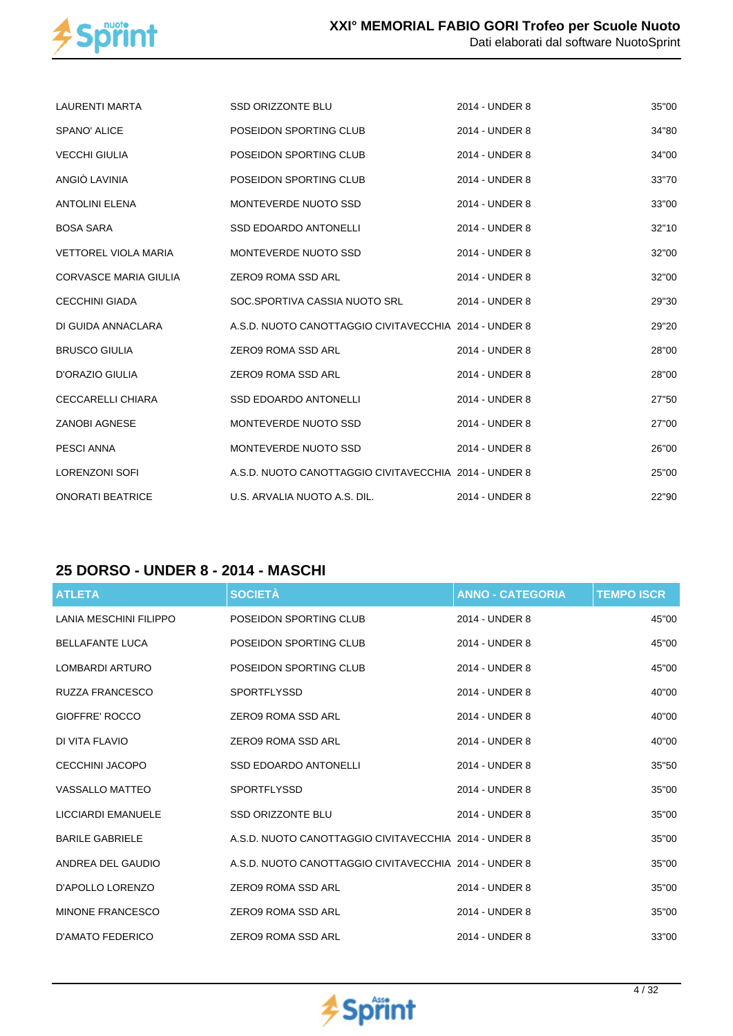

| <b>LAURENTI MARTA</b>        | <b>SSD ORIZZONTE BLU</b>                              | 2014 - UNDER 8 | 35"00 |
|------------------------------|-------------------------------------------------------|----------------|-------|
| SPANO' ALICE                 | POSEIDON SPORTING CLUB                                | 2014 - UNDER 8 | 34"80 |
| <b>VECCHI GIULIA</b>         | POSEIDON SPORTING CLUB                                | 2014 - UNDER 8 | 34"00 |
| ANGIÒ LAVINIA                | POSEIDON SPORTING CLUB                                | 2014 - UNDER 8 | 33"70 |
| <b>ANTOLINI ELENA</b>        | MONTEVERDE NUOTO SSD                                  | 2014 - UNDER 8 | 33"00 |
| <b>BOSA SARA</b>             | <b>SSD EDOARDO ANTONELLI</b>                          | 2014 - UNDER 8 | 32"10 |
| <b>VETTOREL VIOLA MARIA</b>  | MONTEVERDE NUOTO SSD                                  | 2014 - UNDER 8 | 32"00 |
| <b>CORVASCE MARIA GIULIA</b> | ZERO9 ROMA SSD ARL                                    | 2014 - UNDER 8 | 32"00 |
| <b>CECCHINI GIADA</b>        | SOC.SPORTIVA CASSIA NUOTO SRL                         | 2014 - UNDER 8 | 29"30 |
| DI GUIDA ANNACLARA           | A.S.D. NUOTO CANOTTAGGIO CIVITAVECCHIA 2014 - UNDER 8 |                | 29"20 |
| <b>BRUSCO GIULIA</b>         | ZERO9 ROMA SSD ARL                                    | 2014 - UNDER 8 | 28"00 |
| D'ORAZIO GIULIA              | <b>ZERO9 ROMA SSD ARL</b>                             | 2014 - UNDER 8 | 28"00 |
| <b>CECCARELLI CHIARA</b>     | <b>SSD EDOARDO ANTONELLI</b>                          | 2014 - UNDER 8 | 27"50 |
| <b>ZANOBI AGNESE</b>         | MONTEVERDE NUOTO SSD                                  | 2014 - UNDER 8 | 27"00 |
| <b>PESCI ANNA</b>            | MONTEVERDE NUOTO SSD                                  | 2014 - UNDER 8 | 26"00 |
| <b>LORENZONI SOFI</b>        | A.S.D. NUOTO CANOTTAGGIO CIVITAVECCHIA 2014 - UNDER 8 |                | 25"00 |
| <b>ONORATI BEATRICE</b>      | U.S. ARVALIA NUOTO A.S. DIL.                          | 2014 - UNDER 8 | 22"90 |

## **25 DORSO - UNDER 8 - 2014 - MASCHI**

| <b>ATLETA</b>           | <b>SOCIETÀ</b>                                        | <b>ANNO - CATEGORIA</b> | <b>TEMPO ISCR</b> |
|-------------------------|-------------------------------------------------------|-------------------------|-------------------|
| LANIA MESCHINI FILIPPO  | POSEIDON SPORTING CLUB                                | 2014 - UNDER 8          | 45"00             |
| <b>BELLAFANTE LUCA</b>  | POSEIDON SPORTING CLUB                                | 2014 - UNDER 8          | 45"00             |
| LOMBARDI ARTURO         | POSEIDON SPORTING CLUB                                | 2014 - UNDER 8          | 45"00             |
| RUZZA FRANCESCO         | <b>SPORTFLYSSD</b>                                    | 2014 - UNDER 8          | 40"00             |
| GIOFFRE' ROCCO          | ZERO9 ROMA SSD ARL                                    | 2014 - UNDER 8          | 40"00             |
| DI VITA FLAVIO          | <b>ZERO9 ROMA SSD ARL</b>                             | 2014 - UNDER 8          | 40"00             |
| CECCHINI JACOPO         | <b>SSD EDOARDO ANTONELLI</b>                          | 2014 - UNDER 8          | 35"50             |
| <b>VASSALLO MATTEO</b>  | <b>SPORTFLYSSD</b>                                    | 2014 - UNDER 8          | 35"00             |
| LICCIARDI EMANUELE      | <b>SSD ORIZZONTE BLU</b>                              | 2014 - UNDER 8          | 35"00             |
| <b>BARILE GABRIELE</b>  | A.S.D. NUOTO CANOTTAGGIO CIVITAVECCHIA 2014 - UNDER 8 |                         | 35"00             |
| ANDREA DEL GAUDIO       | A.S.D. NUOTO CANOTTAGGIO CIVITAVECCHIA 2014 - UNDER 8 |                         | 35"00             |
| D'APOLLO LORENZO        | <b>ZERO9 ROMA SSD ARL</b>                             | 2014 - UNDER 8          | 35"00             |
| <b>MINONE FRANCESCO</b> | ZERO9 ROMA SSD ARL                                    | 2014 - UNDER 8          | 35"00             |
| D'AMATO FEDERICO        | ZERO9 ROMA SSD ARL                                    | 2014 - UNDER 8          | 33"00             |

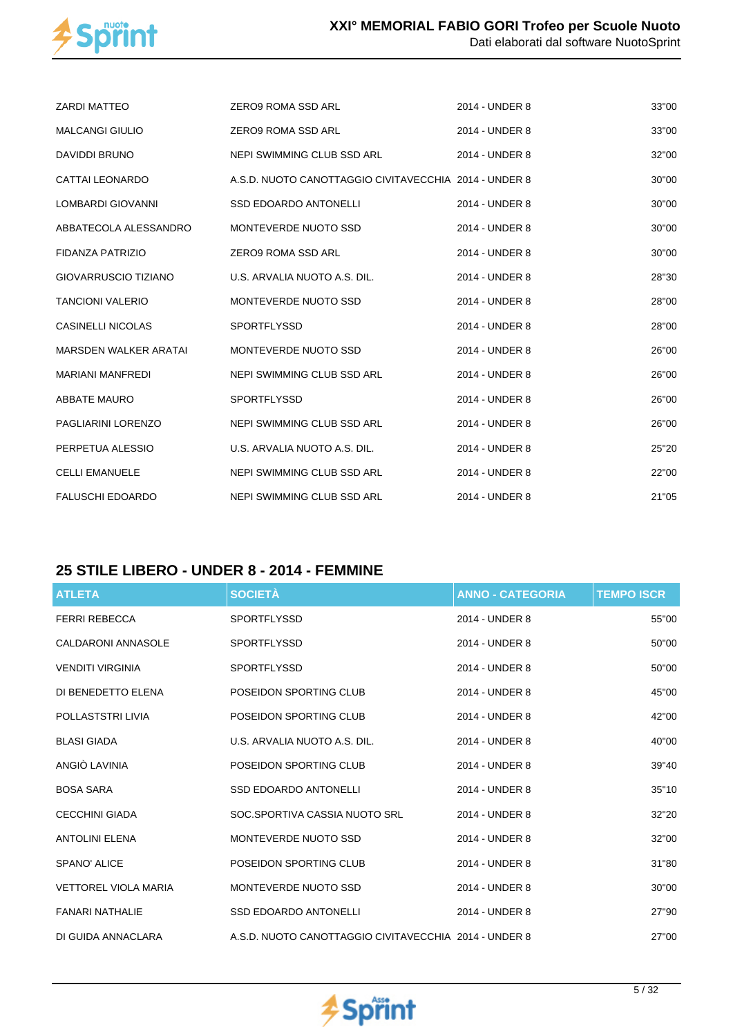

| <b>ZARDI MATTEO</b>          | <b>ZERO9 ROMA SSD ARL</b>                             | 2014 - UNDER 8 | 33"00 |
|------------------------------|-------------------------------------------------------|----------------|-------|
| <b>MALCANGI GIULIO</b>       | ZERO9 ROMA SSD ARL                                    | 2014 - UNDER 8 | 33"00 |
| <b>DAVIDDI BRUNO</b>         | NEPI SWIMMING CLUB SSD ARL                            | 2014 - UNDER 8 | 32"00 |
| CATTAI LEONARDO              | A.S.D. NUOTO CANOTTAGGIO CIVITAVECCHIA 2014 - UNDER 8 |                | 30"00 |
| LOMBARDI GIOVANNI            | <b>SSD EDOARDO ANTONELLI</b>                          | 2014 - UNDER 8 | 30"00 |
| ABBATECOLA ALESSANDRO        | MONTEVERDE NUOTO SSD                                  | 2014 - UNDER 8 | 30"00 |
| FIDANZA PATRIZIO             | ZERO9 ROMA SSD ARL                                    | 2014 - UNDER 8 | 30"00 |
| <b>GIOVARRUSCIO TIZIANO</b>  | U.S. ARVALIA NUOTO A.S. DIL.                          | 2014 - UNDER 8 | 28"30 |
| <b>TANCIONI VALERIO</b>      | MONTEVERDE NUOTO SSD                                  | 2014 - UNDER 8 | 28"00 |
| <b>CASINELLI NICOLAS</b>     | <b>SPORTFLYSSD</b>                                    | 2014 - UNDER 8 | 28"00 |
| <b>MARSDEN WALKER ARATAI</b> | MONTEVERDE NUOTO SSD                                  | 2014 - UNDER 8 | 26"00 |
| <b>MARIANI MANFREDI</b>      | NEPI SWIMMING CLUB SSD ARL                            | 2014 - UNDER 8 | 26"00 |
| <b>ABBATE MAURO</b>          | <b>SPORTFLYSSD</b>                                    | 2014 - UNDER 8 | 26"00 |
| PAGLIARINI LORENZO           | NEPI SWIMMING CLUB SSD ARL                            | 2014 - UNDER 8 | 26"00 |
| PERPETUA ALESSIO             | U.S. ARVALIA NUOTO A.S. DIL.                          | 2014 - UNDER 8 | 25"20 |
| <b>CELLI EMANUELE</b>        | NEPI SWIMMING CLUB SSD ARL                            | 2014 - UNDER 8 | 22"00 |
| <b>FALUSCHI EDOARDO</b>      | NEPI SWIMMING CLUB SSD ARL                            | 2014 - UNDER 8 | 21"05 |

## **25 STILE LIBERO - UNDER 8 - 2014 - FEMMINE**

| <b>ATLETA</b>               | <b>SOCIETÀ</b>                                        | <b>ANNO - CATEGORIA</b> | <b>TEMPO ISCR</b> |
|-----------------------------|-------------------------------------------------------|-------------------------|-------------------|
| <b>FERRI REBECCA</b>        | <b>SPORTFLYSSD</b>                                    | 2014 - UNDER 8          | 55"00             |
| <b>CALDARONI ANNASOLE</b>   | <b>SPORTFLYSSD</b>                                    | 2014 - UNDER 8          | 50"00             |
| <b>VENDITI VIRGINIA</b>     | <b>SPORTFLYSSD</b>                                    | 2014 - UNDER 8          | 50"00             |
| DI BENEDETTO ELENA          | POSEIDON SPORTING CLUB                                | 2014 - UNDER 8          | 45"00             |
| POLLASTSTRI LIVIA           | POSEIDON SPORTING CLUB                                | 2014 - UNDER 8          | 42"00             |
| <b>BLASI GIADA</b>          | U.S. ARVALIA NUOTO A.S. DIL.                          | 2014 - UNDER 8          | 40"00             |
| ANGIÒ LAVINIA               | POSEIDON SPORTING CLUB                                | 2014 - UNDER 8          | 39"40             |
| <b>BOSA SARA</b>            | <b>SSD EDOARDO ANTONELLI</b>                          | 2014 - UNDER 8          | 35"10             |
| <b>CECCHINI GIADA</b>       | SOC.SPORTIVA CASSIA NUOTO SRL                         | 2014 - UNDER 8          | 32"20             |
| <b>ANTOLINI ELENA</b>       | MONTEVERDE NUOTO SSD                                  | 2014 - UNDER 8          | 32"00             |
| SPANO' ALICE                | POSEIDON SPORTING CLUB                                | 2014 - UNDER 8          | 31"80             |
| <b>VETTOREL VIOLA MARIA</b> | MONTEVERDE NUOTO SSD                                  | 2014 - UNDER 8          | 30"00             |
| <b>FANARI NATHALIE</b>      | <b>SSD EDOARDO ANTONELLI</b>                          | 2014 - UNDER 8          | 27"90             |
| DI GUIDA ANNACLARA          | A.S.D. NUOTO CANOTTAGGIO CIVITAVECCHIA 2014 - UNDER 8 |                         | 27"00             |

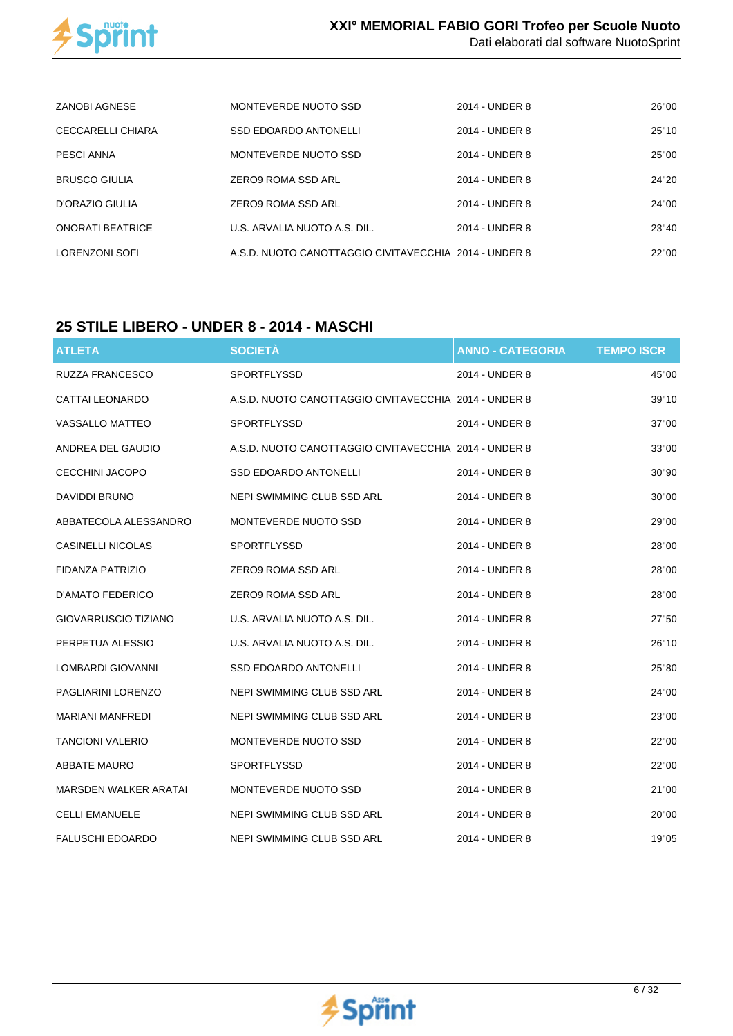

| ZANOBI AGNESE           | MONTEVERDE NUOTO SSD                                  | 2014 - UNDER 8 | 26"00 |
|-------------------------|-------------------------------------------------------|----------------|-------|
| CECCARELLI CHIARA       | <b>SSD EDOARDO ANTONELLI</b>                          | 2014 - UNDER 8 | 25"10 |
| PESCI ANNA              | MONTEVERDE NUOTO SSD                                  | 2014 - UNDER 8 | 25"00 |
| <b>BRUSCO GIULIA</b>    | ZERO9 ROMA SSD ARL                                    | 2014 - UNDER 8 | 24"20 |
| D'ORAZIO GIULIA         | ZERO9 ROMA SSD ARL                                    | 2014 - UNDER 8 | 24"00 |
| <b>ONORATI BEATRICE</b> | U.S. ARVALIA NUOTO A.S. DIL.                          | 2014 - UNDER 8 | 23"40 |
| LORENZONI SOFI          | A.S.D. NUOTO CANOTTAGGIO CIVITAVECCHIA 2014 - UNDER 8 |                | 22"00 |

### **25 STILE LIBERO - UNDER 8 - 2014 - MASCHI**

| <b>ATLETA</b>               | <b>SOCIETÀ</b>                                        | <b>ANNO - CATEGORIA</b> | <b>TEMPO ISCR</b> |
|-----------------------------|-------------------------------------------------------|-------------------------|-------------------|
| RUZZA FRANCESCO             | SPORTFLYSSD                                           | 2014 - UNDER 8          | 45"00             |
| <b>CATTAI LEONARDO</b>      | A.S.D. NUOTO CANOTTAGGIO CIVITAVECCHIA 2014 - UNDER 8 |                         | 39"10             |
| <b>VASSALLO MATTEO</b>      | SPORTFLYSSD                                           | 2014 - UNDER 8          | 37"00             |
| ANDREA DEL GAUDIO           | A.S.D. NUOTO CANOTTAGGIO CIVITAVECCHIA 2014 - UNDER 8 |                         | 33"00             |
| CECCHINI JACOPO             | <b>SSD EDOARDO ANTONELLI</b>                          | 2014 - UNDER 8          | 30"90             |
| DAVIDDI BRUNO               | NEPI SWIMMING CLUB SSD ARL                            | 2014 - UNDER 8          | 30"00             |
| ABBATECOLA ALESSANDRO       | MONTEVERDE NUOTO SSD                                  | 2014 - UNDER 8          | 29"00             |
| <b>CASINELLI NICOLAS</b>    | <b>SPORTFLYSSD</b>                                    | 2014 - UNDER 8          | 28"00             |
| FIDANZA PATRIZIO            | ZERO9 ROMA SSD ARL                                    | 2014 - UNDER 8          | 28"00             |
| D'AMATO FEDERICO            | ZERO9 ROMA SSD ARL                                    | 2014 - UNDER 8          | 28"00             |
| <b>GIOVARRUSCIO TIZIANO</b> | U.S. ARVALIA NUOTO A.S. DIL.                          | 2014 - UNDER 8          | 27"50             |
| PERPETUA ALESSIO            | U.S. ARVALIA NUOTO A.S. DIL.                          | 2014 - UNDER 8          | 26"10             |
| LOMBARDI GIOVANNI           | <b>SSD EDOARDO ANTONELLI</b>                          | 2014 - UNDER 8          | 25"80             |
| PAGLIARINI LORENZO          | NEPI SWIMMING CLUB SSD ARL                            | 2014 - UNDER 8          | 24"00             |
| <b>MARIANI MANFREDI</b>     | NEPI SWIMMING CLUB SSD ARL                            | 2014 - UNDER 8          | 23"00             |
| <b>TANCIONI VALERIO</b>     | MONTEVERDE NUOTO SSD                                  | 2014 - UNDER 8          | 22"00             |
| ABBATE MAURO                | <b>SPORTFLYSSD</b>                                    | 2014 - UNDER 8          | 22"00             |
| MARSDEN WALKER ARATAI       | MONTEVERDE NUOTO SSD                                  | 2014 - UNDER 8          | 21"00             |
| <b>CELLI EMANUELE</b>       | NEPI SWIMMING CLUB SSD ARL                            | 2014 - UNDER 8          | 20"00             |
| <b>FALUSCHI EDOARDO</b>     | NEPI SWIMMING CLUB SSD ARL                            | 2014 - UNDER 8          | 19"05             |

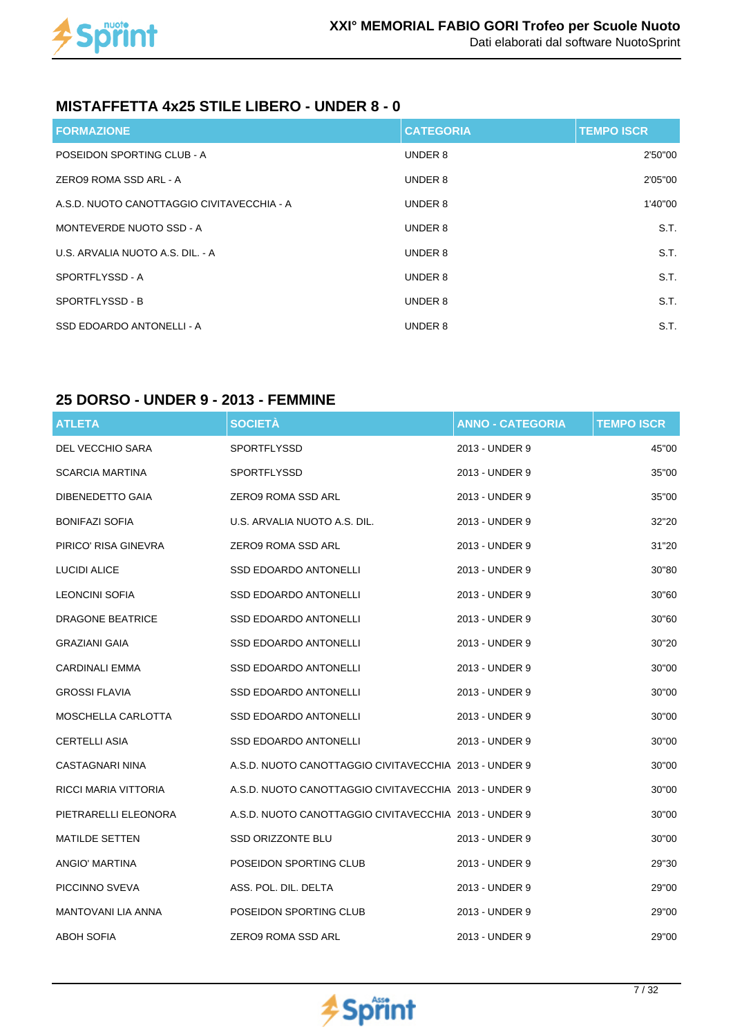

#### **MISTAFFETTA 4x25 STILE LIBERO - UNDER 8 - 0**

| <b>FORMAZIONE</b>                          | <b>CATEGORIA</b> | <b>TEMPO ISCR</b> |
|--------------------------------------------|------------------|-------------------|
| POSEIDON SPORTING CLUB - A                 | UNDER 8          | 2'50"00           |
| ZERO9 ROMA SSD ARL - A                     | UNDER 8          | 2'05"00           |
| A.S.D. NUOTO CANOTTAGGIO CIVITAVECCHIA - A | UNDER 8          | 1'40"00           |
| MONTEVERDE NUOTO SSD - A                   | UNDER 8          | S.T.              |
| U.S. ARVALIA NUOTO A.S. DIL. - A           | UNDER 8          | S.T.              |
| SPORTFLYSSD - A                            | UNDER 8          | S.T.              |
| SPORTFLYSSD - B                            | UNDER 8          | S.T.              |
| SSD EDOARDO ANTONELLI - A                  | UNDER 8          | S.T.              |

#### **25 DORSO - UNDER 9 - 2013 - FEMMINE**

| <b>ATLETA</b>           | <b>SOCIETÀ</b>                                        | <b>ANNO - CATEGORIA</b> | <b>TEMPO ISCR</b> |
|-------------------------|-------------------------------------------------------|-------------------------|-------------------|
| DEL VECCHIO SARA        | SPORTFLYSSD                                           | 2013 - UNDER 9          | 45"00             |
| <b>SCARCIA MARTINA</b>  | <b>SPORTFLYSSD</b>                                    | 2013 - UNDER 9          | 35"00             |
| DIBENEDETTO GAIA        | ZERO9 ROMA SSD ARL                                    | 2013 - UNDER 9          | 35"00             |
| <b>BONIFAZI SOFIA</b>   | U.S. ARVALIA NUOTO A.S. DIL.                          | 2013 - UNDER 9          | 32"20             |
| PIRICO' RISA GINEVRA    | ZERO9 ROMA SSD ARL                                    | 2013 - UNDER 9          | 31"20             |
| LUCIDI ALICE            | SSD EDOARDO ANTONELLI                                 | 2013 - UNDER 9          | 30"80             |
| <b>LEONCINI SOFIA</b>   | SSD EDOARDO ANTONELLI                                 | 2013 - UNDER 9          | 30"60             |
| <b>DRAGONE BEATRICE</b> | <b>SSD EDOARDO ANTONELLI</b>                          | 2013 - UNDER 9          | 30"60             |
| <b>GRAZIANI GAIA</b>    | SSD EDOARDO ANTONELLI                                 | 2013 - UNDER 9          | 30"20             |
| <b>CARDINALI EMMA</b>   | <b>SSD EDOARDO ANTONELLI</b>                          | 2013 - UNDER 9          | 30"00             |
| <b>GROSSI FLAVIA</b>    | <b>SSD EDOARDO ANTONELLI</b>                          | 2013 - UNDER 9          | 30"00             |
| MOSCHELLA CARLOTTA      | SSD EDOARDO ANTONELLI                                 | 2013 - UNDER 9          | 30"00             |
| <b>CERTELLI ASIA</b>    | <b>SSD EDOARDO ANTONELLI</b>                          | 2013 - UNDER 9          | 30"00             |
| CASTAGNARI NINA         | A.S.D. NUOTO CANOTTAGGIO CIVITAVECCHIA 2013 - UNDER 9 |                         | 30"00             |
| RICCI MARIA VITTORIA    | A.S.D. NUOTO CANOTTAGGIO CIVITAVECCHIA 2013 - UNDER 9 |                         | 30"00             |
| PIETRARELLI ELEONORA    | A.S.D. NUOTO CANOTTAGGIO CIVITAVECCHIA 2013 - UNDER 9 |                         | 30"00             |
| <b>MATILDE SETTEN</b>   | <b>SSD ORIZZONTE BLU</b>                              | 2013 - UNDER 9          | 30"00             |
| ANGIO' MARTINA          | POSEIDON SPORTING CLUB                                | 2013 - UNDER 9          | 29"30             |
| PICCINNO SVEVA          | ASS. POL. DIL. DELTA                                  | 2013 - UNDER 9          | 29"00             |
| MANTOVANI LIA ANNA      | POSEIDON SPORTING CLUB                                | 2013 - UNDER 9          | 29"00             |
| <b>ABOH SOFIA</b>       | ZERO9 ROMA SSD ARL                                    | 2013 - UNDER 9          | 29"00             |

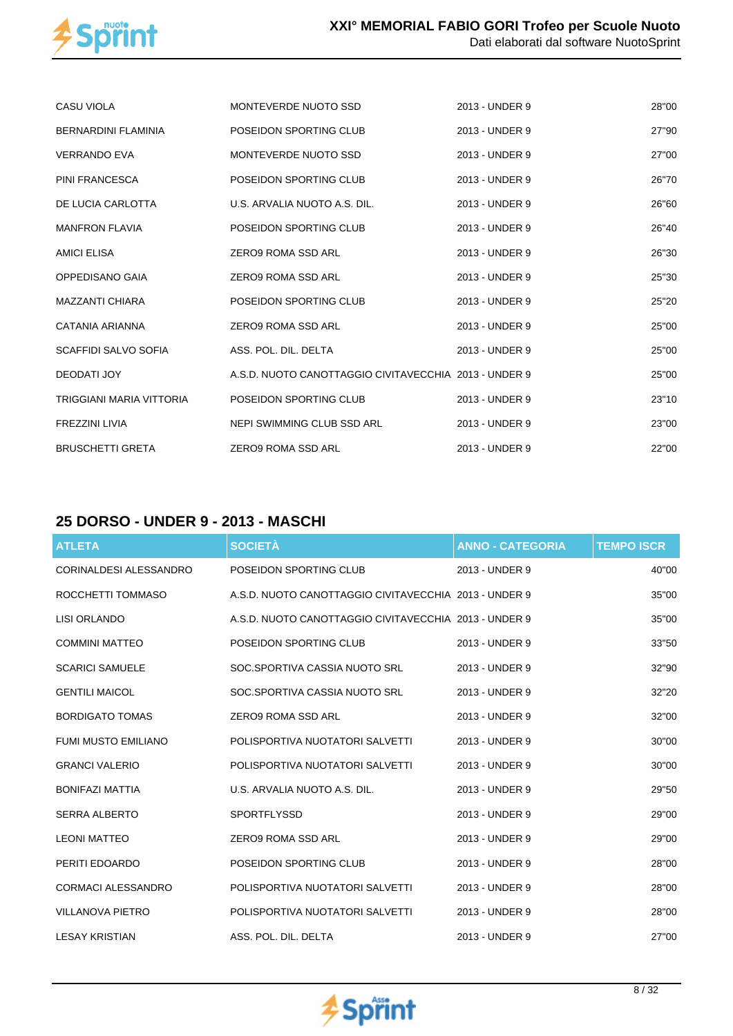

| <b>CASU VIOLA</b>           | MONTEVERDE NUOTO SSD                                  | 2013 - UNDER 9 | 28"00 |
|-----------------------------|-------------------------------------------------------|----------------|-------|
| <b>BERNARDINI FLAMINIA</b>  | POSEIDON SPORTING CLUB                                | 2013 - UNDER 9 | 27"90 |
| <b>VERRANDO EVA</b>         | MONTEVERDE NUOTO SSD                                  | 2013 - UNDER 9 | 27"00 |
| PINI FRANCESCA              | POSEIDON SPORTING CLUB                                | 2013 - UNDER 9 | 26"70 |
| DE LUCIA CARLOTTA           | U.S. ARVALIA NUOTO A.S. DIL.                          | 2013 - UNDER 9 | 26"60 |
| <b>MANFRON FLAVIA</b>       | POSEIDON SPORTING CLUB                                | 2013 - UNDER 9 | 26"40 |
| <b>AMICI ELISA</b>          | ZERO9 ROMA SSD ARL                                    | 2013 - UNDER 9 | 26"30 |
| OPPEDISANO GAIA             | ZERO9 ROMA SSD ARL                                    | 2013 - UNDER 9 | 25"30 |
| <b>MAZZANTI CHIARA</b>      | POSEIDON SPORTING CLUB                                | 2013 - UNDER 9 | 25"20 |
| CATANIA ARIANNA             | ZERO9 ROMA SSD ARL                                    | 2013 - UNDER 9 | 25"00 |
| <b>SCAFFIDI SALVO SOFIA</b> | ASS. POL. DIL. DELTA                                  | 2013 - UNDER 9 | 25"00 |
| DEODATI JOY                 | A.S.D. NUOTO CANOTTAGGIO CIVITAVECCHIA 2013 - UNDER 9 |                | 25"00 |
| TRIGGIANI MARIA VITTORIA    | POSEIDON SPORTING CLUB                                | 2013 - UNDER 9 | 23"10 |
| <b>FREZZINI LIVIA</b>       | NEPI SWIMMING CLUB SSD ARL                            | 2013 - UNDER 9 | 23"00 |
| <b>BRUSCHETTI GRETA</b>     | ZERO9 ROMA SSD ARL                                    | 2013 - UNDER 9 | 22"00 |

## **25 DORSO - UNDER 9 - 2013 - MASCHI**

| <b>ATLETA</b>                 | <b>SOCIETÀ</b>                                        | <b>ANNO - CATEGORIA</b> | <b>TEMPO ISCR</b> |
|-------------------------------|-------------------------------------------------------|-------------------------|-------------------|
| <b>CORINALDESI ALESSANDRO</b> | POSEIDON SPORTING CLUB                                | 2013 - UNDER 9          | 40"00             |
| ROCCHETTI TOMMASO             | A.S.D. NUOTO CANOTTAGGIO CIVITAVECCHIA 2013 - UNDER 9 |                         | 35"00             |
| <b>LISI ORLANDO</b>           | A.S.D. NUOTO CANOTTAGGIO CIVITAVECCHIA 2013 - UNDER 9 |                         | 35"00             |
| <b>COMMINI MATTEO</b>         | POSEIDON SPORTING CLUB                                | 2013 - UNDER 9          | 33"50             |
| <b>SCARICI SAMUELE</b>        | SOC.SPORTIVA CASSIA NUOTO SRL                         | 2013 - UNDER 9          | 32"90             |
| <b>GENTILI MAICOL</b>         | SOC.SPORTIVA CASSIA NUOTO SRL                         | 2013 - UNDER 9          | 32"20             |
| <b>BORDIGATO TOMAS</b>        | <b>ZERO9 ROMA SSD ARL</b>                             | 2013 - UNDER 9          | 32"00             |
| <b>FUMI MUSTO EMILIANO</b>    | POLISPORTIVA NUOTATORI SALVETTI                       | 2013 - UNDER 9          | 30"00             |
| <b>GRANCI VALERIO</b>         | POLISPORTIVA NUOTATORI SALVETTI                       | 2013 - UNDER 9          | 30"00             |
| <b>BONIFAZI MATTIA</b>        | U.S. ARVALIA NUOTO A.S. DIL.                          | 2013 - UNDER 9          | 29"50             |
| <b>SERRA ALBERTO</b>          | <b>SPORTFLYSSD</b>                                    | 2013 - UNDER 9          | 29"00             |
| <b>LEONI MATTEO</b>           | ZERO9 ROMA SSD ARL                                    | 2013 - UNDER 9          | 29"00             |
| PERITI EDOARDO                | POSEIDON SPORTING CLUB                                | 2013 - UNDER 9          | 28"00             |
| <b>CORMACI ALESSANDRO</b>     | POLISPORTIVA NUOTATORI SALVETTI                       | 2013 - UNDER 9          | 28"00             |
| <b>VILLANOVA PIETRO</b>       | POLISPORTIVA NUOTATORI SALVETTI                       | 2013 - UNDER 9          | 28"00             |
| <b>LESAY KRISTIAN</b>         | ASS. POL. DIL. DELTA                                  | 2013 - UNDER 9          | 27"00             |

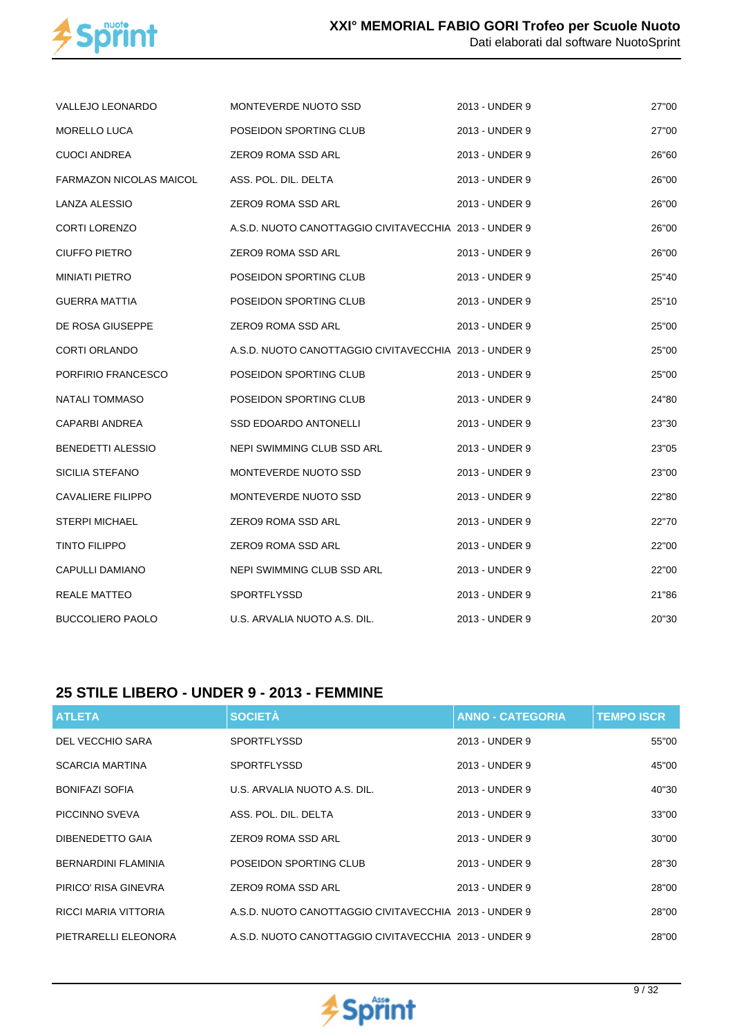

| VALLEJO LEONARDO               | MONTEVERDE NUOTO SSD                                  | 2013 - UNDER 9 | 27"00 |
|--------------------------------|-------------------------------------------------------|----------------|-------|
| <b>MORELLO LUCA</b>            | POSEIDON SPORTING CLUB                                | 2013 - UNDER 9 | 27"00 |
| <b>CUOCI ANDREA</b>            | ZERO9 ROMA SSD ARL                                    | 2013 - UNDER 9 | 26"60 |
| <b>FARMAZON NICOLAS MAICOL</b> | ASS. POL. DIL. DELTA                                  | 2013 - UNDER 9 | 26"00 |
| <b>LANZA ALESSIO</b>           | ZERO9 ROMA SSD ARL                                    | 2013 - UNDER 9 | 26"00 |
| <b>CORTI LORENZO</b>           | A.S.D. NUOTO CANOTTAGGIO CIVITAVECCHIA 2013 - UNDER 9 |                | 26"00 |
| <b>CIUFFO PIETRO</b>           | ZERO9 ROMA SSD ARL                                    | 2013 - UNDER 9 | 26"00 |
| <b>MINIATI PIETRO</b>          | POSEIDON SPORTING CLUB                                | 2013 - UNDER 9 | 25"40 |
| <b>GUERRA MATTIA</b>           | POSEIDON SPORTING CLUB                                | 2013 - UNDER 9 | 25"10 |
| DE ROSA GIUSEPPE               | ZERO9 ROMA SSD ARL                                    | 2013 - UNDER 9 | 25"00 |
| <b>CORTI ORLANDO</b>           | A.S.D. NUOTO CANOTTAGGIO CIVITAVECCHIA 2013 - UNDER 9 |                | 25"00 |
| PORFIRIO FRANCESCO             | POSEIDON SPORTING CLUB                                | 2013 - UNDER 9 | 25"00 |
| NATALI TOMMASO                 | POSEIDON SPORTING CLUB                                | 2013 - UNDER 9 | 24"80 |
| <b>CAPARBI ANDREA</b>          | SSD EDOARDO ANTONELLI                                 | 2013 - UNDER 9 | 23"30 |
| BENEDETTI ALESSIO              | NEPI SWIMMING CLUB SSD ARL                            | 2013 - UNDER 9 | 23"05 |
| SICILIA STEFANO                | MONTEVERDE NUOTO SSD                                  | 2013 - UNDER 9 | 23"00 |
| <b>CAVALIERE FILIPPO</b>       | MONTEVERDE NUOTO SSD                                  | 2013 - UNDER 9 | 22"80 |
| <b>STERPI MICHAEL</b>          | ZERO9 ROMA SSD ARL                                    | 2013 - UNDER 9 | 22"70 |
| <b>TINTO FILIPPO</b>           | ZERO9 ROMA SSD ARL                                    | 2013 - UNDER 9 | 22"00 |
| CAPULLI DAMIANO                | NEPI SWIMMING CLUB SSD ARL                            | 2013 - UNDER 9 | 22"00 |
| <b>REALE MATTEO</b>            | <b>SPORTFLYSSD</b>                                    | 2013 - UNDER 9 | 21"86 |
| <b>BUCCOLIERO PAOLO</b>        | U.S. ARVALIA NUOTO A.S. DIL.                          | 2013 - UNDER 9 | 20"30 |

#### **25 STILE LIBERO - UNDER 9 - 2013 - FEMMINE**

| <b>ATLETA</b>              | <b>SOCIETÀ</b>                                        | <b>ANNO - CATEGORIA</b> | <b>TEMPO ISCR</b> |
|----------------------------|-------------------------------------------------------|-------------------------|-------------------|
| DEL VECCHIO SARA           | <b>SPORTFLYSSD</b>                                    | 2013 - UNDER 9          | 55"00             |
| <b>SCARCIA MARTINA</b>     | <b>SPORTFLYSSD</b>                                    | 2013 - UNDER 9          | 45"00             |
| <b>BONIFAZI SOFIA</b>      | U.S. ARVALIA NUOTO A.S. DIL.                          | 2013 - UNDER 9          | 40"30             |
| PICCINNO SVEVA             | ASS. POL. DIL. DELTA                                  | 2013 - UNDER 9          | 33"00             |
| DIBENEDETTO GAIA           | ZERO9 ROMA SSD ARL                                    | 2013 - UNDER 9          | 30"00             |
| <b>BERNARDINI FLAMINIA</b> | POSEIDON SPORTING CLUB                                | 2013 - UNDER 9          | 28"30             |
| PIRICO' RISA GINEVRA       | ZERO9 ROMA SSD ARL                                    | 2013 - UNDER 9          | 28"00             |
| RICCI MARIA VITTORIA       | A.S.D. NUOTO CANOTTAGGIO CIVITAVECCHIA 2013 - UNDER 9 |                         | 28"00             |
| PIETRARELLI ELEONORA       | A.S.D. NUOTO CANOTTAGGIO CIVITAVECCHIA 2013 - UNDER 9 |                         | 28"00             |

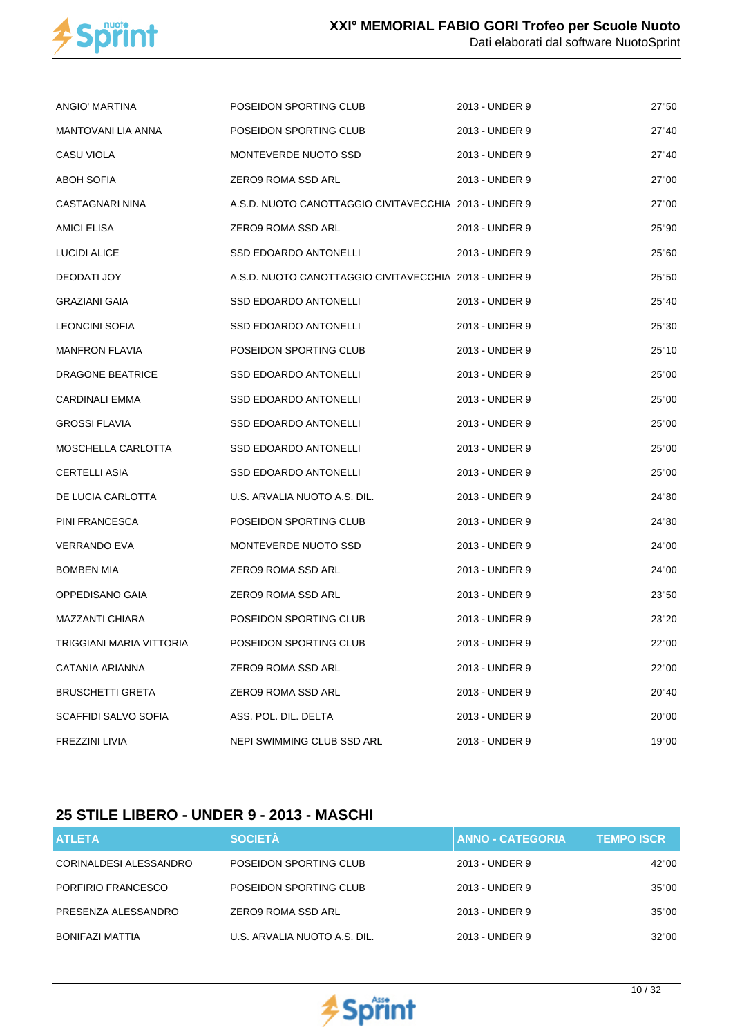

| ANGIO' MARTINA            | POSEIDON SPORTING CLUB                                | 2013 - UNDER 9 | 27"50 |
|---------------------------|-------------------------------------------------------|----------------|-------|
| <b>MANTOVANI LIA ANNA</b> | POSEIDON SPORTING CLUB                                | 2013 - UNDER 9 | 27"40 |
| CASU VIOLA                | MONTEVERDE NUOTO SSD                                  | 2013 - UNDER 9 | 27"40 |
| ABOH SOFIA                | ZERO9 ROMA SSD ARL                                    | 2013 - UNDER 9 | 27"00 |
| CASTAGNARI NINA           | A.S.D. NUOTO CANOTTAGGIO CIVITAVECCHIA 2013 - UNDER 9 |                | 27"00 |
| AMICI ELISA               | ZERO9 ROMA SSD ARL                                    | 2013 - UNDER 9 | 25"90 |
| LUCIDI ALICE              | SSD EDOARDO ANTONELLI                                 | 2013 - UNDER 9 | 25"60 |
| DEODATI JOY               | A.S.D. NUOTO CANOTTAGGIO CIVITAVECCHIA 2013 - UNDER 9 |                | 25"50 |
| GRAZIANI GAIA             | <b>SSD EDOARDO ANTONELLI</b>                          | 2013 - UNDER 9 | 25"40 |
| LEONCINI SOFIA            | SSD EDOARDO ANTONELLI                                 | 2013 - UNDER 9 | 25"30 |
| <b>MANFRON FLAVIA</b>     | POSEIDON SPORTING CLUB                                | 2013 - UNDER 9 | 25"10 |
| <b>DRAGONE BEATRICE</b>   | SSD EDOARDO ANTONELLI                                 | 2013 - UNDER 9 | 25"00 |
| CARDINALI EMMA            | <b>SSD EDOARDO ANTONELLI</b>                          | 2013 - UNDER 9 | 25"00 |
| <b>GROSSI FLAVIA</b>      | <b>SSD EDOARDO ANTONELLI</b>                          | 2013 - UNDER 9 | 25"00 |
| MOSCHELLA CARLOTTA        | <b>SSD EDOARDO ANTONELLI</b>                          | 2013 - UNDER 9 | 25"00 |
| <b>CERTELLI ASIA</b>      | SSD EDOARDO ANTONELLI                                 | 2013 - UNDER 9 | 25"00 |
| DE LUCIA CARLOTTA         | U.S. ARVALIA NUOTO A.S. DIL.                          | 2013 - UNDER 9 | 24"80 |
| PINI FRANCESCA            | POSEIDON SPORTING CLUB                                | 2013 - UNDER 9 | 24"80 |
| <b>VERRANDO EVA</b>       | MONTEVERDE NUOTO SSD                                  | 2013 - UNDER 9 | 24"00 |
| <b>BOMBEN MIA</b>         | ZERO9 ROMA SSD ARL                                    | 2013 - UNDER 9 | 24"00 |
| OPPEDISANO GAIA           | ZERO9 ROMA SSD ARL                                    | 2013 - UNDER 9 | 23"50 |
| MAZZANTI CHIARA           | POSEIDON SPORTING CLUB                                | 2013 - UNDER 9 | 23"20 |
| TRIGGIANI MARIA VITTORIA  | POSEIDON SPORTING CLUB                                | 2013 - UNDER 9 | 22"00 |
| CATANIA ARIANNA           | ZERO9 ROMA SSD ARL                                    | 2013 - UNDER 9 | 22"00 |
| <b>BRUSCHETTI GRETA</b>   | ZERO9 ROMA SSD ARL                                    | 2013 - UNDER 9 | 20"40 |
| SCAFFIDI SALVO SOFIA      | ASS. POL. DIL. DELTA                                  | 2013 - UNDER 9 | 20"00 |
| FREZZINI LIVIA            | NEPI SWIMMING CLUB SSD ARL                            | 2013 - UNDER 9 | 19"00 |

## **25 STILE LIBERO - UNDER 9 - 2013 - MASCHI**

| <b>ATLETA</b>          | <b>SOCIETÀ</b>               | <b>ANNO - CATEGORIA</b> | <b>TEMPO ISCR</b> |
|------------------------|------------------------------|-------------------------|-------------------|
| CORINALDESI ALESSANDRO | POSEIDON SPORTING CLUB       | 2013 - UNDER 9          | 42"00             |
| PORFIRIO FRANCESCO     | POSEIDON SPORTING CLUB       | 2013 - UNDER 9          | 35"00             |
| PRESENZA ALESSANDRO    | ZERO9 ROMA SSD ARL           | 2013 - UNDER 9          | 35"00             |
| BONIFAZI MATTIA        | U.S. ARVALIA NUOTO A.S. DIL. | 2013 - UNDER 9          | 32"00             |

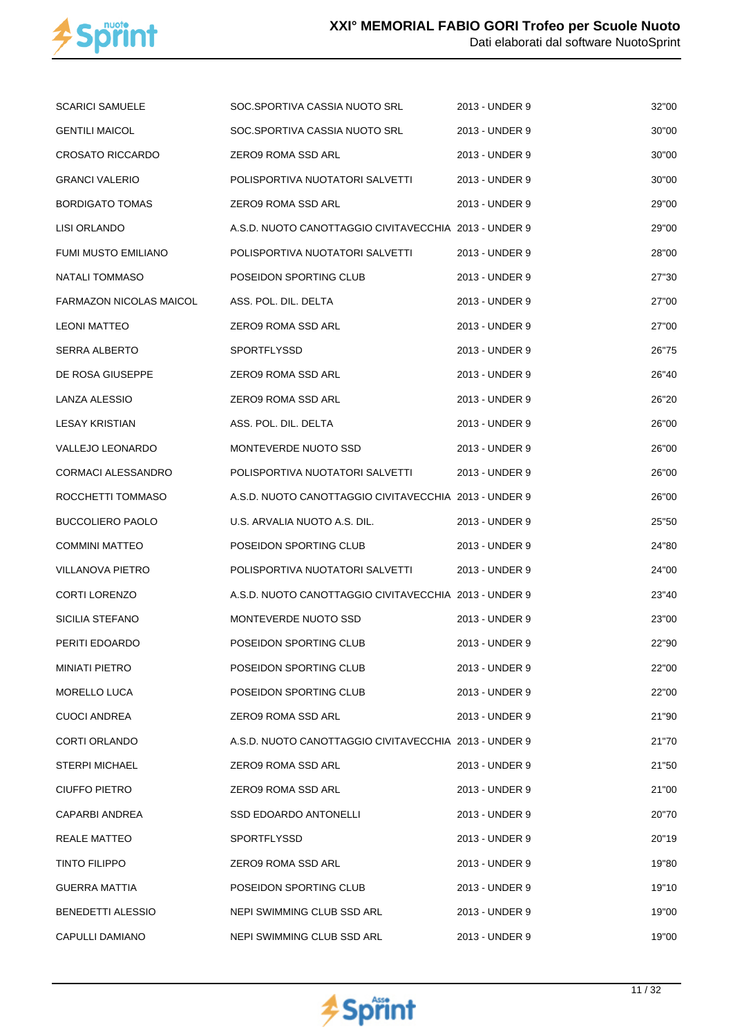

| <b>SCARICI SAMUELE</b>  | SOC.SPORTIVA CASSIA NUOTO SRL                         | 2013 - UNDER 9 | 32"00 |
|-------------------------|-------------------------------------------------------|----------------|-------|
| <b>GENTILI MAICOL</b>   | SOC.SPORTIVA CASSIA NUOTO SRL                         | 2013 - UNDER 9 | 30"00 |
| <b>CROSATO RICCARDO</b> | ZERO9 ROMA SSD ARL                                    | 2013 - UNDER 9 | 30"00 |
| <b>GRANCI VALERIO</b>   | POLISPORTIVA NUOTATORI SALVETTI                       | 2013 - UNDER 9 | 30"00 |
| <b>BORDIGATO TOMAS</b>  | ZERO9 ROMA SSD ARL                                    | 2013 - UNDER 9 | 29"00 |
| LISI ORLANDO            | A.S.D. NUOTO CANOTTAGGIO CIVITAVECCHIA 2013 - UNDER 9 |                | 29"00 |
| FUMI MUSTO EMILIANO     | POLISPORTIVA NUOTATORI SALVETTI                       | 2013 - UNDER 9 | 28"00 |
| <b>NATALI TOMMASO</b>   | POSEIDON SPORTING CLUB                                | 2013 - UNDER 9 | 27"30 |
| FARMAZON NICOLAS MAICOL | ASS. POL. DIL. DELTA                                  | 2013 - UNDER 9 | 27"00 |
| LEONI MATTEO            | ZERO9 ROMA SSD ARL                                    | 2013 - UNDER 9 | 27"00 |
| SERRA ALBERTO           | <b>SPORTFLYSSD</b>                                    | 2013 - UNDER 9 | 26"75 |
| DE ROSA GIUSEPPE        | ZERO9 ROMA SSD ARL                                    | 2013 - UNDER 9 | 26"40 |
| LANZA ALESSIO           | ZERO9 ROMA SSD ARL                                    | 2013 - UNDER 9 | 26"20 |
| <b>LESAY KRISTIAN</b>   | ASS. POL. DIL. DELTA                                  | 2013 - UNDER 9 | 26"00 |
| VALLEJO LEONARDO        | MONTEVERDE NUOTO SSD                                  | 2013 - UNDER 9 | 26"00 |
| CORMACI ALESSANDRO      | POLISPORTIVA NUOTATORI SALVETTI                       | 2013 - UNDER 9 | 26"00 |
| ROCCHETTI TOMMASO       | A.S.D. NUOTO CANOTTAGGIO CIVITAVECCHIA 2013 - UNDER 9 |                | 26"00 |
| <b>BUCCOLIERO PAOLO</b> | U.S. ARVALIA NUOTO A.S. DIL.                          | 2013 - UNDER 9 | 25"50 |
| COMMINI MATTEO          | POSEIDON SPORTING CLUB                                | 2013 - UNDER 9 | 24"80 |
| VILLANOVA PIETRO        | POLISPORTIVA NUOTATORI SALVETTI                       | 2013 - UNDER 9 | 24"00 |
| <b>CORTI LORENZO</b>    | A.S.D. NUOTO CANOTTAGGIO CIVITAVECCHIA 2013 - UNDER 9 |                | 23"40 |
| SICILIA STEFANO         | MONTEVERDE NUOTO SSD                                  | 2013 - UNDER 9 | 23"00 |
| PERITI EDOARDO          | POSEIDON SPORTING CLUB                                | 2013 - UNDER 9 | 22"90 |
| MINIATI PIETRO          | POSEIDON SPORTING CLUB                                | 2013 - UNDER 9 | 22"00 |
| <b>MORELLO LUCA</b>     | POSEIDON SPORTING CLUB                                | 2013 - UNDER 9 | 22"00 |
| <b>CUOCI ANDREA</b>     | ZERO9 ROMA SSD ARL                                    | 2013 - UNDER 9 | 21"90 |
| CORTI ORLANDO           | A.S.D. NUOTO CANOTTAGGIO CIVITAVECCHIA 2013 - UNDER 9 |                | 21"70 |
| <b>STERPI MICHAEL</b>   | ZERO9 ROMA SSD ARL                                    | 2013 - UNDER 9 | 21"50 |
| CIUFFO PIETRO           | ZERO9 ROMA SSD ARL                                    | 2013 - UNDER 9 | 21"00 |
| CAPARBI ANDREA          | SSD EDOARDO ANTONELLI                                 | 2013 - UNDER 9 | 20"70 |
| REALE MATTEO            | SPORTFLYSSD                                           | 2013 - UNDER 9 | 20"19 |
| TINTO FILIPPO           | ZERO9 ROMA SSD ARL                                    | 2013 - UNDER 9 | 19"80 |
| GUERRA MATTIA           | POSEIDON SPORTING CLUB                                | 2013 - UNDER 9 | 19"10 |
| BENEDETTI ALESSIO       | NEPI SWIMMING CLUB SSD ARL                            | 2013 - UNDER 9 | 19"00 |
| CAPULLI DAMIANO         | NEPI SWIMMING CLUB SSD ARL                            | 2013 - UNDER 9 | 19"00 |

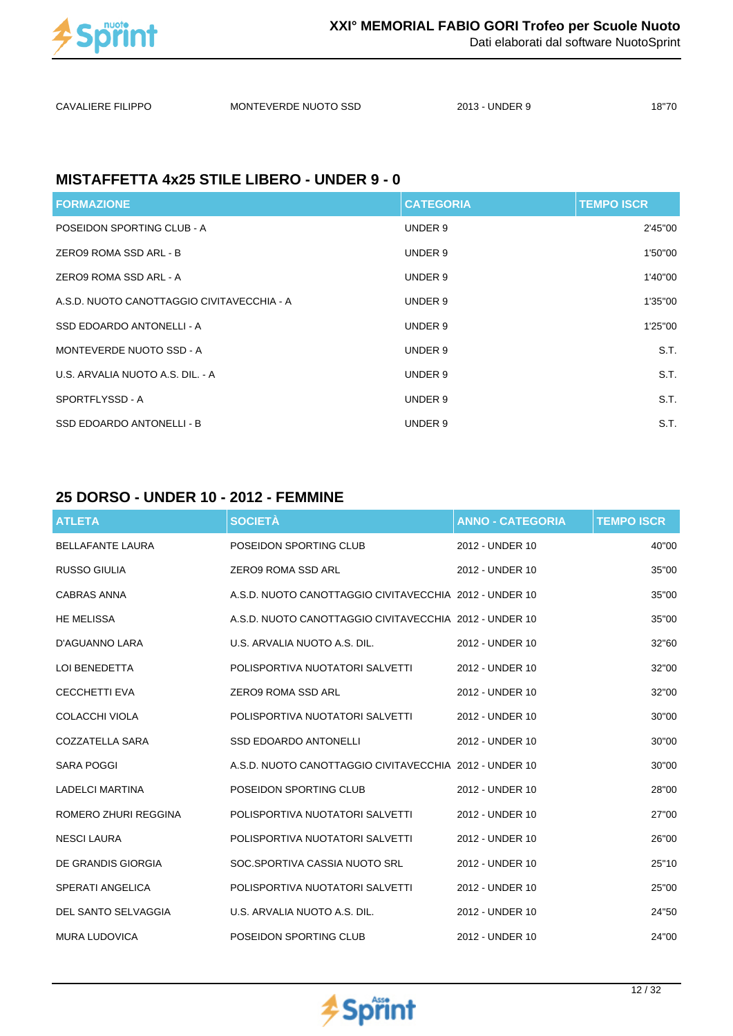

Dati elaborati dal software NuotoSprint

| <b>CAVALIERE FILIPPO</b> | MONTEVERDE NUOTO SSD | 2013 - UNDER 9 | 18"70 |
|--------------------------|----------------------|----------------|-------|
|                          |                      |                |       |

### **MISTAFFETTA 4x25 STILE LIBERO - UNDER 9 - 0**

| <b>FORMAZIONE</b>                          | <b>CATEGORIA</b> | <b>TEMPO ISCR</b> |
|--------------------------------------------|------------------|-------------------|
| POSEIDON SPORTING CLUB - A                 | UNDER 9          | 2'45"00           |
| ZERO9 ROMA SSD ARL - B                     | UNDER 9          | 1'50"00           |
| ZERO9 ROMA SSD ARL - A                     | UNDER 9          | 1'40"00           |
| A.S.D. NUOTO CANOTTAGGIO CIVITAVECCHIA - A | UNDER 9          | 1'35"00           |
| SSD EDOARDO ANTONELLI - A                  | UNDER 9          | 1'25"00           |
| MONTEVERDE NUOTO SSD - A                   | UNDER 9          | S.T.              |
| U.S. ARVALIA NUOTO A.S. DIL. - A           | UNDER 9          | S.T.              |
| SPORTFLYSSD - A                            | UNDER 9          | S.T.              |
| SSD EDOARDO ANTONELLI - B                  | UNDER 9          | S.T.              |

#### **25 DORSO - UNDER 10 - 2012 - FEMMINE**

| <b>ATLETA</b>           | <b>SOCIETÀ</b>                                         | <b>ANNO - CATEGORIA</b> | <b>TEMPO ISCR</b> |
|-------------------------|--------------------------------------------------------|-------------------------|-------------------|
| <b>BELLAFANTE LAURA</b> | POSEIDON SPORTING CLUB                                 | 2012 - UNDER 10         | 40"00             |
| <b>RUSSO GIULIA</b>     | <b>ZERO9 ROMA SSD ARL</b>                              | 2012 - UNDER 10         | 35"00             |
| <b>CABRAS ANNA</b>      | A.S.D. NUOTO CANOTTAGGIO CIVITAVECCHIA 2012 - UNDER 10 |                         | 35"00             |
| <b>HE MELISSA</b>       | A.S.D. NUOTO CANOTTAGGIO CIVITAVECCHIA 2012 - UNDER 10 |                         | 35"00             |
| D'AGUANNO LARA          | U.S. ARVALIA NUOTO A.S. DIL.                           | 2012 - UNDER 10         | 32"60             |
| LOI BENEDETTA           | POLISPORTIVA NUOTATORI SALVETTI                        | 2012 - UNDER 10         | 32"00             |
| <b>CECCHETTI EVA</b>    | <b>ZERO9 ROMA SSD ARL</b>                              | 2012 - UNDER 10         | 32"00             |
| COLACCHI VIOLA          | POLISPORTIVA NUOTATORI SALVETTI                        | 2012 - UNDER 10         | 30"00             |
| COZZATELLA SARA         | <b>SSD EDOARDO ANTONELLI</b>                           | 2012 - UNDER 10         | 30"00             |
| <b>SARA POGGI</b>       | A.S.D. NUOTO CANOTTAGGIO CIVITAVECCHIA 2012 - UNDER 10 |                         | 30"00             |
| <b>LADELCI MARTINA</b>  | POSEIDON SPORTING CLUB                                 | 2012 - UNDER 10         | 28"00             |
| ROMERO ZHURI REGGINA    | POLISPORTIVA NUOTATORI SALVETTI                        | 2012 - UNDER 10         | 27"00             |
| <b>NESCI LAURA</b>      | POLISPORTIVA NUOTATORI SALVETTI                        | 2012 - UNDER 10         | 26"00             |
| DE GRANDIS GIORGIA      | SOC.SPORTIVA CASSIA NUOTO SRL                          | 2012 - UNDER 10         | 25"10             |
| <b>SPERATI ANGELICA</b> | POLISPORTIVA NUOTATORI SALVETTI                        | 2012 - UNDER 10         | 25"00             |
| DEL SANTO SELVAGGIA     | U.S. ARVALIA NUOTO A.S. DIL.                           | 2012 - UNDER 10         | 24"50             |
| <b>MURA LUDOVICA</b>    | POSEIDON SPORTING CLUB                                 | 2012 - UNDER 10         | 24"00             |

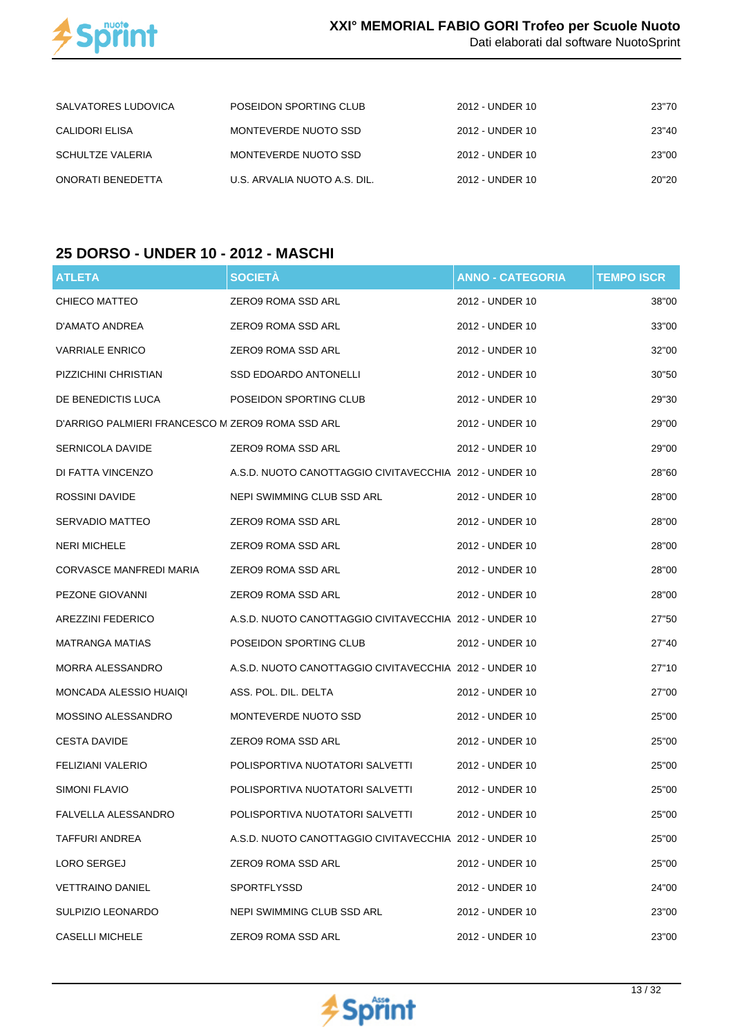

| SALVATORES LUDOVICA     | POSEIDON SPORTING CLUB       | 2012 - UNDER 10 | 23"70 |
|-------------------------|------------------------------|-----------------|-------|
| CALIDORI ELISA          | MONTEVERDE NUOTO SSD         | 2012 - UNDER 10 | 23"40 |
| <b>SCHULTZE VALERIA</b> | MONTEVERDE NUOTO SSD         | 2012 - UNDER 10 | 23"00 |
| ONORATI BENEDETTA       | U.S. ARVALIA NUOTO A.S. DIL. | 2012 - UNDER 10 | 20"20 |

## **25 DORSO - UNDER 10 - 2012 - MASCHI**

| <b>ATLETA</b>                                    | <b>SOCIETA</b>                                         | <b>ANNO - CATEGORIA</b> | <b>TEMPO ISCR</b> |
|--------------------------------------------------|--------------------------------------------------------|-------------------------|-------------------|
| CHIECO MATTEO                                    | ZERO9 ROMA SSD ARL                                     | 2012 - UNDER 10         | 38"00             |
| D'AMATO ANDREA                                   | ZERO9 ROMA SSD ARL                                     | 2012 - UNDER 10         | 33"00             |
| <b>VARRIALE ENRICO</b>                           | ZERO9 ROMA SSD ARL                                     | 2012 - UNDER 10         | 32"00             |
| PIZZICHINI CHRISTIAN                             | SSD EDOARDO ANTONELLI                                  | 2012 - UNDER 10         | 30"50             |
| DE BENEDICTIS LUCA                               | POSEIDON SPORTING CLUB                                 | 2012 - UNDER 10         | 29"30             |
| D'ARRIGO PALMIERI FRANCESCO M ZERO9 ROMA SSD ARL |                                                        | 2012 - UNDER 10         | 29"00             |
| SERNICOLA DAVIDE                                 | ZERO9 ROMA SSD ARL                                     | 2012 - UNDER 10         | 29"00             |
| DI FATTA VINCENZO                                | A.S.D. NUOTO CANOTTAGGIO CIVITAVECCHIA 2012 - UNDER 10 |                         | 28"60             |
| ROSSINI DAVIDE                                   | NEPI SWIMMING CLUB SSD ARL                             | 2012 - UNDER 10         | 28"00             |
| SERVADIO MATTEO                                  | ZERO9 ROMA SSD ARL                                     | 2012 - UNDER 10         | 28"00             |
| <b>NERI MICHELE</b>                              | ZERO9 ROMA SSD ARL                                     | 2012 - UNDER 10         | 28"00             |
| <b>CORVASCE MANFREDI MARIA</b>                   | ZERO9 ROMA SSD ARL                                     | 2012 - UNDER 10         | 28"00             |
| PEZONE GIOVANNI                                  | ZERO9 ROMA SSD ARL                                     | 2012 - UNDER 10         | 28"00             |
| AREZZINI FEDERICO                                | A.S.D. NUOTO CANOTTAGGIO CIVITAVECCHIA 2012 - UNDER 10 |                         | 27"50             |
| MATRANGA MATIAS                                  | POSEIDON SPORTING CLUB                                 | 2012 - UNDER 10         | 27"40             |
| MORRA ALESSANDRO                                 | A.S.D. NUOTO CANOTTAGGIO CIVITAVECCHIA 2012 - UNDER 10 |                         | 27"10             |
| MONCADA ALESSIO HUAIQI                           | ASS. POL. DIL. DELTA                                   | 2012 - UNDER 10         | 27"00             |
| MOSSINO ALESSANDRO                               | MONTEVERDE NUOTO SSD                                   | 2012 - UNDER 10         | 25"00             |
| <b>CESTA DAVIDE</b>                              | ZERO9 ROMA SSD ARL                                     | 2012 - UNDER 10         | 25"00             |
| FELIZIANI VALERIO                                | POLISPORTIVA NUOTATORI SALVETTI                        | 2012 - UNDER 10         | 25"00             |
| SIMONI FLAVIO                                    | POLISPORTIVA NUOTATORI SALVETTI                        | 2012 - UNDER 10         | 25"00             |
| FALVELLA ALESSANDRO                              | POLISPORTIVA NUOTATORI SALVETTI                        | 2012 - UNDER 10         | 25"00             |
| TAFFURI ANDREA                                   | A.S.D. NUOTO CANOTTAGGIO CIVITAVECCHIA 2012 - UNDER 10 |                         | 25"00             |
| LORO SERGEJ                                      | ZERO9 ROMA SSD ARL                                     | 2012 - UNDER 10         | 25"00             |
| VETTRAINO DANIEL                                 | SPORTFLYSSD                                            | 2012 - UNDER 10         | 24"00             |
| SULPIZIO LEONARDO                                | NEPI SWIMMING CLUB SSD ARL                             | 2012 - UNDER 10         | 23"00             |
| <b>CASELLI MICHELE</b>                           | ZERO9 ROMA SSD ARL                                     | 2012 - UNDER 10         | 23"00             |

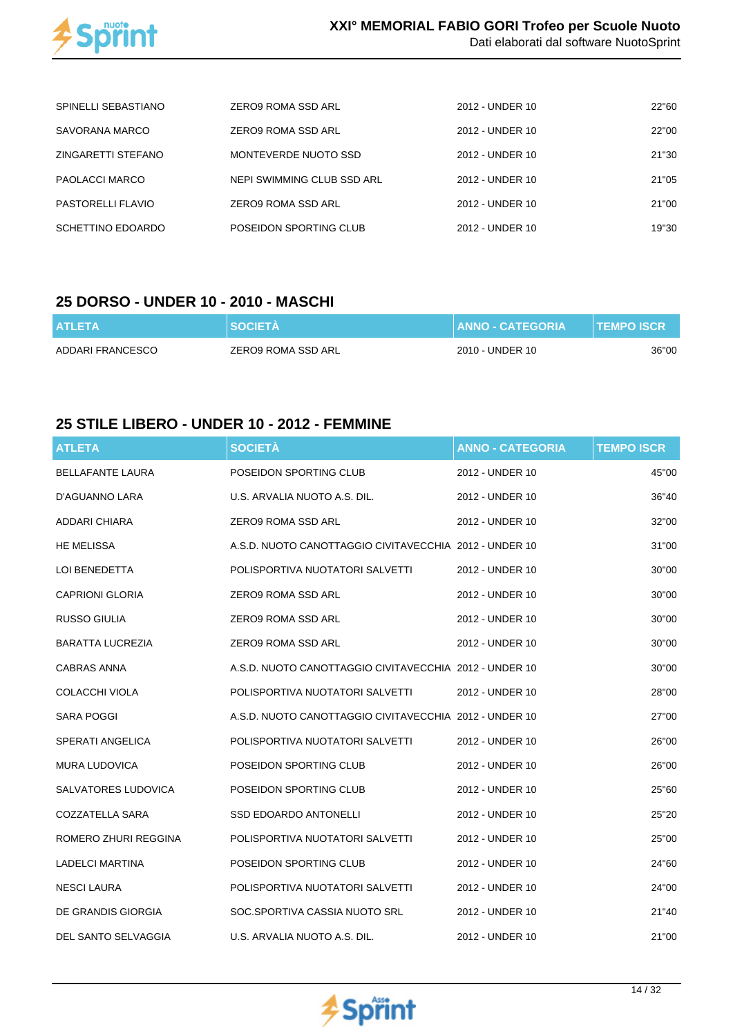

| SPINELLI SEBASTIANO      | ZERO9 ROMA SSD ARL         | 2012 - UNDER 10 | 22"60 |
|--------------------------|----------------------------|-----------------|-------|
| SAVORANA MARCO           | ZERO9 ROMA SSD ARL         | 2012 - UNDER 10 | 22"00 |
| ZINGARETTI STEFANO       | MONTEVERDE NUOTO SSD       | 2012 - UNDER 10 | 21"30 |
| PAOLACCI MARCO           | NEPI SWIMMING CLUB SSD ARL | 2012 - UNDER 10 | 21"05 |
| <b>PASTORELLI FLAVIO</b> | ZERO9 ROMA SSD ARL         | 2012 - UNDER 10 | 21"00 |
| SCHETTINO EDOARDO        | POSEIDON SPORTING CLUB     | 2012 - UNDER 10 | 19"30 |

#### **25 DORSO - UNDER 10 - 2010 - MASCHI**

| <b>ATLETA</b>    | <b>SOCIETA</b>     | I ANNO - CATEGORIA ' | <b>TEMPO ISCR</b> |
|------------------|--------------------|----------------------|-------------------|
| ADDARI FRANCESCO | ZERO9 ROMA SSD ARL | 2010 - UNDER 10      | 36"00             |

#### **25 STILE LIBERO - UNDER 10 - 2012 - FEMMINE**

| <b>ATLETA</b>           | <b>SOCIETÀ</b>                                         | <b>ANNO - CATEGORIA</b> | <b>TEMPO ISCR</b> |
|-------------------------|--------------------------------------------------------|-------------------------|-------------------|
| <b>BELLAFANTE LAURA</b> | POSEIDON SPORTING CLUB                                 | 2012 - UNDER 10         | 45"00             |
| D'AGUANNO LARA          | U.S. ARVALIA NUOTO A.S. DIL.                           | 2012 - UNDER 10         | 36"40             |
| ADDARI CHIARA           | ZERO9 ROMA SSD ARL                                     | 2012 - UNDER 10         | 32"00             |
| <b>HE MELISSA</b>       | A.S.D. NUOTO CANOTTAGGIO CIVITAVECCHIA 2012 - UNDER 10 |                         | 31"00             |
| LOI BENEDETTA           | POLISPORTIVA NUOTATORI SALVETTI                        | 2012 - UNDER 10         | 30"00             |
| <b>CAPRIONI GLORIA</b>  | ZERO9 ROMA SSD ARL                                     | 2012 - UNDER 10         | 30"00             |
| <b>RUSSO GIULIA</b>     | ZERO9 ROMA SSD ARL                                     | 2012 - UNDER 10         | 30"00             |
| <b>BARATTA LUCREZIA</b> | ZERO9 ROMA SSD ARL                                     | 2012 - UNDER 10         | 30"00             |
| <b>CABRAS ANNA</b>      | A.S.D. NUOTO CANOTTAGGIO CIVITAVECCHIA 2012 - UNDER 10 |                         | 30"00             |
| COLACCHI VIOLA          | POLISPORTIVA NUOTATORI SALVETTI                        | 2012 - UNDER 10         | 28"00             |
| <b>SARA POGGI</b>       | A.S.D. NUOTO CANOTTAGGIO CIVITAVECCHIA 2012 - UNDER 10 |                         | 27"00             |
| SPERATI ANGELICA        | POLISPORTIVA NUOTATORI SALVETTI                        | 2012 - UNDER 10         | 26"00             |
| MURA LUDOVICA           | POSEIDON SPORTING CLUB                                 | 2012 - UNDER 10         | 26"00             |
| SALVATORES LUDOVICA     | POSEIDON SPORTING CLUB                                 | 2012 - UNDER 10         | 25"60             |
| COZZATELLA SARA         | SSD EDOARDO ANTONELLI                                  | 2012 - UNDER 10         | 25"20             |
| ROMERO ZHURI REGGINA    | POLISPORTIVA NUOTATORI SALVETTI                        | 2012 - UNDER 10         | 25"00             |
| LADELCI MARTINA         | POSEIDON SPORTING CLUB                                 | 2012 - UNDER 10         | 24"60             |
| <b>NESCI LAURA</b>      | POLISPORTIVA NUOTATORI SALVETTI                        | 2012 - UNDER 10         | 24"00             |
| DE GRANDIS GIORGIA      | SOC.SPORTIVA CASSIA NUOTO SRL                          | 2012 - UNDER 10         | 21"40             |
| DEL SANTO SELVAGGIA     | U.S. ARVALIA NUOTO A.S. DIL.                           | 2012 - UNDER 10         | 21"00             |

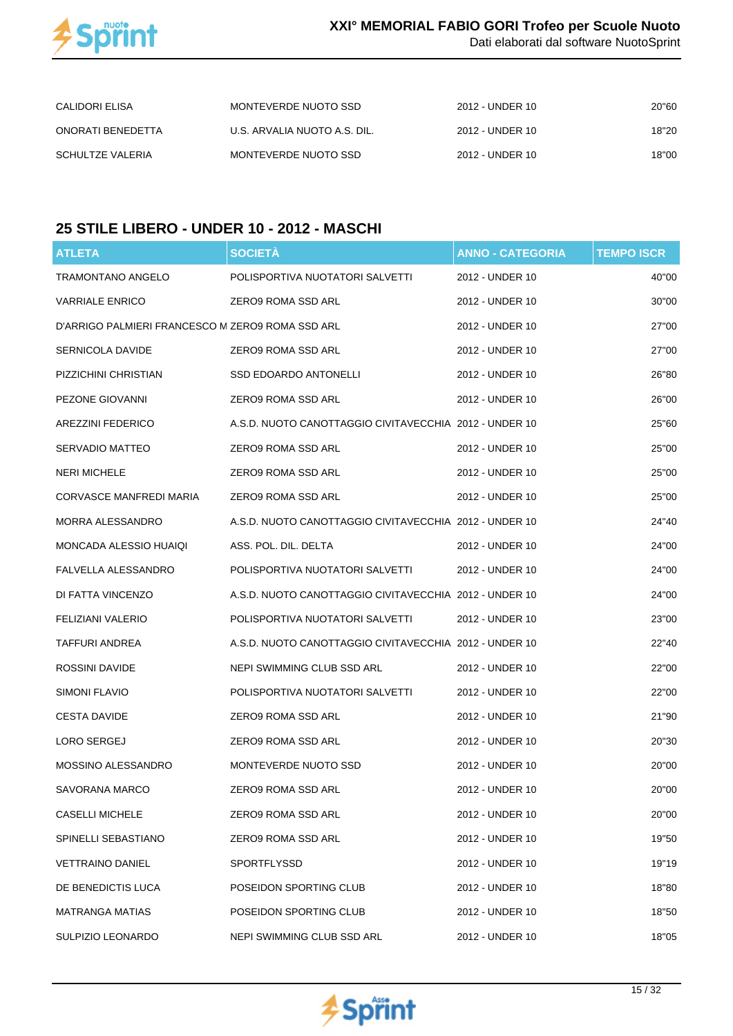

Dati elaborati dal software NuotoSprint

| CALIDORI ELISA    | MONTEVERDE NUOTO SSD         | 2012 - UNDER 10 | 20"60 |
|-------------------|------------------------------|-----------------|-------|
| ONORATI BENEDETTA | U.S. ARVALIA NUOTO A.S. DIL. | 2012 - UNDER 10 | 18"20 |
| SCHULTZE VALERIA  | MONTEVERDE NUOTO SSD         | 2012 - UNDER 10 | 18"00 |

## **25 STILE LIBERO - UNDER 10 - 2012 - MASCHI**

| <b>ATLETA</b>                                    | <b>SOCIETÀ</b>                                         | <b>ANNO - CATEGORIA</b> | <b>TEMPO ISCR</b> |
|--------------------------------------------------|--------------------------------------------------------|-------------------------|-------------------|
| <b>TRAMONTANO ANGELO</b>                         | POLISPORTIVA NUOTATORI SALVETTI                        | 2012 - UNDER 10         | 40"00             |
| <b>VARRIALE ENRICO</b>                           | ZERO9 ROMA SSD ARL                                     | 2012 - UNDER 10         | 30"00             |
| D'ARRIGO PALMIERI FRANCESCO M ZERO9 ROMA SSD ARL |                                                        | 2012 - UNDER 10         | 27"00             |
| SERNICOLA DAVIDE                                 | ZERO9 ROMA SSD ARL                                     | 2012 - UNDER 10         | 27"00             |
| PIZZICHINI CHRISTIAN                             | <b>SSD EDOARDO ANTONELLI</b>                           | 2012 - UNDER 10         | 26"80             |
| PEZONE GIOVANNI                                  | ZERO9 ROMA SSD ARL                                     | 2012 - UNDER 10         | 26"00             |
| <b>AREZZINI FEDERICO</b>                         | A.S.D. NUOTO CANOTTAGGIO CIVITAVECCHIA 2012 - UNDER 10 |                         | 25"60             |
| SERVADIO MATTEO                                  | ZERO9 ROMA SSD ARL                                     | 2012 - UNDER 10         | 25"00             |
| <b>NERI MICHELE</b>                              | ZERO9 ROMA SSD ARL                                     | 2012 - UNDER 10         | 25"00             |
| CORVASCE MANFREDI MARIA                          | ZERO9 ROMA SSD ARL                                     | 2012 - UNDER 10         | 25"00             |
| MORRA ALESSANDRO                                 | A.S.D. NUOTO CANOTTAGGIO CIVITAVECCHIA 2012 - UNDER 10 |                         | 24"40             |
| MONCADA ALESSIO HUAIQI                           | ASS. POL. DIL. DELTA                                   | 2012 - UNDER 10         | 24"00             |
| FALVELLA ALESSANDRO                              | POLISPORTIVA NUOTATORI SALVETTI                        | 2012 - UNDER 10         | 24"00             |
| DI FATTA VINCENZO                                | A.S.D. NUOTO CANOTTAGGIO CIVITAVECCHIA 2012 - UNDER 10 |                         | 24"00             |
| FELIZIANI VALERIO                                | POLISPORTIVA NUOTATORI SALVETTI                        | 2012 - UNDER 10         | 23"00             |
| TAFFURI ANDREA                                   | A.S.D. NUOTO CANOTTAGGIO CIVITAVECCHIA 2012 - UNDER 10 |                         | 22"40             |
| ROSSINI DAVIDE                                   | NEPI SWIMMING CLUB SSD ARL                             | 2012 - UNDER 10         | 22"00             |
| SIMONI FLAVIO                                    | POLISPORTIVA NUOTATORI SALVETTI                        | 2012 - UNDER 10         | 22"00             |
| <b>CESTA DAVIDE</b>                              | ZERO9 ROMA SSD ARL                                     | 2012 - UNDER 10         | 21"90             |
| LORO SERGEJ                                      | ZERO9 ROMA SSD ARL                                     | 2012 - UNDER 10         | 20"30             |
| MOSSINO ALESSANDRO                               | MONTEVERDE NUOTO SSD                                   | 2012 - UNDER 10         | 20"00             |
| SAVORANA MARCO                                   | ZERO9 ROMA SSD ARL                                     | 2012 - UNDER 10         | 20"00             |
| <b>CASELLI MICHELE</b>                           | ZERO9 ROMA SSD ARL                                     | 2012 - UNDER 10         | 20"00             |
| SPINELLI SEBASTIANO                              | ZERO9 ROMA SSD ARL                                     | 2012 - UNDER 10         | 19"50             |
| <b>VETTRAINO DANIEL</b>                          | <b>SPORTFLYSSD</b>                                     | 2012 - UNDER 10         | 19"19             |
| DE BENEDICTIS LUCA                               | POSEIDON SPORTING CLUB                                 | 2012 - UNDER 10         | 18"80             |
| <b>MATRANGA MATIAS</b>                           | POSEIDON SPORTING CLUB                                 | 2012 - UNDER 10         | 18"50             |
| SULPIZIO LEONARDO                                | NEPI SWIMMING CLUB SSD ARL                             | 2012 - UNDER 10         | 18"05             |

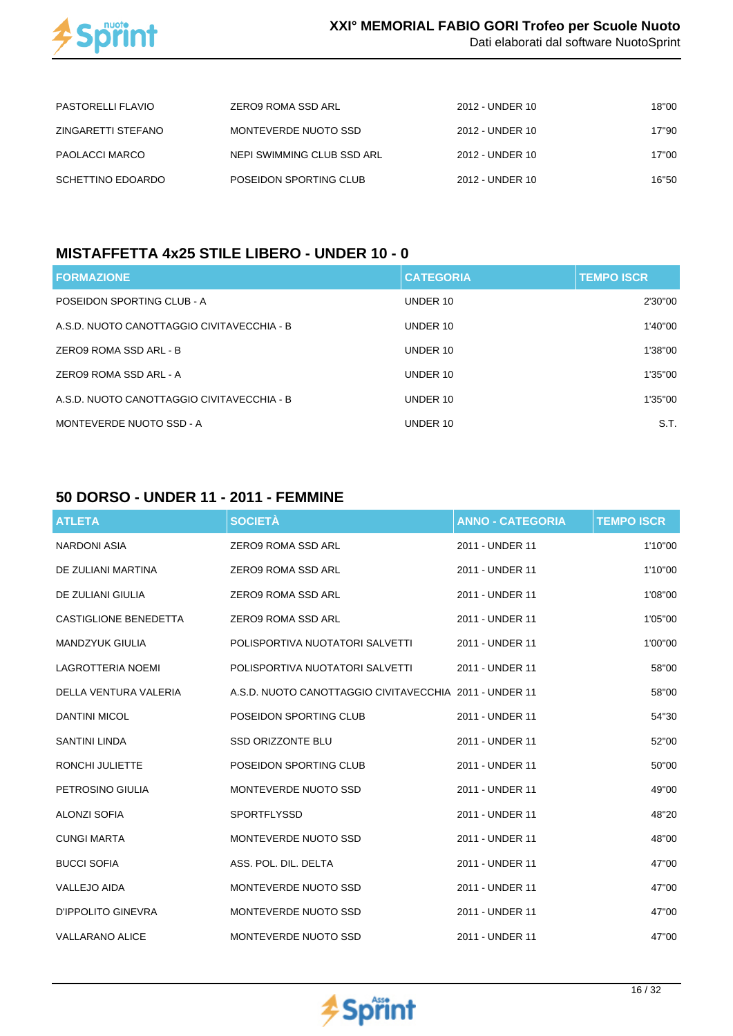

| <b>PASTORELLI FLAVIO</b> | ZERO9 ROMA SSD ARL         | 2012 - UNDER 10 | 18"00 |
|--------------------------|----------------------------|-----------------|-------|
| ZINGARETTI STEFANO       | MONTEVERDE NUOTO SSD       | 2012 - UNDER 10 | 17"90 |
| PAOLACCI MARCO           | NEPI SWIMMING CLUB SSD ARL | 2012 - UNDER 10 | 17"00 |
| SCHETTINO EDOARDO        | POSEIDON SPORTING CLUB     | 2012 - UNDER 10 | 16"50 |

#### **MISTAFFETTA 4x25 STILE LIBERO - UNDER 10 - 0**

| <b>FORMAZIONE</b>                          | <b>CATEGORIA</b> | <b>TEMPO ISCR</b> |
|--------------------------------------------|------------------|-------------------|
| POSEIDON SPORTING CLUB - A                 | UNDER 10         | 2'30"00           |
| A.S.D. NUOTO CANOTTAGGIO CIVITAVECCHIA - B | UNDER 10         | 1'40"00           |
| ZERO9 ROMA SSD ARL - B                     | UNDER 10         | 1'38"00           |
| ZERO9 ROMA SSD ARL - A                     | UNDER 10         | 1'35"00           |
| A.S.D. NUOTO CANOTTAGGIO CIVITAVECCHIA - B | UNDER 10         | 1'35"00           |
| MONTEVERDE NUOTO SSD - A                   | UNDER 10         | S.T.              |

#### **50 DORSO - UNDER 11 - 2011 - FEMMINE**

| <b>ATLETA</b>            | <b>SOCIETÀ</b>                                         | <b>ANNO - CATEGORIA</b> | <b>TEMPO ISCR</b> |
|--------------------------|--------------------------------------------------------|-------------------------|-------------------|
| NARDONI ASIA             | <b>ZERO9 ROMA SSD ARL</b>                              | 2011 - UNDER 11         | 1'10"00           |
| DE ZULIANI MARTINA       | <b>ZERO9 ROMA SSD ARL</b>                              | 2011 - UNDER 11         | 1'10"00           |
| DE ZULIANI GIULIA        | ZERO9 ROMA SSD ARL                                     | 2011 - UNDER 11         | 1'08"00           |
| CASTIGLIONE BENEDETTA    | ZERO9 ROMA SSD ARL                                     | 2011 - UNDER 11         | 1'05"00           |
| <b>MANDZYUK GIULIA</b>   | POLISPORTIVA NUOTATORI SALVETTI                        | 2011 - UNDER 11         | 1'00"00           |
| <b>LAGROTTERIA NOEMI</b> | POLISPORTIVA NUOTATORI SALVETTI                        | 2011 - UNDER 11         | 58"00             |
| DELLA VENTURA VALERIA    | A.S.D. NUOTO CANOTTAGGIO CIVITAVECCHIA 2011 - UNDER 11 |                         | 58"00             |
| <b>DANTINI MICOL</b>     | POSEIDON SPORTING CLUB                                 | 2011 - UNDER 11         | 54"30             |
| <b>SANTINI LINDA</b>     | <b>SSD ORIZZONTE BLU</b>                               | 2011 - UNDER 11         | 52"00             |
| <b>RONCHI JULIETTE</b>   | POSEIDON SPORTING CLUB                                 | 2011 - UNDER 11         | 50"00             |
| PETROSINO GIULIA         | MONTEVERDE NUOTO SSD                                   | 2011 - UNDER 11         | 49"00             |
| <b>ALONZI SOFIA</b>      | <b>SPORTFLYSSD</b>                                     | 2011 - UNDER 11         | 48"20             |
| <b>CUNGI MARTA</b>       | MONTEVERDE NUOTO SSD                                   | 2011 - UNDER 11         | 48"00             |
| <b>BUCCI SOFIA</b>       | ASS. POL. DIL. DELTA                                   | 2011 - UNDER 11         | 47"00             |
| <b>VALLEJO AIDA</b>      | MONTEVERDE NUOTO SSD                                   | 2011 - UNDER 11         | 47"00             |
| D'IPPOLITO GINEVRA       | MONTEVERDE NUOTO SSD                                   | 2011 - UNDER 11         | 47"00             |
| <b>VALLARANO ALICE</b>   | MONTEVERDE NUOTO SSD                                   | 2011 - UNDER 11         | 47"00             |

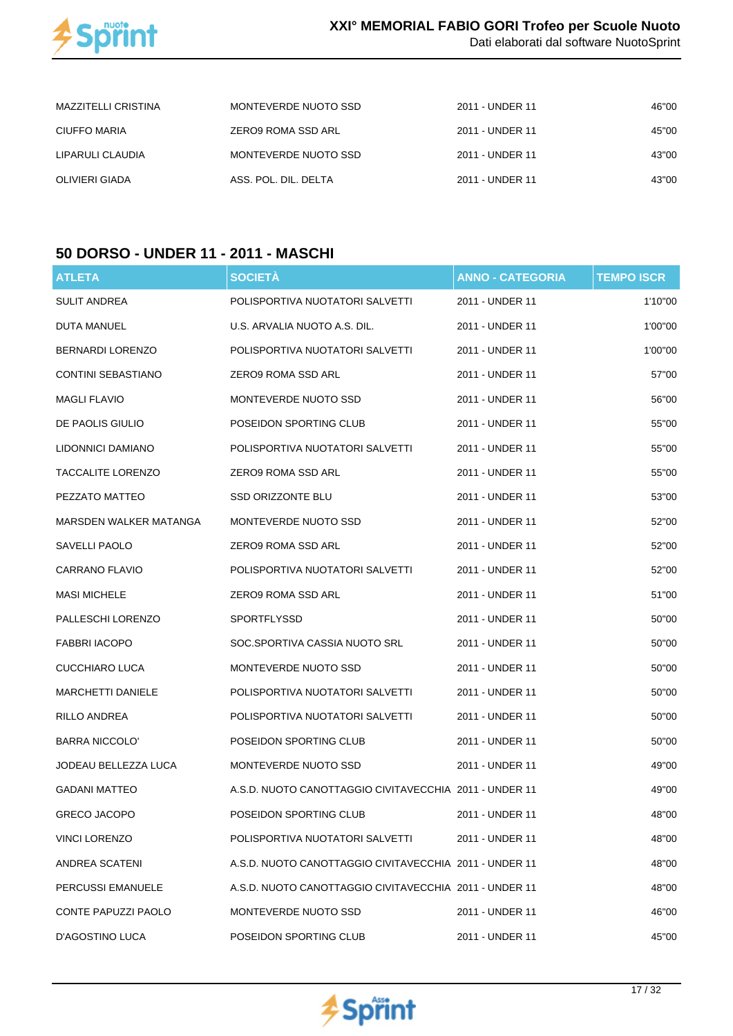

| MAZZITELLI CRISTINA | MONTEVERDE NUOTO SSD | 2011 - UNDER 11 | 46"00 |
|---------------------|----------------------|-----------------|-------|
| CIUFFO MARIA        | ZERO9 ROMA SSD ARL   | 2011 - UNDER 11 | 45"00 |
| LIPARULI CLAUDIA    | MONTEVERDE NUOTO SSD | 2011 - UNDER 11 | 43"00 |
| OLIVIERI GIADA      | ASS. POL. DIL. DELTA | 2011 - UNDER 11 | 43"00 |

## **50 DORSO - UNDER 11 - 2011 - MASCHI**

| <b>ATLETA</b>             | <b>SOCIETÀ</b>                                         | <b>ANNO - CATEGORIA</b> | <b>TEMPO ISCR</b> |
|---------------------------|--------------------------------------------------------|-------------------------|-------------------|
| <b>SULIT ANDREA</b>       | POLISPORTIVA NUOTATORI SALVETTI                        | 2011 - UNDER 11         | 1'10"00           |
| DUTA MANUEL               | U.S. ARVALIA NUOTO A.S. DIL.                           | 2011 - UNDER 11         | 1'00"00           |
| <b>BERNARDI LORENZO</b>   | POLISPORTIVA NUOTATORI SALVETTI                        | 2011 - UNDER 11         | 1'00"00           |
| <b>CONTINI SEBASTIANO</b> | ZERO9 ROMA SSD ARL                                     | 2011 - UNDER 11         | 57"00             |
| <b>MAGLI FLAVIO</b>       | MONTEVERDE NUOTO SSD                                   | 2011 - UNDER 11         | 56"00             |
| DE PAOLIS GIULIO          | POSEIDON SPORTING CLUB                                 | 2011 - UNDER 11         | 55"00             |
| LIDONNICI DAMIANO         | POLISPORTIVA NUOTATORI SALVETTI                        | 2011 - UNDER 11         | 55"00             |
| <b>TACCALITE LORENZO</b>  | ZERO9 ROMA SSD ARL                                     | 2011 - UNDER 11         | 55"00             |
| PEZZATO MATTEO            | <b>SSD ORIZZONTE BLU</b>                               | 2011 - UNDER 11         | 53"00             |
| MARSDEN WALKER MATANGA    | MONTEVERDE NUOTO SSD                                   | 2011 - UNDER 11         | 52"00             |
| SAVELLI PAOLO             | ZERO9 ROMA SSD ARL                                     | 2011 - UNDER 11         | 52"00             |
| CARRANO FLAVIO            | POLISPORTIVA NUOTATORI SALVETTI                        | 2011 - UNDER 11         | 52"00             |
| <b>MASI MICHELE</b>       | ZERO9 ROMA SSD ARL                                     | 2011 - UNDER 11         | 51"00             |
| PALLESCHI LORENZO         | SPORTFLYSSD                                            | 2011 - UNDER 11         | 50"00             |
| FABBRI IACOPO             | SOC.SPORTIVA CASSIA NUOTO SRL                          | 2011 - UNDER 11         | 50"00             |
| CUCCHIARO LUCA            | MONTEVERDE NUOTO SSD                                   | 2011 - UNDER 11         | 50"00             |
| <b>MARCHETTI DANIELE</b>  | POLISPORTIVA NUOTATORI SALVETTI                        | 2011 - UNDER 11         | 50"00             |
| RILLO ANDREA              | POLISPORTIVA NUOTATORI SALVETTI                        | 2011 - UNDER 11         | 50"00             |
| <b>BARRA NICCOLO'</b>     | POSEIDON SPORTING CLUB                                 | 2011 - UNDER 11         | 50"00             |
| JODEAU BELLEZZA LUCA      | MONTEVERDE NUOTO SSD                                   | 2011 - UNDER 11         | 49"00             |
| <b>GADANI MATTEO</b>      | A.S.D. NUOTO CANOTTAGGIO CIVITAVECCHIA 2011 - UNDER 11 |                         | 49"00             |
| <b>GRECO JACOPO</b>       | POSEIDON SPORTING CLUB                                 | 2011 - UNDER 11         | 48"00             |
| <b>VINCI LORENZO</b>      | POLISPORTIVA NUOTATORI SALVETTI                        | 2011 - UNDER 11         | 48"00             |
| ANDREA SCATENI            | A.S.D. NUOTO CANOTTAGGIO CIVITAVECCHIA 2011 - UNDER 11 |                         | 48"00             |
| PERCUSSI EMANUELE         | A.S.D. NUOTO CANOTTAGGIO CIVITAVECCHIA 2011 - UNDER 11 |                         | 48"00             |
| CONTE PAPUZZI PAOLO       | MONTEVERDE NUOTO SSD                                   | 2011 - UNDER 11         | 46"00             |
| <b>D'AGOSTINO LUCA</b>    | POSEIDON SPORTING CLUB                                 | 2011 - UNDER 11         | 45"00             |

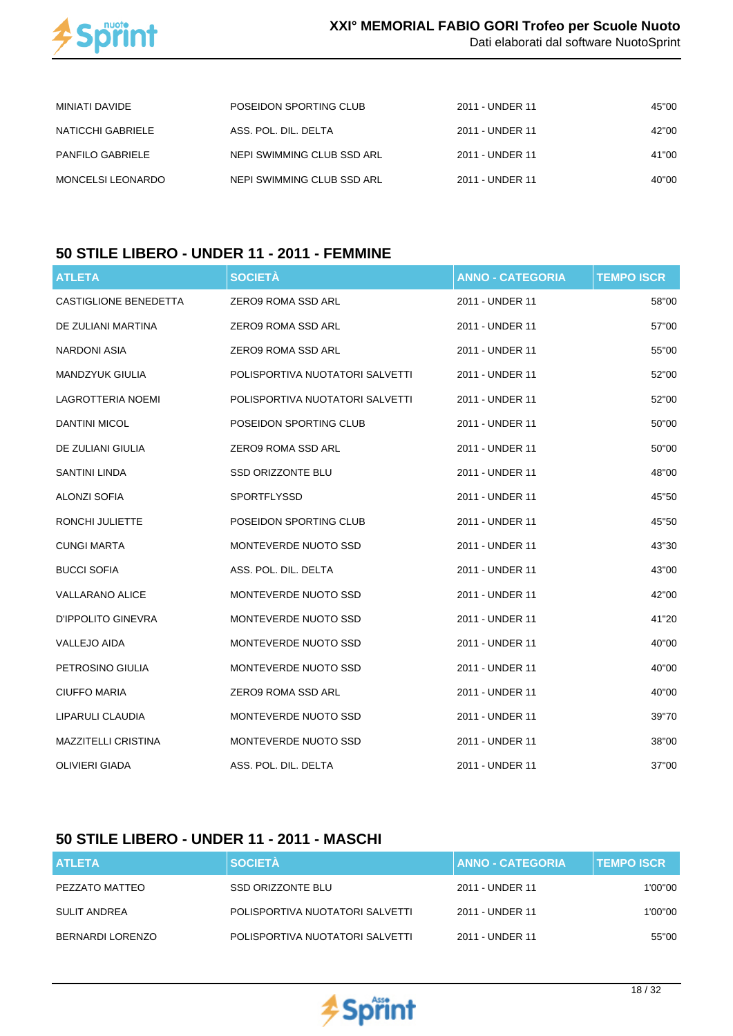

| Dati elaborati dal software NuotoSprint |  |  |
|-----------------------------------------|--|--|
|                                         |  |  |

| MINIATI DAVIDE           | POSEIDON SPORTING CLUB     | 2011 - UNDER 11 | 45"00 |
|--------------------------|----------------------------|-----------------|-------|
| NATICCHI GABRIELE        | ASS. POL. DIL. DELTA       | 2011 - UNDER 11 | 42"00 |
| <b>PANFILO GABRIELE</b>  | NEPI SWIMMING CLUB SSD ARL | 2011 - UNDER 11 | 41"00 |
| <b>MONCELSI LEONARDO</b> | NEPI SWIMMING CLUB SSD ARL | 2011 - UNDER 11 | 40"00 |

#### **50 STILE LIBERO - UNDER 11 - 2011 - FEMMINE**

| <b>ATLETA</b>                | <b>SOCIETÀ</b>                  | <b>ANNO - CATEGORIA</b> | <b>TEMPO ISCR</b> |
|------------------------------|---------------------------------|-------------------------|-------------------|
| <b>CASTIGLIONE BENEDETTA</b> | ZERO9 ROMA SSD ARL              | 2011 - UNDER 11         | 58"00             |
| DE ZULIANI MARTINA           | ZERO9 ROMA SSD ARL              | 2011 - UNDER 11         | 57"00             |
| <b>NARDONI ASIA</b>          | ZERO9 ROMA SSD ARL              | 2011 - UNDER 11         | 55"00             |
| <b>MANDZYUK GIULIA</b>       | POLISPORTIVA NUOTATORI SALVETTI | 2011 - UNDER 11         | 52"00             |
| <b>LAGROTTERIA NOEMI</b>     | POLISPORTIVA NUOTATORI SALVETTI | 2011 - UNDER 11         | 52"00             |
| <b>DANTINI MICOL</b>         | POSEIDON SPORTING CLUB          | 2011 - UNDER 11         | 50"00             |
| DE ZULIANI GIULIA            | <b>ZERO9 ROMA SSD ARL</b>       | 2011 - UNDER 11         | 50"00             |
| <b>SANTINI LINDA</b>         | SSD ORIZZONTE BLU               | 2011 - UNDER 11         | 48"00             |
| <b>ALONZI SOFIA</b>          | SPORTFLYSSD                     | 2011 - UNDER 11         | 45"50             |
| RONCHI JULIETTE              | POSEIDON SPORTING CLUB          | 2011 - UNDER 11         | 45"50             |
| <b>CUNGI MARTA</b>           | MONTEVERDE NUOTO SSD            | 2011 - UNDER 11         | 43"30             |
| <b>BUCCI SOFIA</b>           | ASS. POL. DIL. DELTA            | 2011 - UNDER 11         | 43"00             |
| <b>VALLARANO ALICE</b>       | MONTEVERDE NUOTO SSD            | 2011 - UNDER 11         | 42"00             |
| <b>D'IPPOLITO GINEVRA</b>    | MONTEVERDE NUOTO SSD            | 2011 - UNDER 11         | 41"20             |
| <b>VALLEJO AIDA</b>          | MONTEVERDE NUOTO SSD            | 2011 - UNDER 11         | 40"00             |
| PETROSINO GIULIA             | MONTEVERDE NUOTO SSD            | 2011 - UNDER 11         | 40"00             |
| <b>CIUFFO MARIA</b>          | ZERO9 ROMA SSD ARL              | 2011 - UNDER 11         | 40"00             |
| LIPARULI CLAUDIA             | MONTEVERDE NUOTO SSD            | 2011 - UNDER 11         | 39"70             |
| MAZZITELLI CRISTINA          | MONTEVERDE NUOTO SSD            | 2011 - UNDER 11         | 38"00             |
| <b>OLIVIERI GIADA</b>        | ASS. POL. DIL. DELTA            | 2011 - UNDER 11         | 37"00             |

#### **50 STILE LIBERO - UNDER 11 - 2011 - MASCHI**

| <b>ATLETA</b>    | <b>SOCIETÀ</b>                  | <b>ANNO - CATEGORIA</b> | <b>TEMPO ISCR</b> |
|------------------|---------------------------------|-------------------------|-------------------|
| PEZZATO MATTEO   | SSD ORIZZONTE BLU               | 2011 - UNDER 11         | 1'00"00           |
| SULIT ANDREA     | POLISPORTIVA NUOTATORI SALVETTI | 2011 - UNDER 11         | 1'00''00          |
| BERNARDI LORENZO | POLISPORTIVA NUOTATORI SALVETTI | 2011 - UNDER 11         | 55"00             |

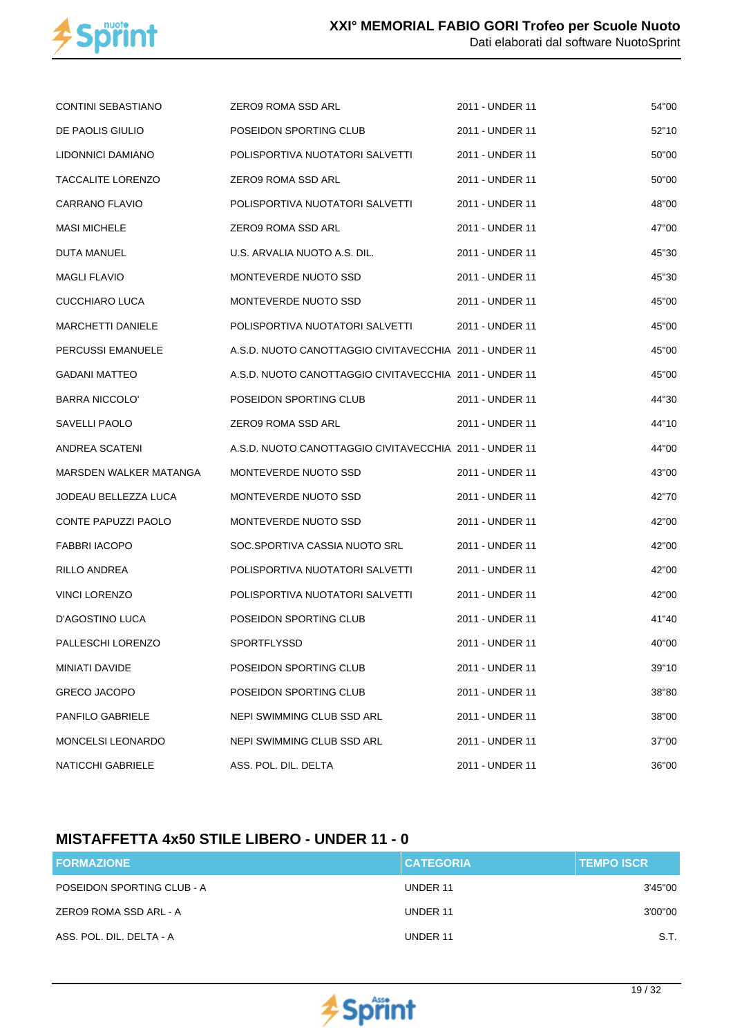

| <b>CONTINI SEBASTIANO</b>  | ZERO9 ROMA SSD ARL                                     | 2011 - UNDER 11 | 54"00 |
|----------------------------|--------------------------------------------------------|-----------------|-------|
| DE PAOLIS GIULIO           | POSEIDON SPORTING CLUB                                 | 2011 - UNDER 11 | 52"10 |
| LIDONNICI DAMIANO          | POLISPORTIVA NUOTATORI SALVETTI                        | 2011 - UNDER 11 | 50"00 |
| <b>TACCALITE LORENZO</b>   | ZERO9 ROMA SSD ARL                                     | 2011 - UNDER 11 | 50"00 |
| CARRANO FLAVIO             | POLISPORTIVA NUOTATORI SALVETTI                        | 2011 - UNDER 11 | 48"00 |
| <b>MASI MICHELE</b>        | ZERO9 ROMA SSD ARL                                     | 2011 - UNDER 11 | 47"00 |
| DUTA MANUEL                | U.S. ARVALIA NUOTO A.S. DIL.                           | 2011 - UNDER 11 | 45"30 |
| <b>MAGLI FLAVIO</b>        | MONTEVERDE NUOTO SSD                                   | 2011 - UNDER 11 | 45"30 |
| CUCCHIARO LUCA             | MONTEVERDE NUOTO SSD                                   | 2011 - UNDER 11 | 45"00 |
| <b>MARCHETTI DANIELE</b>   | POLISPORTIVA NUOTATORI SALVETTI                        | 2011 - UNDER 11 | 45"00 |
| PERCUSSI EMANUELE          | A.S.D. NUOTO CANOTTAGGIO CIVITAVECCHIA 2011 - UNDER 11 |                 | 45"00 |
| <b>GADANI MATTEO</b>       | A.S.D. NUOTO CANOTTAGGIO CIVITAVECCHIA 2011 - UNDER 11 |                 | 45"00 |
| <b>BARRA NICCOLO'</b>      | POSEIDON SPORTING CLUB                                 | 2011 - UNDER 11 | 44"30 |
| SAVELLI PAOLO              | ZERO9 ROMA SSD ARL                                     | 2011 - UNDER 11 | 44"10 |
| ANDREA SCATENI             | A.S.D. NUOTO CANOTTAGGIO CIVITAVECCHIA 2011 - UNDER 11 |                 | 44"00 |
| MARSDEN WALKER MATANGA     | MONTEVERDE NUOTO SSD                                   | 2011 - UNDER 11 | 43"00 |
| JODEAU BELLEZZA LUCA       | MONTEVERDE NUOTO SSD                                   | 2011 - UNDER 11 | 42"70 |
| <b>CONTE PAPUZZI PAOLO</b> | MONTEVERDE NUOTO SSD                                   | 2011 - UNDER 11 | 42"00 |
| <b>FABBRI IACOPO</b>       | SOC.SPORTIVA CASSIA NUOTO SRL                          | 2011 - UNDER 11 | 42"00 |
| RILLO ANDREA               | POLISPORTIVA NUOTATORI SALVETTI                        | 2011 - UNDER 11 | 42"00 |
| <b>VINCI LORENZO</b>       | POLISPORTIVA NUOTATORI SALVETTI                        | 2011 - UNDER 11 | 42"00 |
| D'AGOSTINO LUCA            | POSEIDON SPORTING CLUB                                 | 2011 - UNDER 11 | 41"40 |
| PALLESCHI LORENZO          | SPORTFLYSSD                                            | 2011 - UNDER 11 | 40"00 |
| MINIATI DAVIDE             | POSEIDON SPORTING CLUB                                 | 2011 - UNDER 11 | 39"10 |
| <b>GRECO JACOPO</b>        | POSEIDON SPORTING CLUB                                 | 2011 - UNDER 11 | 38"80 |
| PANFILO GABRIELE           | NEPI SWIMMING CLUB SSD ARL                             | 2011 - UNDER 11 | 38"00 |
| <b>MONCELSI LEONARDO</b>   | NEPI SWIMMING CLUB SSD ARL                             | 2011 - UNDER 11 | 37"00 |
| <b>NATICCHI GABRIELE</b>   | ASS. POL. DIL. DELTA                                   | 2011 - UNDER 11 | 36"00 |

## **MISTAFFETTA 4x50 STILE LIBERO - UNDER 11 - 0**

| <b>FORMAZIONE</b>          | <b>CATEGORIA</b> | <b>TEMPO ISCR</b> |
|----------------------------|------------------|-------------------|
| POSEIDON SPORTING CLUB - A | UNDER 11         | 3'45"00           |
| ZERO9 ROMA SSD ARL - A     | UNDER 11         | 3'00"00           |
| ASS. POL. DIL. DELTA - A   | UNDER 11         | S.T.              |

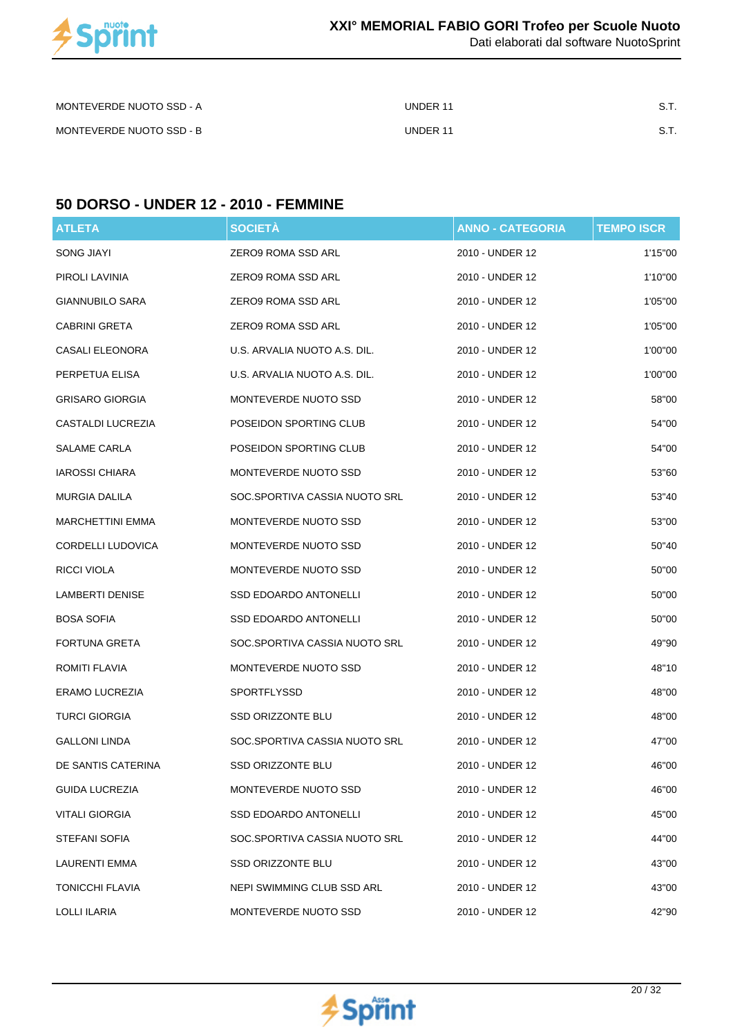

Dati elaborati dal software NuotoSprint

| MONTEVERDE NUOTO SSD - A | UNDER 11 |  |
|--------------------------|----------|--|
| MONTEVERDE NUOTO SSD - B | UNDER 11 |  |

### **50 DORSO - UNDER 12 - 2010 - FEMMINE**

| <b>ATLETA</b>            | <b>SOCIETÀ</b>                | <b>ANNO - CATEGORIA</b> | <b>TEMPO ISCR</b> |
|--------------------------|-------------------------------|-------------------------|-------------------|
| SONG JIAYI               | ZERO9 ROMA SSD ARL            | 2010 - UNDER 12         | 1'15"00           |
| PIROLI LAVINIA           | ZERO9 ROMA SSD ARL            | 2010 - UNDER 12         | 1'10"00           |
| <b>GIANNUBILO SARA</b>   | ZERO9 ROMA SSD ARL            | 2010 - UNDER 12         | 1'05"00           |
| CABRINI GRETA            | ZERO9 ROMA SSD ARL            | 2010 - UNDER 12         | 1'05"00           |
| CASALI ELEONORA          | U.S. ARVALIA NUOTO A.S. DIL.  | 2010 - UNDER 12         | 1'00"00           |
| PERPETUA ELISA           | U.S. ARVALIA NUOTO A.S. DIL.  | 2010 - UNDER 12         | 1'00"00           |
| <b>GRISARO GIORGIA</b>   | MONTEVERDE NUOTO SSD          | 2010 - UNDER 12         | 58"00             |
| CASTALDI LUCREZIA        | POSEIDON SPORTING CLUB        | 2010 - UNDER 12         | 54"00             |
| SALAME CARLA             | POSEIDON SPORTING CLUB        | 2010 - UNDER 12         | 54"00             |
| <b>IAROSSI CHIARA</b>    | MONTEVERDE NUOTO SSD          | 2010 - UNDER 12         | 53"60             |
| <b>MURGIA DALILA</b>     | SOC.SPORTIVA CASSIA NUOTO SRL | 2010 - UNDER 12         | 53"40             |
| <b>MARCHETTINI EMMA</b>  | MONTEVERDE NUOTO SSD          | 2010 - UNDER 12         | 53"00             |
| <b>CORDELLI LUDOVICA</b> | MONTEVERDE NUOTO SSD          | 2010 - UNDER 12         | 50"40             |
| RICCI VIOLA              | MONTEVERDE NUOTO SSD          | 2010 - UNDER 12         | 50"00             |
| <b>LAMBERTI DENISE</b>   | SSD EDOARDO ANTONELLI         | 2010 - UNDER 12         | 50"00             |
| <b>BOSA SOFIA</b>        | SSD EDOARDO ANTONELLI         | 2010 - UNDER 12         | 50"00             |
| FORTUNA GRETA            | SOC.SPORTIVA CASSIA NUOTO SRL | 2010 - UNDER 12         | 49"90             |
| ROMITI FLAVIA            | MONTEVERDE NUOTO SSD          | 2010 - UNDER 12         | 48"10             |
| ERAMO LUCREZIA           | SPORTFLYSSD                   | 2010 - UNDER 12         | 48"00             |
| <b>TURCI GIORGIA</b>     | SSD ORIZZONTE BLU             | 2010 - UNDER 12         | 48"00             |
| <b>GALLONI LINDA</b>     | SOC.SPORTIVA CASSIA NUOTO SRL | 2010 - UNDER 12         | 47"00             |
| DE SANTIS CATERINA       | SSD ORIZZONTE BLU             | 2010 - UNDER 12         | 46"00             |
| <b>GUIDA LUCREZIA</b>    | MONTEVERDE NUOTO SSD          | 2010 - UNDER 12         | 46"00             |
| <b>VITALI GIORGIA</b>    | SSD EDOARDO ANTONELLI         | 2010 - UNDER 12         | 45"00             |
| <b>STEFANI SOFIA</b>     | SOC.SPORTIVA CASSIA NUOTO SRL | 2010 - UNDER 12         | 44"00             |
| LAURENTI EMMA            | <b>SSD ORIZZONTE BLU</b>      | 2010 - UNDER 12         | 43"00             |
| TONICCHI FLAVIA          | NEPI SWIMMING CLUB SSD ARL    | 2010 - UNDER 12         | 43"00             |
| <b>LOLLI ILARIA</b>      | MONTEVERDE NUOTO SSD          | 2010 - UNDER 12         | 42"90             |

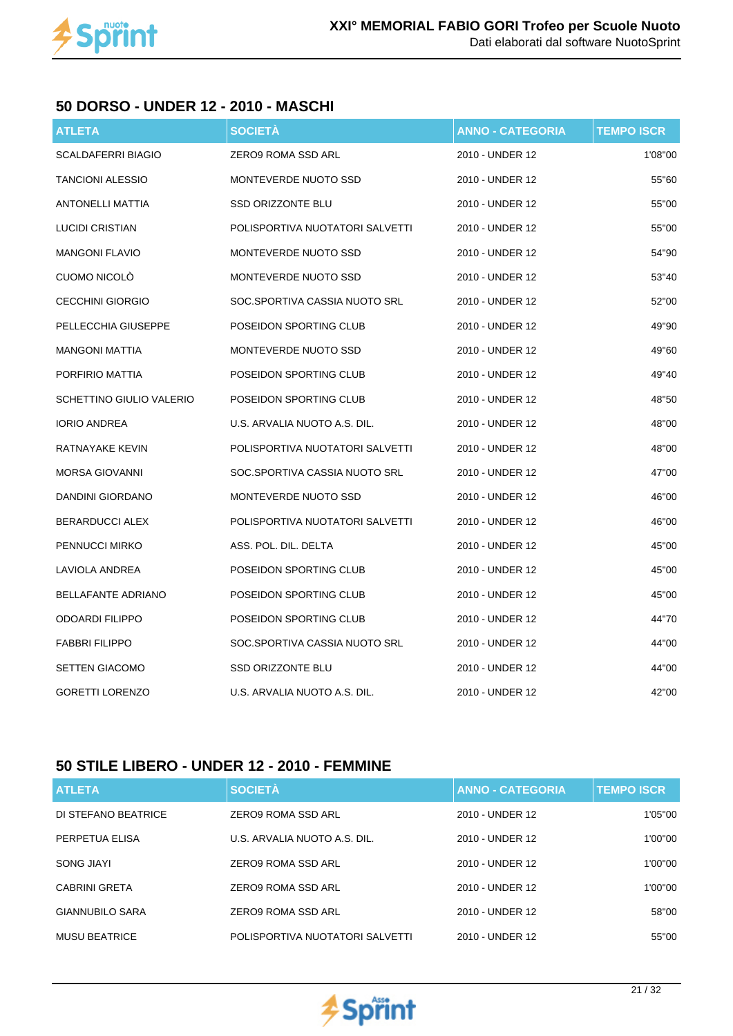

#### **50 DORSO - UNDER 12 - 2010 - MASCHI**

| <b>ATLETA</b>             | <b>SOCIETÀ</b>                  | <b>ANNO - CATEGORIA</b> | <b>TEMPO ISCR</b> |
|---------------------------|---------------------------------|-------------------------|-------------------|
| <b>SCALDAFERRI BIAGIO</b> | <b>ZERO9 ROMA SSD ARL</b>       | 2010 - UNDER 12         | 1'08"00           |
| <b>TANCIONI ALESSIO</b>   | MONTEVERDE NUOTO SSD            | 2010 - UNDER 12         | 55"60             |
| <b>ANTONELLI MATTIA</b>   | <b>SSD ORIZZONTE BLU</b>        | 2010 - UNDER 12         | 55"00             |
| <b>LUCIDI CRISTIAN</b>    | POLISPORTIVA NUOTATORI SALVETTI | 2010 - UNDER 12         | 55"00             |
| <b>MANGONI FLAVIO</b>     | MONTEVERDE NUOTO SSD            | 2010 - UNDER 12         | 54"90             |
| <b>CUOMO NICOLO</b>       | MONTEVERDE NUOTO SSD            | 2010 - UNDER 12         | 53"40             |
| <b>CECCHINI GIORGIO</b>   | SOC.SPORTIVA CASSIA NUOTO SRL   | 2010 - UNDER 12         | 52"00             |
| PELLECCHIA GIUSEPPE       | POSEIDON SPORTING CLUB          | 2010 - UNDER 12         | 49"90             |
| <b>MANGONI MATTIA</b>     | MONTEVERDE NUOTO SSD            | 2010 - UNDER 12         | 49"60             |
| PORFIRIO MATTIA           | POSEIDON SPORTING CLUB          | 2010 - UNDER 12         | 49"40             |
| SCHETTINO GIULIO VALERIO  | POSEIDON SPORTING CLUB          | 2010 - UNDER 12         | 48"50             |
| <b>IORIO ANDREA</b>       | U.S. ARVALIA NUOTO A.S. DIL.    | 2010 - UNDER 12         | 48"00             |
| RATNAYAKE KEVIN           | POLISPORTIVA NUOTATORI SALVETTI | 2010 - UNDER 12         | 48"00             |
| <b>MORSA GIOVANNI</b>     | SOC.SPORTIVA CASSIA NUOTO SRL   | 2010 - UNDER 12         | 47"00             |
| DANDINI GIORDANO          | MONTEVERDE NUOTO SSD            | 2010 - UNDER 12         | 46"00             |
| <b>BERARDUCCI ALEX</b>    | POLISPORTIVA NUOTATORI SALVETTI | 2010 - UNDER 12         | 46"00             |
| PENNUCCI MIRKO            | ASS. POL. DIL. DELTA            | 2010 - UNDER 12         | 45"00             |
| LAVIOLA ANDREA            | POSEIDON SPORTING CLUB          | 2010 - UNDER 12         | 45"00             |
| <b>BELLAFANTE ADRIANO</b> | POSEIDON SPORTING CLUB          | 2010 - UNDER 12         | 45"00             |
| <b>ODOARDI FILIPPO</b>    | POSEIDON SPORTING CLUB          | 2010 - UNDER 12         | 44"70             |
| <b>FABBRI FILIPPO</b>     | SOC.SPORTIVA CASSIA NUOTO SRL   | 2010 - UNDER 12         | 44"00             |
| <b>SETTEN GIACOMO</b>     | <b>SSD ORIZZONTE BLU</b>        | 2010 - UNDER 12         | 44"00             |
| <b>GORETTI LORENZO</b>    | U.S. ARVALIA NUOTO A.S. DIL.    | 2010 - UNDER 12         | 42"00             |

## **50 STILE LIBERO - UNDER 12 - 2010 - FEMMINE**

| <b>ATLETA</b>          | <b>SOCIETÀ</b>                  | <b>ANNO - CATEGORIA</b> | <b>TEMPO ISCR</b> |
|------------------------|---------------------------------|-------------------------|-------------------|
| DI STEFANO BEATRICE    | ZERO9 ROMA SSD ARL              | 2010 - UNDER 12         | 1'05"00           |
| PERPETUA ELISA         | U.S. ARVALIA NUOTO A.S. DIL.    | 2010 - UNDER 12         | 1'00"00           |
| SONG JIAYI             | ZERO9 ROMA SSD ARL              | 2010 - UNDER 12         | 1'00"00           |
| <b>CABRINI GRETA</b>   | ZERO9 ROMA SSD ARL              | 2010 - UNDER 12         | 1'00"00           |
| <b>GIANNUBILO SARA</b> | <b>ZERO9 ROMA SSD ARL</b>       | 2010 - UNDER 12         | 58"00             |
| <b>MUSU BEATRICE</b>   | POLISPORTIVA NUOTATORI SALVETTI | 2010 - UNDER 12         | 55"00             |

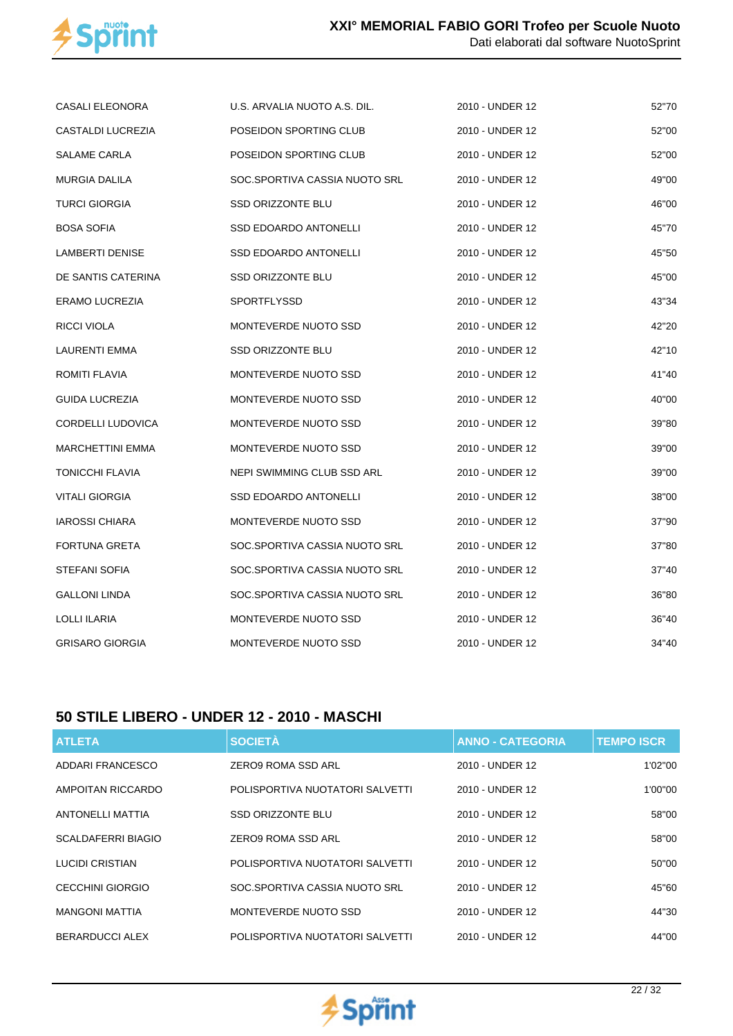

| CASALI ELEONORA          | U.S. ARVALIA NUOTO A.S. DIL.  | 2010 - UNDER 12 | 52"70 |
|--------------------------|-------------------------------|-----------------|-------|
| CASTALDI LUCREZIA        | POSEIDON SPORTING CLUB        | 2010 - UNDER 12 | 52"00 |
| SALAME CARLA             | POSEIDON SPORTING CLUB        | 2010 - UNDER 12 | 52"00 |
| MURGIA DALILA            | SOC.SPORTIVA CASSIA NUOTO SRL | 2010 - UNDER 12 | 49"00 |
| <b>TURCI GIORGIA</b>     | <b>SSD ORIZZONTE BLU</b>      | 2010 - UNDER 12 | 46"00 |
| <b>BOSA SOFIA</b>        | <b>SSD EDOARDO ANTONELLI</b>  | 2010 - UNDER 12 | 45"70 |
| LAMBERTI DENISE          | <b>SSD EDOARDO ANTONELLI</b>  | 2010 - UNDER 12 | 45"50 |
| DE SANTIS CATERINA       | <b>SSD ORIZZONTE BLU</b>      | 2010 - UNDER 12 | 45"00 |
| ERAMO LUCREZIA           | <b>SPORTFLYSSD</b>            | 2010 - UNDER 12 | 43"34 |
| RICCI VIOLA              | MONTEVERDE NUOTO SSD          | 2010 - UNDER 12 | 42"20 |
| LAURENTI EMMA            | <b>SSD ORIZZONTE BLU</b>      | 2010 - UNDER 12 | 42"10 |
| ROMITI FLAVIA            | MONTEVERDE NUOTO SSD          | 2010 - UNDER 12 | 41"40 |
| <b>GUIDA LUCREZIA</b>    | MONTEVERDE NUOTO SSD          | 2010 - UNDER 12 | 40"00 |
| <b>CORDELLI LUDOVICA</b> | MONTEVERDE NUOTO SSD          | 2010 - UNDER 12 | 39"80 |
| <b>MARCHETTINI EMMA</b>  | MONTEVERDE NUOTO SSD          | 2010 - UNDER 12 | 39"00 |
| TONICCHI FLAVIA          | NEPI SWIMMING CLUB SSD ARL    | 2010 - UNDER 12 | 39"00 |
| VITALI GIORGIA           | <b>SSD EDOARDO ANTONELLI</b>  | 2010 - UNDER 12 | 38"00 |
| <b>IAROSSI CHIARA</b>    | MONTEVERDE NUOTO SSD          | 2010 - UNDER 12 | 37"90 |
| <b>FORTUNA GRETA</b>     | SOC.SPORTIVA CASSIA NUOTO SRL | 2010 - UNDER 12 | 37"80 |
| <b>STEFANI SOFIA</b>     | SOC.SPORTIVA CASSIA NUOTO SRL | 2010 - UNDER 12 | 37"40 |
| <b>GALLONI LINDA</b>     | SOC.SPORTIVA CASSIA NUOTO SRL | 2010 - UNDER 12 | 36"80 |
| <b>LOLLI ILARIA</b>      | MONTEVERDE NUOTO SSD          | 2010 - UNDER 12 | 36"40 |
| <b>GRISARO GIORGIA</b>   | MONTEVERDE NUOTO SSD          | 2010 - UNDER 12 | 34"40 |

## **50 STILE LIBERO - UNDER 12 - 2010 - MASCHI**

| <b>ATLETA</b>           | <b>SOCIETÀ</b>                  | <b>ANNO - CATEGORIA</b> | <b>TEMPO ISCR</b> |
|-------------------------|---------------------------------|-------------------------|-------------------|
| ADDARI FRANCESCO        | <b>ZERO9 ROMA SSD ARL</b>       | 2010 - UNDER 12         | 1'02"00           |
| AMPOITAN RICCARDO       | POLISPORTIVA NUOTATORI SALVETTI | 2010 - UNDER 12         | 1'00"00           |
| <b>ANTONELLI MATTIA</b> | <b>SSD ORIZZONTE BLU</b>        | 2010 - UNDER 12         | 58"00             |
| SCALDAFERRI BIAGIO      | ZERO9 ROMA SSD ARL              | 2010 - UNDER 12         | 58"00             |
| LUCIDI CRISTIAN         | POLISPORTIVA NUOTATORI SALVETTI | 2010 - UNDER 12         | 50"00             |
| <b>CECCHINI GIORGIO</b> | SOC.SPORTIVA CASSIA NUOTO SRL   | 2010 - UNDER 12         | 45"60             |
| <b>MANGONI MATTIA</b>   | MONTEVERDE NUOTO SSD            | 2010 - UNDER 12         | 44"30             |
| BERARDUCCI ALEX         | POLISPORTIVA NUOTATORI SALVETTI | 2010 - UNDER 12         | 44"00             |

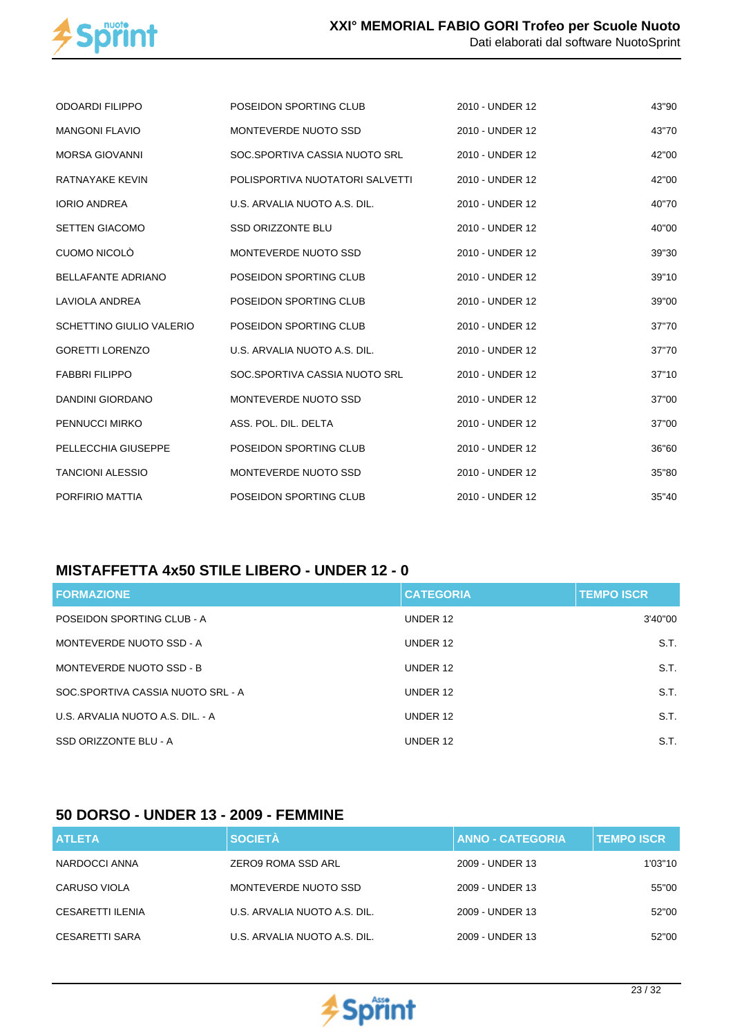

| <b>ODOARDI FILIPPO</b>    | POSEIDON SPORTING CLUB          | 2010 - UNDER 12 | 43"90 |
|---------------------------|---------------------------------|-----------------|-------|
| <b>MANGONI FLAVIO</b>     | MONTEVERDE NUOTO SSD            | 2010 - UNDER 12 | 43"70 |
| <b>MORSA GIOVANNI</b>     | SOC.SPORTIVA CASSIA NUOTO SRL   | 2010 - UNDER 12 | 42"00 |
| RATNAYAKE KEVIN           | POLISPORTIVA NUOTATORI SALVETTI | 2010 - UNDER 12 | 42"00 |
| <b>IORIO ANDREA</b>       | U.S. ARVALIA NUOTO A.S. DIL.    | 2010 - UNDER 12 | 40"70 |
| <b>SETTEN GIACOMO</b>     | <b>SSD ORIZZONTE BLU</b>        | 2010 - UNDER 12 | 40"00 |
| CUOMO NICOLÒ              | MONTEVERDE NUOTO SSD            | 2010 - UNDER 12 | 39"30 |
| <b>BELLAFANTE ADRIANO</b> | POSEIDON SPORTING CLUB          | 2010 - UNDER 12 | 39"10 |
| <b>LAVIOLA ANDREA</b>     | POSEIDON SPORTING CLUB          | 2010 - UNDER 12 | 39"00 |
| SCHETTINO GIULIO VALERIO  | POSEIDON SPORTING CLUB          | 2010 - UNDER 12 | 37"70 |
| <b>GORETTI LORENZO</b>    | U.S. ARVALIA NUOTO A.S. DIL.    | 2010 - UNDER 12 | 37"70 |
| <b>FABBRI FILIPPO</b>     | SOC.SPORTIVA CASSIA NUOTO SRL   | 2010 - UNDER 12 | 37"10 |
| DANDINI GIORDANO          | MONTEVERDE NUOTO SSD            | 2010 - UNDER 12 | 37"00 |
| PENNUCCI MIRKO            | ASS. POL. DIL. DELTA            | 2010 - UNDER 12 | 37"00 |
| PELLECCHIA GIUSEPPE       | POSEIDON SPORTING CLUB          | 2010 - UNDER 12 | 36"60 |
| <b>TANCIONI ALESSIO</b>   | MONTEVERDE NUOTO SSD            | 2010 - UNDER 12 | 35"80 |
| PORFIRIO MATTIA           | POSEIDON SPORTING CLUB          | 2010 - UNDER 12 | 35"40 |

## **MISTAFFETTA 4x50 STILE LIBERO - UNDER 12 - 0**

| <b>FORMAZIONE</b>                 | <b>CATEGORIA</b> | <b>TEMPO ISCR</b> |
|-----------------------------------|------------------|-------------------|
| POSEIDON SPORTING CLUB - A        | UNDER 12         | 3'40"00           |
| MONTEVERDE NUOTO SSD - A          | UNDER 12         | S.T.              |
| MONTEVERDE NUOTO SSD - B          | UNDER 12         | S.T.              |
| SOC.SPORTIVA CASSIA NUOTO SRL - A | UNDER 12         | S.T.              |
| U.S. ARVALIA NUOTO A.S. DIL. - A  | UNDER 12         | S.T.              |
| SSD ORIZZONTE BLU - A             | UNDER 12         | S.T.              |

## **50 DORSO - UNDER 13 - 2009 - FEMMINE**

| <b>ATLETA</b>    | <b>SOCIETÀ</b>               | <b>ANNO - CATEGORIA</b> | <b>TEMPO ISCR.</b> |
|------------------|------------------------------|-------------------------|--------------------|
| NARDOCCI ANNA    | ZERO9 ROMA SSD ARL           | 2009 - UNDER 13         | 1'03"10            |
| CARUSO VIOLA     | MONTEVERDE NUOTO SSD         | 2009 - UNDER 13         | 55"00              |
| CESARETTI ILENIA | U.S. ARVALIA NUOTO A.S. DIL. | 2009 - UNDER 13         | 52"00              |
| CESARETTI SARA   | U.S. ARVALIA NUOTO A.S. DIL. | 2009 - UNDER 13         | 52"00              |

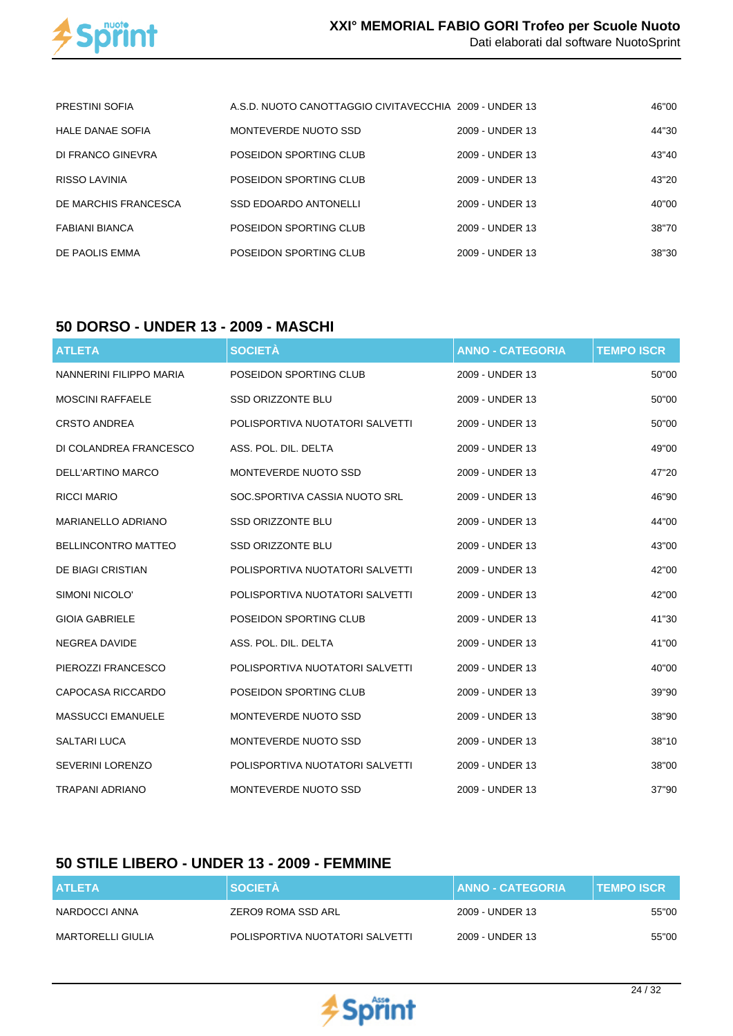

| <b>PRESTINI SOFIA</b>   | A.S.D. NUOTO CANOTTAGGIO CIVITAVECCHIA 2009 - UNDER 13 |                 | 46"00 |
|-------------------------|--------------------------------------------------------|-----------------|-------|
| <b>HALE DANAE SOFIA</b> | MONTEVERDE NUOTO SSD                                   | 2009 - UNDER 13 | 44"30 |
| DI FRANCO GINEVRA       | POSEIDON SPORTING CLUB                                 | 2009 - UNDER 13 | 43"40 |
| RISSO LAVINIA           | POSEIDON SPORTING CLUB                                 | 2009 - UNDER 13 | 43"20 |
| DE MARCHIS FRANCESCA    | <b>SSD EDOARDO ANTONELLI</b>                           | 2009 - UNDER 13 | 40"00 |
| FABIANI BIANCA          | POSEIDON SPORTING CLUB                                 | 2009 - UNDER 13 | 38"70 |
| DE PAOLIS EMMA          | POSEIDON SPORTING CLUB                                 | 2009 - UNDER 13 | 38"30 |

### **50 DORSO - UNDER 13 - 2009 - MASCHI**

| <b>ATLETA</b>              | <b>SOCIETÀ</b>                  | <b>ANNO - CATEGORIA</b> | <b>TEMPO ISCR</b> |
|----------------------------|---------------------------------|-------------------------|-------------------|
| NANNERINI FILIPPO MARIA    | POSEIDON SPORTING CLUB          | 2009 - UNDER 13         | 50"00             |
| <b>MOSCINI RAFFAELE</b>    | <b>SSD ORIZZONTE BLU</b>        | 2009 - UNDER 13         | 50"00             |
| <b>CRSTO ANDREA</b>        | POLISPORTIVA NUOTATORI SALVETTI | 2009 - UNDER 13         | 50"00             |
| DI COLANDREA FRANCESCO     | ASS. POL. DIL. DELTA            | 2009 - UNDER 13         | 49"00             |
| DELL'ARTINO MARCO          | MONTEVERDE NUOTO SSD            | 2009 - UNDER 13         | 47"20             |
| <b>RICCI MARIO</b>         | SOC.SPORTIVA CASSIA NUOTO SRL   | 2009 - UNDER 13         | 46"90             |
| <b>MARIANELLO ADRIANO</b>  | <b>SSD ORIZZONTE BLU</b>        | 2009 - UNDER 13         | 44"00             |
| <b>BELLINCONTRO MATTEO</b> | <b>SSD ORIZZONTE BLU</b>        | 2009 - UNDER 13         | 43"00             |
| <b>DE BIAGI CRISTIAN</b>   | POLISPORTIVA NUOTATORI SALVETTI | 2009 - UNDER 13         | 42"00             |
| SIMONI NICOLO'             | POLISPORTIVA NUOTATORI SALVETTI | 2009 - UNDER 13         | 42"00             |
| <b>GIOIA GABRIELE</b>      | POSEIDON SPORTING CLUB          | 2009 - UNDER 13         | 41"30             |
| <b>NEGREA DAVIDE</b>       | ASS. POL. DIL. DELTA            | 2009 - UNDER 13         | 41"00             |
| PIEROZZI FRANCESCO         | POLISPORTIVA NUOTATORI SALVETTI | 2009 - UNDER 13         | 40"00             |
| CAPOCASA RICCARDO          | POSEIDON SPORTING CLUB          | 2009 - UNDER 13         | 39"90             |
| <b>MASSUCCI EMANUELE</b>   | MONTEVERDE NUOTO SSD            | 2009 - UNDER 13         | 38"90             |
| SALTARI LUCA               | MONTEVERDE NUOTO SSD            | 2009 - UNDER 13         | 38"10             |
| <b>SEVERINI LORENZO</b>    | POLISPORTIVA NUOTATORI SALVETTI | 2009 - UNDER 13         | 38"00             |
| <b>TRAPANI ADRIANO</b>     | MONTEVERDE NUOTO SSD            | 2009 - UNDER 13         | 37"90             |

## **50 STILE LIBERO - UNDER 13 - 2009 - FEMMINE**

| <b>ATLETA</b>     | <b>SOCIETA</b>                  | <b>ANNO - CATEGORIA</b> | <b>TEMPO ISCR</b> |
|-------------------|---------------------------------|-------------------------|-------------------|
| NARDOCCI ANNA     | ZERO9 ROMA SSD ARL              | 2009 - UNDER 13         | 55"00             |
| MARTORELLI GIULIA | POLISPORTIVA NUOTATORI SALVETTI | 2009 - UNDER 13         | 55"00             |

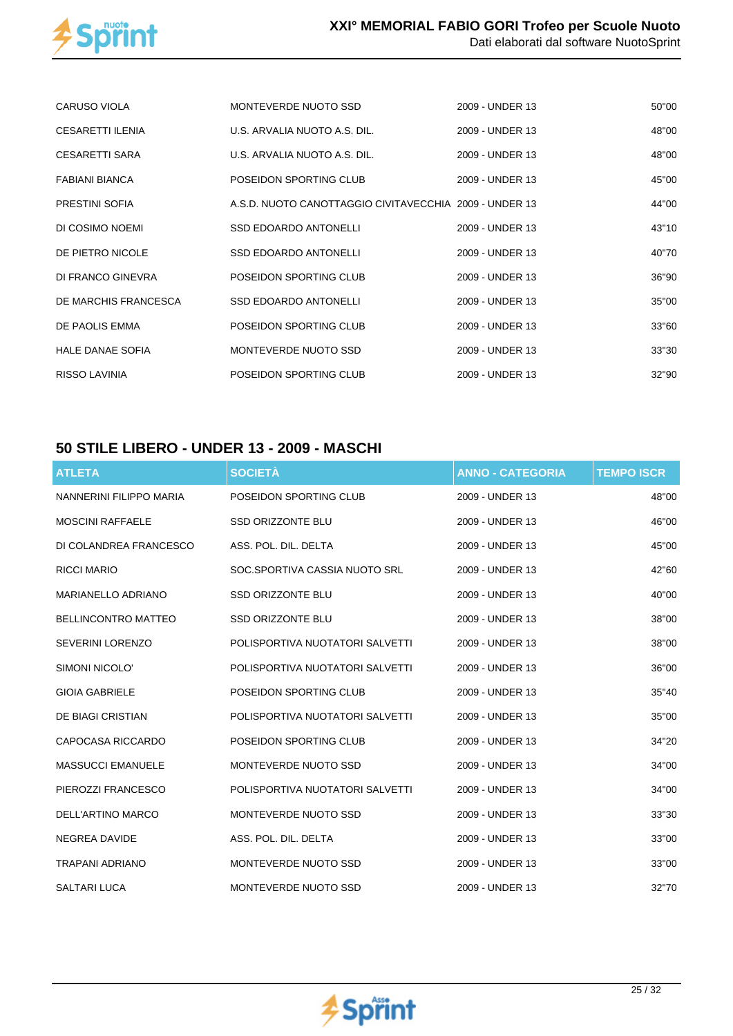

| CARUSO VIOLA            | MONTEVERDE NUOTO SSD                                   | 2009 - UNDER 13 | 50"00 |
|-------------------------|--------------------------------------------------------|-----------------|-------|
| <b>CESARETTI ILENIA</b> | U.S. ARVALIA NUOTO A.S. DIL.                           | 2009 - UNDER 13 | 48"00 |
| <b>CESARETTI SARA</b>   | U.S. ARVALIA NUOTO A.S. DIL.                           | 2009 - UNDER 13 | 48"00 |
| <b>FABIANI BIANCA</b>   | POSEIDON SPORTING CLUB                                 | 2009 - UNDER 13 | 45"00 |
| <b>PRESTINI SOFIA</b>   | A.S.D. NUOTO CANOTTAGGIO CIVITAVECCHIA 2009 - UNDER 13 |                 | 44"00 |
| DI COSIMO NOEMI         | <b>SSD EDOARDO ANTONELLI</b>                           | 2009 - UNDER 13 | 43"10 |
| DE PIETRO NICOLE        | <b>SSD EDOARDO ANTONELLI</b>                           | 2009 - UNDER 13 | 40"70 |
| DI FRANCO GINEVRA       | POSEIDON SPORTING CLUB                                 | 2009 - UNDER 13 | 36"90 |
| DE MARCHIS FRANCESCA    | <b>SSD EDOARDO ANTONELLI</b>                           | 2009 - UNDER 13 | 35"00 |
| DE PAOLIS EMMA          | POSEIDON SPORTING CLUB                                 | 2009 - UNDER 13 | 33"60 |
| <b>HALE DANAE SOFIA</b> | MONTEVERDE NUOTO SSD                                   | 2009 - UNDER 13 | 33"30 |
| <b>RISSO LAVINIA</b>    | POSEIDON SPORTING CLUB                                 | 2009 - UNDER 13 | 32"90 |

## **50 STILE LIBERO - UNDER 13 - 2009 - MASCHI**

| <b>ATLETA</b>              | <b>SOCIETÀ</b>                  | <b>ANNO - CATEGORIA</b> | <b>TEMPO ISCR</b> |
|----------------------------|---------------------------------|-------------------------|-------------------|
| NANNERINI FILIPPO MARIA    | POSEIDON SPORTING CLUB          | 2009 - UNDER 13         | 48"00             |
| <b>MOSCINI RAFFAELE</b>    | <b>SSD ORIZZONTE BLU</b>        | 2009 - UNDER 13         | 46"00             |
| DI COLANDREA FRANCESCO     | ASS. POL. DIL. DELTA            | 2009 - UNDER 13         | 45"00             |
| <b>RICCI MARIO</b>         | SOC.SPORTIVA CASSIA NUOTO SRL   | 2009 - UNDER 13         | 42"60             |
| <b>MARIANELLO ADRIANO</b>  | <b>SSD ORIZZONTE BLU</b>        | 2009 - UNDER 13         | 40"00             |
| <b>BELLINCONTRO MATTEO</b> | <b>SSD ORIZZONTE BLU</b>        | 2009 - UNDER 13         | 38"00             |
| <b>SEVERINI LORENZO</b>    | POLISPORTIVA NUOTATORI SALVETTI | 2009 - UNDER 13         | 38"00             |
| SIMONI NICOLO'             | POLISPORTIVA NUOTATORI SALVETTI | 2009 - UNDER 13         | 36"00             |
| <b>GIOIA GABRIELE</b>      | POSEIDON SPORTING CLUB          | 2009 - UNDER 13         | 35"40             |
| DE BIAGI CRISTIAN          | POLISPORTIVA NUOTATORI SALVETTI | 2009 - UNDER 13         | 35"00             |
| CAPOCASA RICCARDO          | POSEIDON SPORTING CLUB          | 2009 - UNDER 13         | 34"20             |
| <b>MASSUCCI EMANUELE</b>   | MONTEVERDE NUOTO SSD            | 2009 - UNDER 13         | 34"00             |
| PIEROZZI FRANCESCO         | POLISPORTIVA NUOTATORI SALVETTI | 2009 - UNDER 13         | 34"00             |
| <b>DELL'ARTINO MARCO</b>   | MONTEVERDE NUOTO SSD            | 2009 - UNDER 13         | 33"30             |
| <b>NEGREA DAVIDE</b>       | ASS. POL. DIL. DELTA            | 2009 - UNDER 13         | 33"00             |
| <b>TRAPANI ADRIANO</b>     | MONTEVERDE NUOTO SSD            | 2009 - UNDER 13         | 33"00             |
| <b>SALTARI LUCA</b>        | MONTEVERDE NUOTO SSD            | 2009 - UNDER 13         | 32"70             |

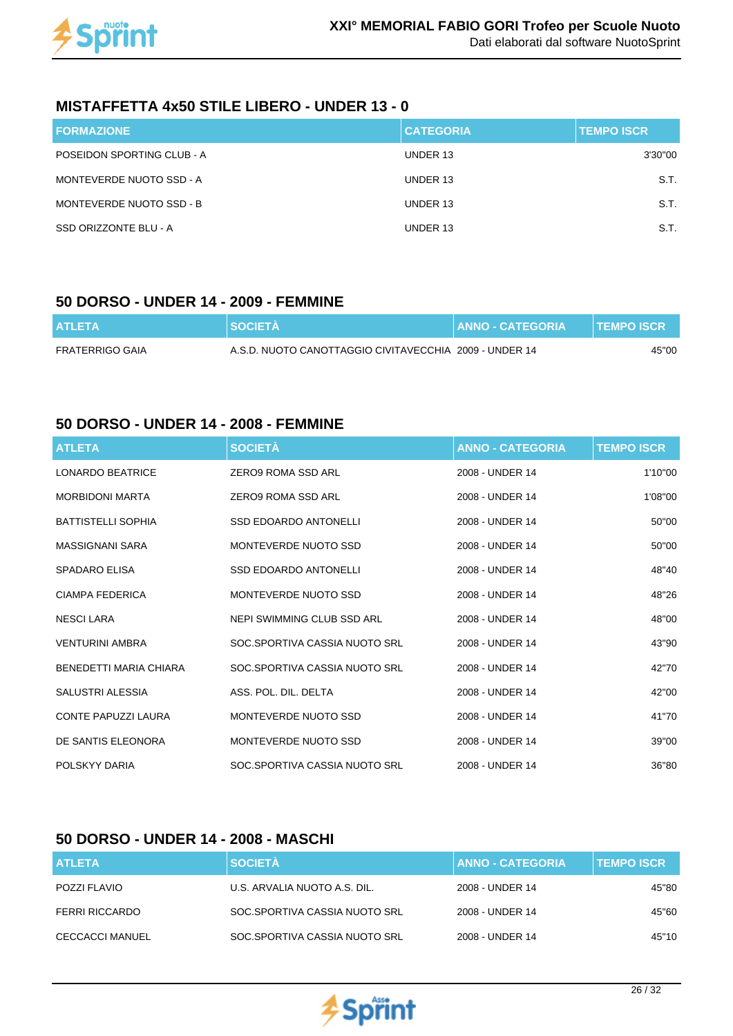

#### **MISTAFFETTA 4x50 STILE LIBERO - UNDER 13 - 0**

| <b>FORMAZIONE</b>          | <b>CATEGORIA</b> | <b>TEMPO ISCR</b> |
|----------------------------|------------------|-------------------|
| POSEIDON SPORTING CLUB - A | UNDER 13         | 3'30"00           |
| MONTEVERDE NUOTO SSD - A   | UNDER 13         | S.T.              |
| MONTEVERDE NUOTO SSD - B   | UNDER 13         | S.T.              |
| SSD ORIZZONTE BLU - A      | UNDER 13         | S.T.              |

#### **50 DORSO - UNDER 14 - 2009 - FEMMINE**

| <b>ATLETA</b>   | <b>NSOCIETÀ</b>                                        | <b>ANNO - CATEGORIA</b> | <b>TEMPO ISCR</b> |
|-----------------|--------------------------------------------------------|-------------------------|-------------------|
| FRATERRIGO GAIA | A.S.D. NUOTO CANOTTAGGIO CIVITAVECCHIA 2009 - UNDER 14 |                         | 45"00             |

#### **50 DORSO - UNDER 14 - 2008 - FEMMINE**

| <b>ATLETA</b>              | <b>SOCIETÀ</b>                | <b>ANNO - CATEGORIA</b> | <b>TEMPO ISCR</b> |
|----------------------------|-------------------------------|-------------------------|-------------------|
| <b>LONARDO BEATRICE</b>    | ZERO9 ROMA SSD ARI            | 2008 - UNDER 14         | 1'10"00           |
| <b>MORBIDONI MARTA</b>     | ZERO9 ROMA SSD ARL            | 2008 - UNDER 14         | 1'08"00           |
| <b>BATTISTELLI SOPHIA</b>  | <b>SSD EDOARDO ANTONELLI</b>  | 2008 - UNDER 14         | 50"00             |
| MASSIGNANI SARA            | MONTEVERDE NUOTO SSD          | 2008 - UNDER 14         | 50"00             |
| <b>SPADARO ELISA</b>       | <b>SSD EDOARDO ANTONELLI</b>  | 2008 - UNDER 14         | 48"40             |
| CIAMPA FEDERICA            | MONTEVERDE NUOTO SSD          | 2008 - UNDER 14         | 48"26             |
| <b>NESCILARA</b>           | NEPI SWIMMING CLUB SSD ARL    | 2008 - UNDER 14         | 48"00             |
| <b>VENTURINI AMBRA</b>     | SOC.SPORTIVA CASSIA NUOTO SRL | 2008 - UNDER 14         | 43"90             |
| BENEDETTI MARIA CHIARA     | SOC.SPORTIVA CASSIA NUOTO SRL | 2008 - UNDER 14         | 42"70             |
| SALUSTRI ALESSIA           | ASS. POL. DIL. DELTA          | 2008 - UNDER 14         | 42"00             |
| <b>CONTE PAPUZZI LAURA</b> | MONTEVERDE NUOTO SSD          | 2008 - UNDER 14         | 41"70             |
| DE SANTIS ELEONORA         | MONTEVERDE NUOTO SSD          | 2008 - UNDER 14         | 39"00             |
| POLSKYY DARIA              | SOC.SPORTIVA CASSIA NUOTO SRL | 2008 - UNDER 14         | 36"80             |

#### **50 DORSO - UNDER 14 - 2008 - MASCHI**

| <b>ATLETA</b>          | <b>SOCIETÀ</b>                | <b>ANNO - CATEGORIA</b> | <b>TEMPO ISCR</b> |
|------------------------|-------------------------------|-------------------------|-------------------|
| POZZI FLAVIO           | U.S. ARVALIA NUOTO A.S. DIL.  | 2008 - UNDER 14         | 45"80             |
| FERRI RICCARDO         | SOC.SPORTIVA CASSIA NUOTO SRL | 2008 - UNDER 14         | 45"60             |
| <b>CECCACCI MANUEL</b> | SOC.SPORTIVA CASSIA NUOTO SRL | 2008 - UNDER 14         | 45"10             |

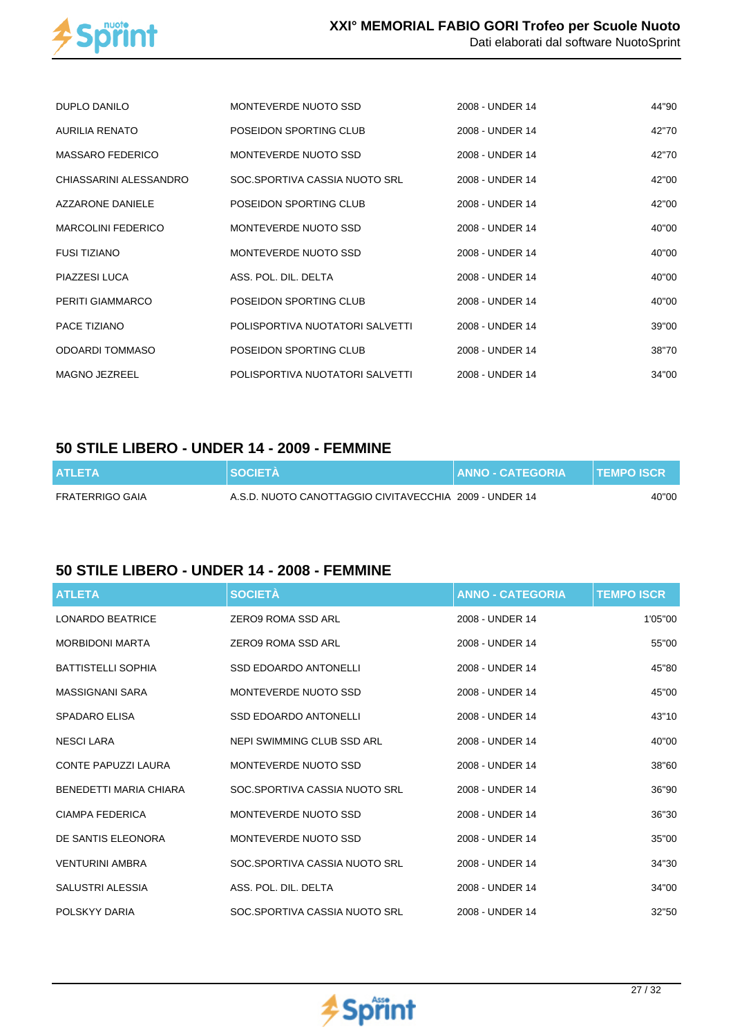

| DUPLO DANILO              | MONTEVERDE NUOTO SSD            | 2008 - UNDER 14 | 44"90 |
|---------------------------|---------------------------------|-----------------|-------|
| <b>AURILIA RENATO</b>     | POSEIDON SPORTING CLUB          | 2008 - UNDER 14 | 42"70 |
| <b>MASSARO FEDERICO</b>   | MONTEVERDE NUOTO SSD            | 2008 - UNDER 14 | 42"70 |
| CHIASSARINI ALESSANDRO    | SOC.SPORTIVA CASSIA NUOTO SRL   | 2008 - UNDER 14 | 42"00 |
| AZZARONE DANIELE          | POSEIDON SPORTING CLUB          | 2008 - UNDER 14 | 42"00 |
| <b>MARCOLINI FEDERICO</b> | MONTEVERDE NUOTO SSD            | 2008 - UNDER 14 | 40"00 |
| <b>FUSI TIZIANO</b>       | MONTEVERDE NUOTO SSD            | 2008 - UNDER 14 | 40"00 |
| PIAZZESI LUCA             | ASS. POL. DIL. DELTA            | 2008 - UNDER 14 | 40"00 |
| PERITI GIAMMARCO          | POSEIDON SPORTING CLUB          | 2008 - UNDER 14 | 40"00 |
| PACE TIZIANO              | POLISPORTIVA NUOTATORI SALVETTI | 2008 - UNDER 14 | 39"00 |
| <b>ODOARDI TOMMASO</b>    | POSEIDON SPORTING CLUB          | 2008 - UNDER 14 | 38"70 |
| <b>MAGNO JEZREEL</b>      | POLISPORTIVA NUOTATORI SALVETTI | 2008 - UNDER 14 | 34"00 |

#### **50 STILE LIBERO - UNDER 14 - 2009 - FEMMINE**

| <b>ATLETA</b>   | <b>SOCIETA</b>                                         | <b>ANNO - CATEGORIA</b> | <b>TEMPO ISCR</b> |
|-----------------|--------------------------------------------------------|-------------------------|-------------------|
| FRATERRIGO GAIA | A.S.D. NUOTO CANOTTAGGIO CIVITAVECCHIA 2009 - UNDER 14 |                         | 40"00             |

### **50 STILE LIBERO - UNDER 14 - 2008 - FEMMINE**

| <b>ATLETA</b>              | <b>SOCIETÀ</b>                | <b>ANNO - CATEGORIA</b> | <b>TEMPO ISCR</b> |
|----------------------------|-------------------------------|-------------------------|-------------------|
| <b>LONARDO BEATRICE</b>    | <b>ZERO9 ROMA SSD ARL</b>     | 2008 - UNDER 14         | 1'05"00           |
| <b>MORBIDONI MARTA</b>     | ZERO9 ROMA SSD ARL            | 2008 - UNDER 14         | 55"00             |
| <b>BATTISTELLI SOPHIA</b>  | <b>SSD EDOARDO ANTONELLI</b>  | 2008 - UNDER 14         | 45"80             |
| MASSIGNANI SARA            | MONTEVERDE NUOTO SSD          | 2008 - UNDER 14         | 45"00             |
| <b>SPADARO ELISA</b>       | <b>SSD EDOARDO ANTONELLI</b>  | 2008 - UNDER 14         | 43"10             |
| <b>NESCI LARA</b>          | NEPI SWIMMING CLUB SSD ARL    | 2008 - UNDER 14         | 40"00             |
| <b>CONTE PAPUZZI LAURA</b> | MONTEVERDE NUOTO SSD          | 2008 - UNDER 14         | 38"60             |
| BENEDETTI MARIA CHIARA     | SOC.SPORTIVA CASSIA NUOTO SRL | 2008 - UNDER 14         | 36"90             |
| CIAMPA FEDERICA            | MONTEVERDE NUOTO SSD          | 2008 - UNDER 14         | 36"30             |
| DE SANTIS ELEONORA         | MONTEVERDE NUOTO SSD          | 2008 - UNDER 14         | 35"00             |
| <b>VENTURINI AMBRA</b>     | SOC.SPORTIVA CASSIA NUOTO SRL | 2008 - UNDER 14         | 34"30             |
| SALUSTRI ALESSIA           | ASS. POL. DIL. DELTA          | 2008 - UNDER 14         | 34"00             |
| POLSKYY DARIA              | SOC.SPORTIVA CASSIA NUOTO SRL | 2008 - UNDER 14         | 32"50             |

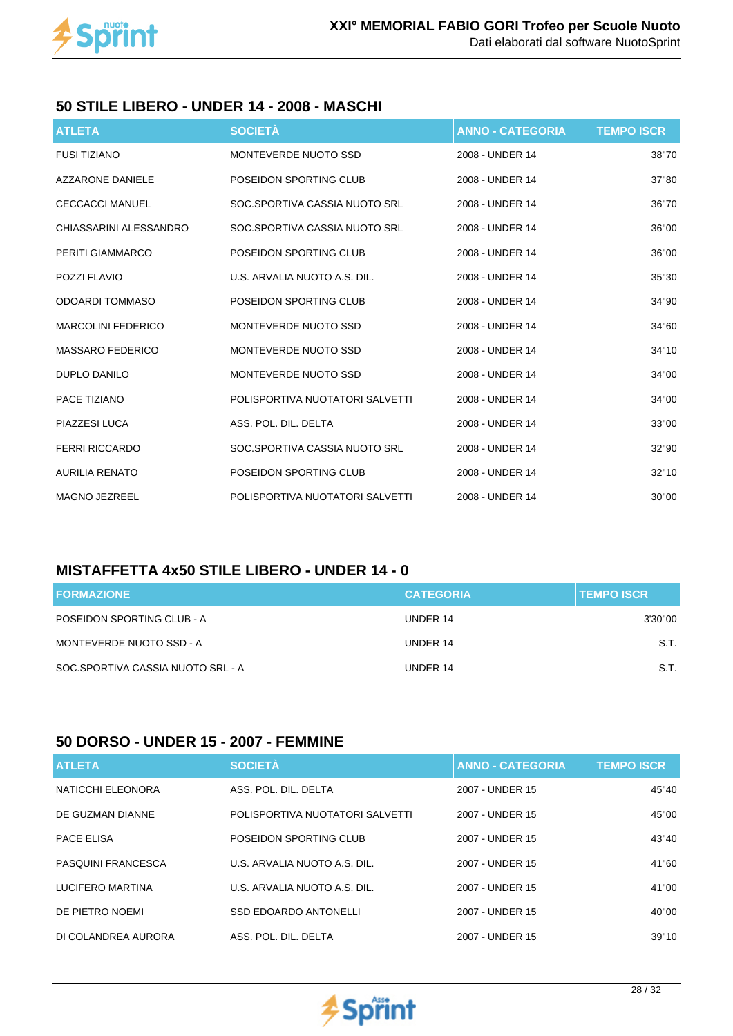

#### **50 STILE LIBERO - UNDER 14 - 2008 - MASCHI**

| <b>ATLETA</b>             | <b>SOCIETÀ</b>                  | <b>ANNO - CATEGORIA</b> | <b>TEMPO ISCR</b> |
|---------------------------|---------------------------------|-------------------------|-------------------|
| <b>FUSI TIZIANO</b>       | MONTEVERDE NUOTO SSD            | 2008 - UNDER 14         | 38"70             |
| <b>AZZARONE DANIELE</b>   | POSEIDON SPORTING CLUB          | 2008 - UNDER 14         | 37"80             |
| <b>CECCACCI MANUEL</b>    | SOC.SPORTIVA CASSIA NUOTO SRL   | 2008 - UNDER 14         | 36"70             |
| CHIASSARINI ALESSANDRO    | SOC.SPORTIVA CASSIA NUOTO SRL   | 2008 - UNDER 14         | 36"00             |
| PERITI GIAMMARCO          | POSEIDON SPORTING CLUB          | 2008 - UNDER 14         | 36"00             |
| <b>POZZI FLAVIO</b>       | U.S. ARVALIA NUOTO A.S. DIL.    | 2008 - UNDER 14         | 35"30             |
| <b>ODOARDI TOMMASO</b>    | POSEIDON SPORTING CLUB          | 2008 - UNDER 14         | 34"90             |
| <b>MARCOLINI FEDERICO</b> | MONTEVERDE NUOTO SSD            | 2008 - UNDER 14         | 34"60             |
| <b>MASSARO FEDERICO</b>   | MONTEVERDE NUOTO SSD            | 2008 - UNDER 14         | 34"10             |
| <b>DUPLO DANILO</b>       | MONTEVERDE NUOTO SSD            | 2008 - UNDER 14         | 34"00             |
| PACE TIZIANO              | POLISPORTIVA NUOTATORI SALVETTI | 2008 - UNDER 14         | 34"00             |
| PIAZZESI LUCA             | ASS. POL. DIL. DELTA            | 2008 - UNDER 14         | 33"00             |
| <b>FERRI RICCARDO</b>     | SOC.SPORTIVA CASSIA NUOTO SRL   | 2008 - UNDER 14         | 32"90             |
| <b>AURILIA RENATO</b>     | POSEIDON SPORTING CLUB          | 2008 - UNDER 14         | 32"10             |
| <b>MAGNO JEZREEL</b>      | POLISPORTIVA NUOTATORI SALVETTI | 2008 - UNDER 14         | 30"00             |

## **MISTAFFETTA 4x50 STILE LIBERO - UNDER 14 - 0**

| <b>FORMAZIONE</b>                 | <b>CATEGORIA</b> | <b>TEMPO ISCR</b> |
|-----------------------------------|------------------|-------------------|
| POSEIDON SPORTING CLUB - A        | UNDER 14         | 3'30"00           |
| MONTEVERDE NUOTO SSD - A          | UNDER 14         | S.T.              |
| SOC.SPORTIVA CASSIA NUOTO SRL - A | UNDER 14         | S.T.              |

#### **50 DORSO - UNDER 15 - 2007 - FEMMINE**

| <b>ATLETA</b>             | <b>SOCIETÀ</b>                  | <b>ANNO - CATEGORIA</b> | <b>TEMPO ISCR</b> |
|---------------------------|---------------------------------|-------------------------|-------------------|
| NATICCHI ELEONORA         | ASS. POL. DIL. DELTA            | 2007 - UNDER 15         | 45"40             |
| DE GUZMAN DIANNE          | POLISPORTIVA NUOTATORI SALVETTI | 2007 - UNDER 15         | 45"00             |
| <b>PACE ELISA</b>         | POSEIDON SPORTING CLUB          | 2007 - UNDER 15         | 43"40             |
| <b>PASQUINI FRANCESCA</b> | U.S. ARVALIA NUOTO A.S. DIL.    | 2007 - UNDER 15         | 41"60             |
| LUCIFERO MARTINA          | U.S. ARVALIA NUOTO A.S. DIL.    | 2007 - UNDER 15         | 41"00             |
| DE PIETRO NOEMI           | <b>SSD EDOARDO ANTONELLI</b>    | 2007 - UNDER 15         | 40"00             |
| DI COLANDREA AURORA       | ASS. POL. DIL. DELTA            | 2007 - UNDER 15         | 39"10             |

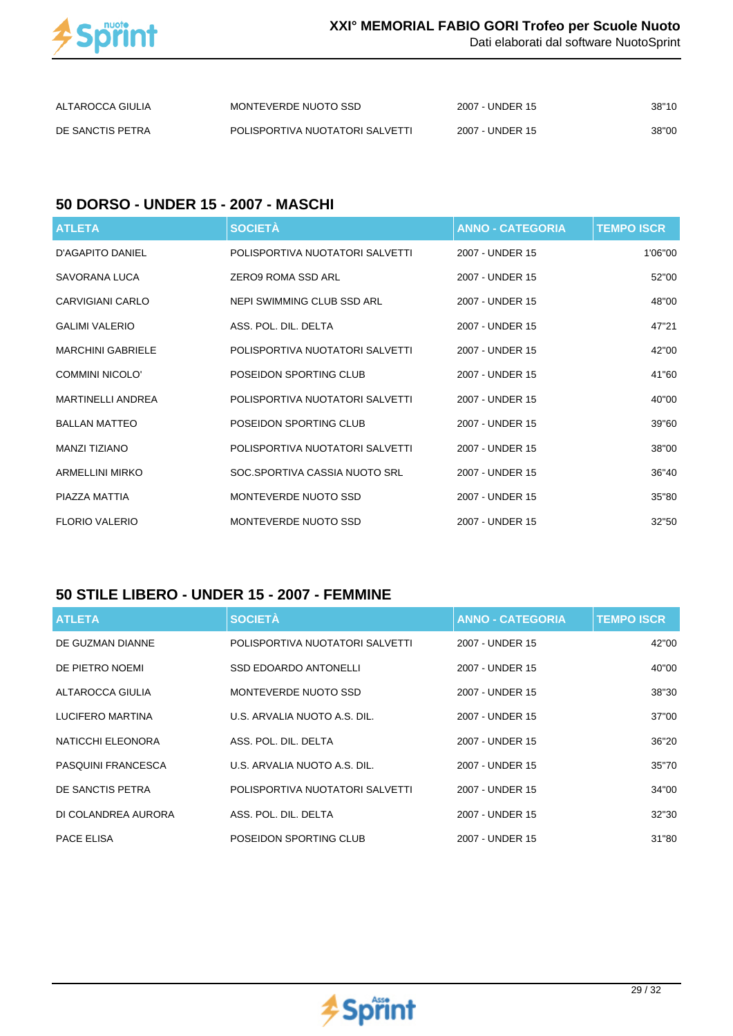

Dati elaborati dal software NuotoSprint

| ALTAROCCA GIULIA | MONTEVERDE NUOTO SSD            | 2007 - UNDER 15 | 38"10 |
|------------------|---------------------------------|-----------------|-------|
| DE SANCTIS PETRA | POLISPORTIVA NUOTATORI SALVETTI | 2007 - UNDER 15 | 38"00 |

#### **50 DORSO - UNDER 15 - 2007 - MASCHI**

| <b>ATLETA</b>            | <b>SOCIETÀ</b>                  | <b>ANNO - CATEGORIA</b> | <b>TEMPO ISCR</b> |
|--------------------------|---------------------------------|-------------------------|-------------------|
| <b>D'AGAPITO DANIEL</b>  | POLISPORTIVA NUOTATORI SALVETTI | 2007 - UNDER 15         | 1'06"00           |
| SAVORANA LUCA            | ZERO9 ROMA SSD ARL              | 2007 - UNDER 15         | 52"00             |
| CARVIGIANI CARLO         | NEPI SWIMMING CLUB SSD ARL      | 2007 - UNDER 15         | 48"00             |
| <b>GALIMI VALERIO</b>    | ASS. POL. DIL. DELTA            | 2007 - UNDER 15         | 47"21             |
| <b>MARCHINI GABRIELE</b> | POLISPORTIVA NUOTATORI SALVETTI | 2007 - UNDER 15         | 42"00             |
| COMMINI NICOLO'          | POSEIDON SPORTING CLUB          | 2007 - UNDER 15         | 41"60             |
| <b>MARTINELLI ANDREA</b> | POLISPORTIVA NUOTATORI SALVETTI | 2007 - UNDER 15         | 40"00             |
| <b>BALLAN MATTEO</b>     | POSEIDON SPORTING CLUB          | 2007 - UNDER 15         | 39"60             |
| <b>MANZI TIZIANO</b>     | POLISPORTIVA NUOTATORI SALVETTI | 2007 - UNDER 15         | 38"00             |
| <b>ARMELLINI MIRKO</b>   | SOC.SPORTIVA CASSIA NUOTO SRL   | 2007 - UNDER 15         | 36"40             |
| PIAZZA MATTIA            | MONTEVERDE NUOTO SSD            | 2007 - UNDER 15         | 35"80             |
| <b>FLORIO VALERIO</b>    | MONTEVERDE NUOTO SSD            | 2007 - UNDER 15         | 32"50             |

#### **50 STILE LIBERO - UNDER 15 - 2007 - FEMMINE**

| <b>ATLETA</b>       | <b>SOCIETÀ</b>                  | <b>ANNO - CATEGORIA</b> | <b>TEMPO ISCR</b> |
|---------------------|---------------------------------|-------------------------|-------------------|
| DE GUZMAN DIANNE    | POLISPORTIVA NUOTATORI SALVETTI | 2007 - UNDER 15         | 42"00             |
| DE PIETRO NOEMI     | <b>SSD EDOARDO ANTONELLI</b>    | 2007 - UNDER 15         | 40"00             |
| ALTAROCCA GIULIA    | MONTEVERDE NUOTO SSD            | 2007 - UNDER 15         | 38"30             |
| LUCIFERO MARTINA    | U.S. ARVALIA NUOTO A.S. DIL.    | 2007 - UNDER 15         | 37"00             |
| NATICCHI ELEONORA   | ASS. POL. DIL. DELTA            | 2007 - UNDER 15         | 36"20             |
| PASQUINI FRANCESCA  | U.S. ARVALIA NUOTO A.S. DIL.    | 2007 - UNDER 15         | 35"70             |
| DE SANCTIS PETRA    | POLISPORTIVA NUOTATORI SALVETTI | 2007 - UNDER 15         | 34"00             |
| DI COLANDREA AURORA | ASS. POL. DIL. DELTA            | 2007 - UNDER 15         | 32"30             |
| PACE ELISA          | POSEIDON SPORTING CLUB          | 2007 - UNDER 15         | 31"80             |

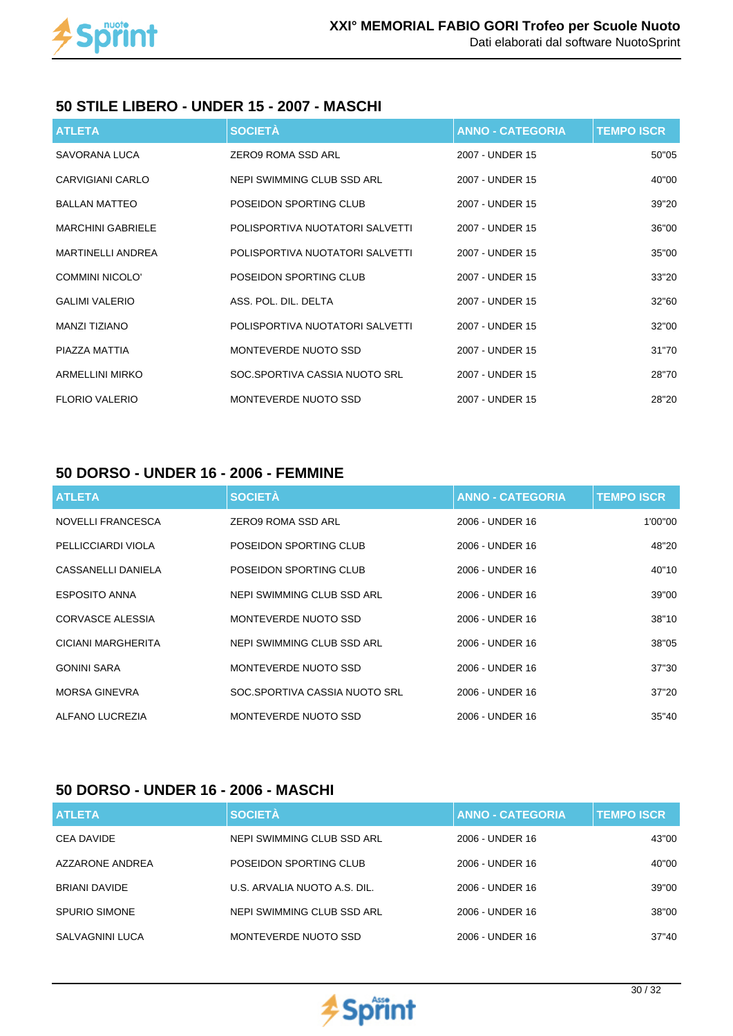

#### **50 STILE LIBERO - UNDER 15 - 2007 - MASCHI**

| <b>ATLETA</b>            | <b>SOCIETÀ</b>                  | <b>ANNO - CATEGORIA</b> | <b>TEMPO ISCR</b> |
|--------------------------|---------------------------------|-------------------------|-------------------|
| SAVORANA LUCA            | ZERO9 ROMA SSD ARL              | 2007 - UNDER 15         | 50"05             |
| CARVIGIANI CARLO         | NEPI SWIMMING CLUB SSD ARL      | 2007 - UNDER 15         | 40"00             |
| <b>BALLAN MATTEO</b>     | POSEIDON SPORTING CLUB          | 2007 - UNDER 15         | 39"20             |
| <b>MARCHINI GABRIELE</b> | POLISPORTIVA NUOTATORI SALVETTI | 2007 - UNDER 15         | 36"00             |
| <b>MARTINELLI ANDREA</b> | POLISPORTIVA NUOTATORI SALVETTI | 2007 - UNDER 15         | 35"00             |
| <b>COMMINI NICOLO'</b>   | POSEIDON SPORTING CLUB          | 2007 - UNDER 15         | 33"20             |
| <b>GALIMI VALERIO</b>    | ASS. POL. DIL. DELTA            | 2007 - UNDER 15         | 32"60             |
| MANZI TIZIANO            | POLISPORTIVA NUOTATORI SALVETTI | 2007 - UNDER 15         | 32"00             |
| PIAZZA MATTIA            | MONTEVERDE NUOTO SSD            | 2007 - UNDER 15         | 31"70             |
| <b>ARMELLINI MIRKO</b>   | SOC.SPORTIVA CASSIA NUOTO SRL   | 2007 - UNDER 15         | 28"70             |
| <b>FLORIO VALERIO</b>    | MONTEVERDE NUOTO SSD            | 2007 - UNDER 15         | 28"20             |

#### **50 DORSO - UNDER 16 - 2006 - FEMMINE**

| <b>ATLETA</b>        | <b>SOCIETÀ</b>                | <b>ANNO - CATEGORIA</b> | <b>TEMPO ISCR</b> |
|----------------------|-------------------------------|-------------------------|-------------------|
| NOVELLI FRANCESCA    | ZERO9 ROMA SSD ARL            | 2006 - UNDER 16         | 1'00"00           |
| PELLICCIARDI VIOLA   | POSEIDON SPORTING CLUB        | 2006 - UNDER 16         | 48"20             |
| CASSANELLI DANIELA   | POSEIDON SPORTING CLUB        | 2006 - UNDER 16         | 40"10             |
| <b>ESPOSITO ANNA</b> | NEPI SWIMMING CLUB SSD ARL    | 2006 - UNDER 16         | 39"00             |
| CORVASCE ALESSIA     | MONTEVERDE NUOTO SSD          | 2006 - UNDER 16         | 38"10             |
| CICIANI MARGHERITA   | NEPI SWIMMING CLUB SSD ARL    | 2006 - UNDER 16         | 38"05             |
| <b>GONINI SARA</b>   | MONTEVERDE NUOTO SSD          | 2006 - UNDER 16         | 37"30             |
| <b>MORSA GINEVRA</b> | SOC.SPORTIVA CASSIA NUOTO SRL | 2006 - UNDER 16         | 37"20             |
| ALFANO LUCREZIA      | MONTEVERDE NUOTO SSD          | 2006 - UNDER 16         | 35"40             |

### **50 DORSO - UNDER 16 - 2006 - MASCHI**

| <b>ATLETA</b>        | <b>SOCIETÀ</b>               | <b>ANNO - CATEGORIA</b> | <b>TEMPO ISCR</b> |
|----------------------|------------------------------|-------------------------|-------------------|
| <b>CEA DAVIDE</b>    | NEPI SWIMMING CLUB SSD ARL   | 2006 - UNDER 16         | 43"00             |
| AZZARONE ANDREA      | POSEIDON SPORTING CLUB       | 2006 - UNDER 16         | 40"00             |
| <b>BRIANI DAVIDE</b> | U.S. ARVALIA NUOTO A.S. DIL. | 2006 - UNDER 16         | 39"00             |
| <b>SPURIO SIMONE</b> | NEPI SWIMMING CLUB SSD ARL   | 2006 - UNDER 16         | 38"00             |
| SALVAGNINI LUCA      | MONTEVERDE NUOTO SSD         | 2006 - UNDER 16         | 37"40             |

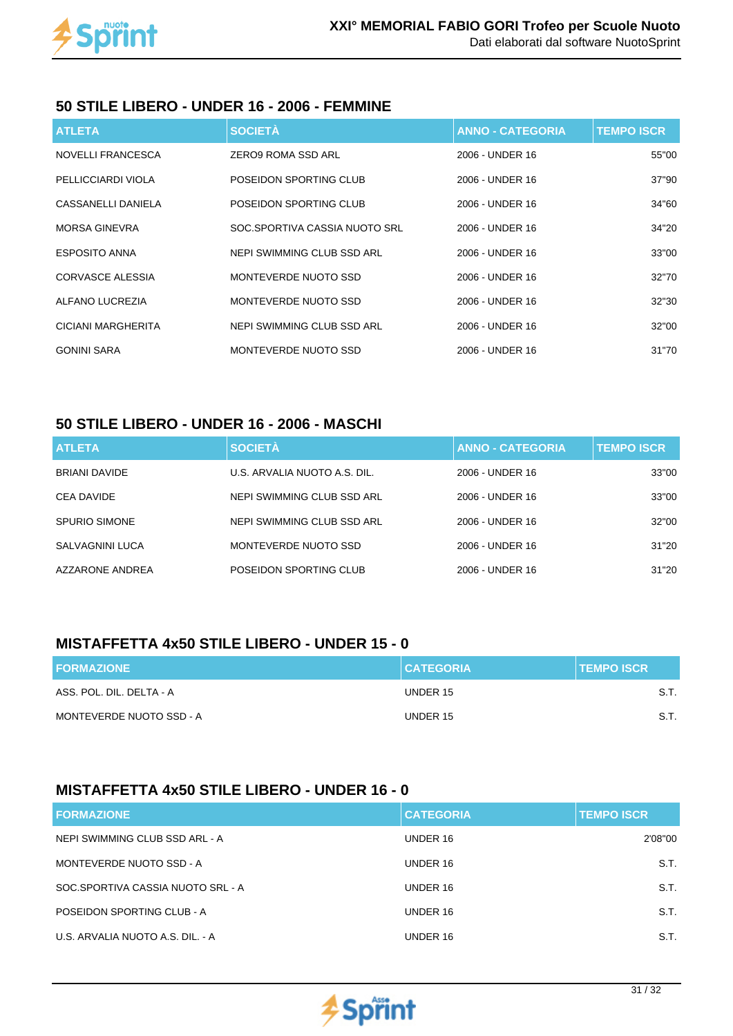

#### **50 STILE LIBERO - UNDER 16 - 2006 - FEMMINE**

| <b>ATLETA</b>             | <b>SOCIETÀ</b>                | <b>ANNO - CATEGORIA</b> | <b>TEMPO ISCR</b> |
|---------------------------|-------------------------------|-------------------------|-------------------|
| NOVELLI FRANCESCA         | ZERO9 ROMA SSD ARL            | 2006 - UNDER 16         | 55"00             |
| PELLICCIARDI VIOLA        | POSEIDON SPORTING CLUB        | 2006 - UNDER 16         | 37"90             |
| CASSANELLI DANIELA        | POSEIDON SPORTING CLUB        | 2006 - UNDER 16         | 34"60             |
| MORSA GINEVRA             | SOC.SPORTIVA CASSIA NUOTO SRL | 2006 - UNDER 16         | 34"20             |
| <b>ESPOSITO ANNA</b>      | NEPI SWIMMING CLUB SSD ARL    | 2006 - UNDER 16         | 33"00             |
| CORVASCE ALESSIA          | MONTEVERDE NUOTO SSD          | 2006 - UNDER 16         | 32"70             |
| ALFANO LUCREZIA           | MONTEVERDE NUOTO SSD          | 2006 - UNDER 16         | 32"30             |
| <b>CICIANI MARGHERITA</b> | NEPI SWIMMING CLUB SSD ARL    | 2006 - UNDER 16         | 32"00             |
| <b>GONINI SARA</b>        | MONTEVERDE NUOTO SSD          | 2006 - UNDER 16         | 31"70             |

### **50 STILE LIBERO - UNDER 16 - 2006 - MASCHI**

| <b>ATLETA</b>        | <b>SOCIETÀ</b>               | <b>ANNO - CATEGORIA</b> | <b>TEMPO ISCR.</b> |
|----------------------|------------------------------|-------------------------|--------------------|
| <b>BRIANI DAVIDE</b> | U.S. ARVALIA NUOTO A.S. DIL. | 2006 - UNDER 16         | 33"00              |
| CEA DAVIDE           | NEPI SWIMMING CLUB SSD ARL   | 2006 - UNDER 16         | 33"00              |
| <b>SPURIO SIMONE</b> | NEPI SWIMMING CLUB SSD ARL   | 2006 - UNDER 16         | 32"00              |
| SALVAGNINI LUCA      | MONTEVERDE NUOTO SSD         | 2006 - UNDER 16         | 31"20              |
| AZZARONE ANDREA      | POSEIDON SPORTING CLUB       | 2006 - UNDER 16         | 31"20              |

#### **MISTAFFETTA 4x50 STILE LIBERO - UNDER 15 - 0**

| <b>FORMAZIONE</b>        | <b>CATEGORIA</b> | <b>TEMPO ISCR</b> |
|--------------------------|------------------|-------------------|
| ASS. POL. DIL. DELTA - A | UNDER 15         | S.T.              |
| MONTEVERDE NUOTO SSD - A | UNDER 15         | S.T.              |

## **MISTAFFETTA 4x50 STILE LIBERO - UNDER 16 - 0**

| <b>FORMAZIONE</b>                 | <b>CATEGORIA</b> | <b>TEMPO ISCR.</b> |
|-----------------------------------|------------------|--------------------|
| NEPI SWIMMING CLUB SSD ARL - A    | UNDER 16         | 2'08"00            |
| MONTEVERDE NUOTO SSD - A          | UNDER 16         | S.T.               |
| SOC SPORTIVA CASSIA NUOTO SRL - A | UNDER 16         | S.T.               |
| POSEIDON SPORTING CLUB - A        | UNDER 16         | S.T.               |
| U.S. ARVALIA NUOTO A.S. DIL. - A  | UNDER 16         | S.T.               |